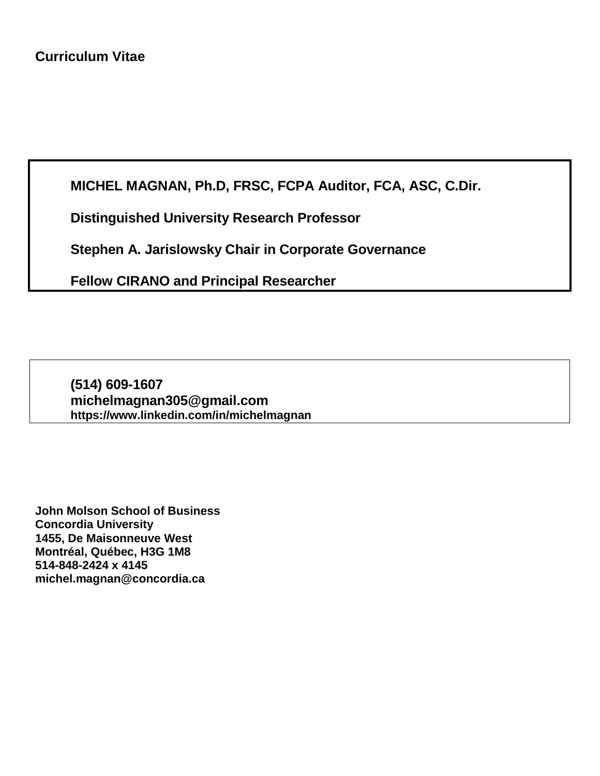**MICHEL MAGNAN, Ph.D, FRSC, FCPA Auditor, FCA, ASC, C.Dir.**

**Distinguished University Research Professor**

**Stephen A. Jarislowsky Chair in Corporate Governance**

**Fellow CIRANO and Principal Researcher**

**(514) 609-1607 [michelmagnan305@gmail.com](mailto:michelmagnan305@gmail.com) https://www.linkedin.com/in/michelmagnan**

**John Molson School of Business Concordia University 1455, De Maisonneuve West Montréal, Québec, H3G 1M8 514-848-2424 x 4145 michel.magnan@concordia.ca**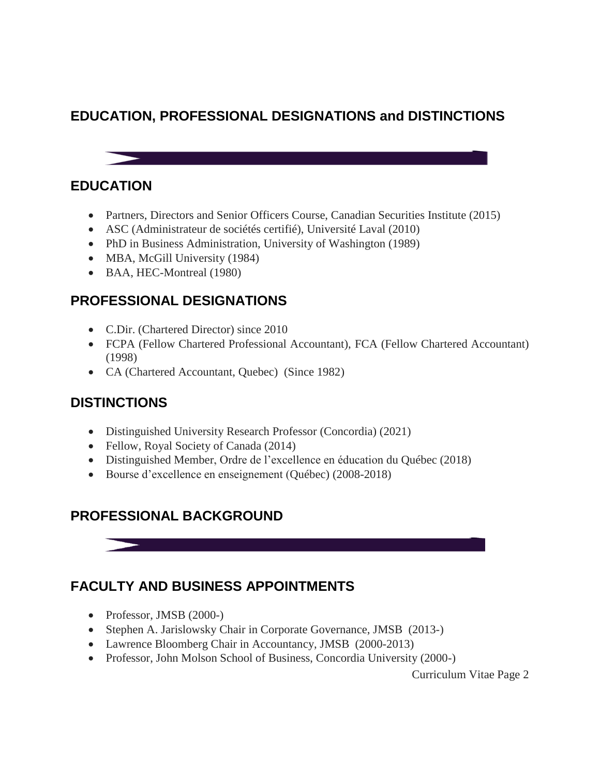# **EDUCATION, PROFESSIONAL DESIGNATIONS and DISTINCTIONS**



## **EDUCATION**

- Partners, Directors and Senior Officers Course, Canadian Securities Institute (2015)
- ASC (Administrateur de sociétés certifié), Université Laval (2010)
- PhD in Business Administration, University of Washington (1989)
- MBA, McGill University (1984)
- BAA, HEC-Montreal (1980)

# **PROFESSIONAL DESIGNATIONS**

- C.Dir. (Chartered Director) since 2010
- FCPA (Fellow Chartered Professional Accountant), FCA (Fellow Chartered Accountant) (1998)
- CA (Chartered Accountant, Quebec) (Since 1982)

# **DISTINCTIONS**

- Distinguished University Research Professor (Concordia) (2021)
- Fellow, Royal Society of Canada (2014)
- Distinguished Member, Ordre de l'excellence en éducation du Québec (2018)
- Bourse d'excellence en enseignement (Québec) (2008-2018)

# **PROFESSIONAL BACKGROUND**

# **FACULTY AND BUSINESS APPOINTMENTS**

- Professor, JMSB (2000-)
- Stephen A. Jarislowsky Chair in Corporate Governance, JMSB (2013-)
- Lawrence Bloomberg Chair in Accountancy, JMSB (2000-2013)
- Professor, John Molson School of Business, Concordia University (2000-)

Curriculum Vitae Page 2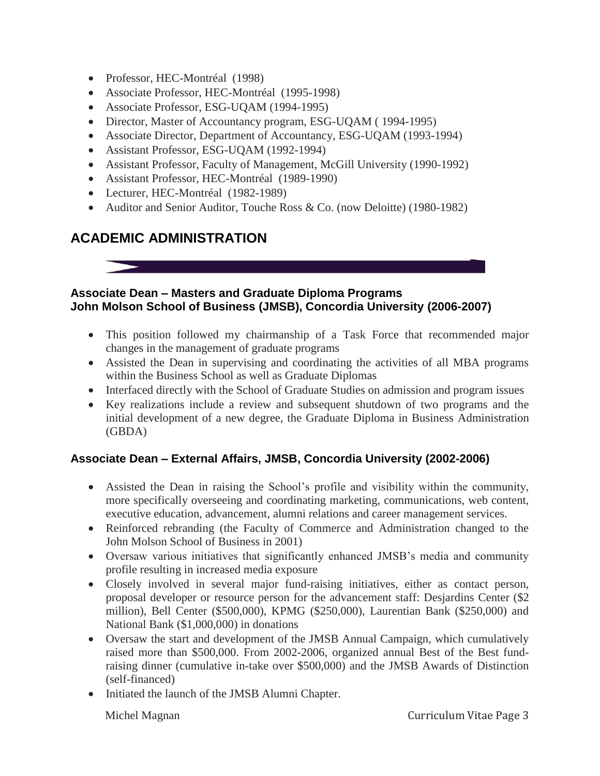- Professor, HEC-Montréal (1998)
- Associate Professor, HEC-Montréal (1995-1998)
- Associate Professor, ESG-UQAM (1994-1995)
- Director, Master of Accountancy program, ESG-UQAM ( 1994-1995)
- Associate Director, Department of Accountancy, ESG-UQAM (1993-1994)
- Assistant Professor, ESG-UQAM (1992-1994)
- Assistant Professor, Faculty of Management, McGill University (1990-1992)
- Assistant Professor, HEC-Montréal (1989-1990)
- Lecturer, HEC-Montréal (1982-1989)
- Auditor and Senior Auditor, Touche Ross & Co. (now Deloitte) (1980-1982)

# **ACADEMIC ADMINISTRATION**



#### **Associate Dean – Masters and Graduate Diploma Programs John Molson School of Business (JMSB), Concordia University (2006-2007)**

- This position followed my chairmanship of a Task Force that recommended major changes in the management of graduate programs
- Assisted the Dean in supervising and coordinating the activities of all MBA programs within the Business School as well as Graduate Diplomas
- Interfaced directly with the School of Graduate Studies on admission and program issues
- Key realizations include a review and subsequent shutdown of two programs and the initial development of a new degree, the Graduate Diploma in Business Administration (GBDA)

## **Associate Dean – External Affairs, JMSB, Concordia University (2002-2006)**

- Assisted the Dean in raising the School's profile and visibility within the community, more specifically overseeing and coordinating marketing, communications, web content, executive education, advancement, alumni relations and career management services.
- Reinforced rebranding (the Faculty of Commerce and Administration changed to the John Molson School of Business in 2001)
- Oversaw various initiatives that significantly enhanced JMSB's media and community profile resulting in increased media exposure
- Closely involved in several major fund-raising initiatives, either as contact person, proposal developer or resource person for the advancement staff: Desjardins Center (\$2 million), Bell Center (\$500,000), KPMG (\$250,000), Laurentian Bank (\$250,000) and National Bank (\$1,000,000) in donations
- Oversaw the start and development of the JMSB Annual Campaign, which cumulatively raised more than \$500,000. From 2002-2006, organized annual Best of the Best fundraising dinner (cumulative in-take over \$500,000) and the JMSB Awards of Distinction (self-financed)
- Initiated the launch of the JMSB Alumni Chapter.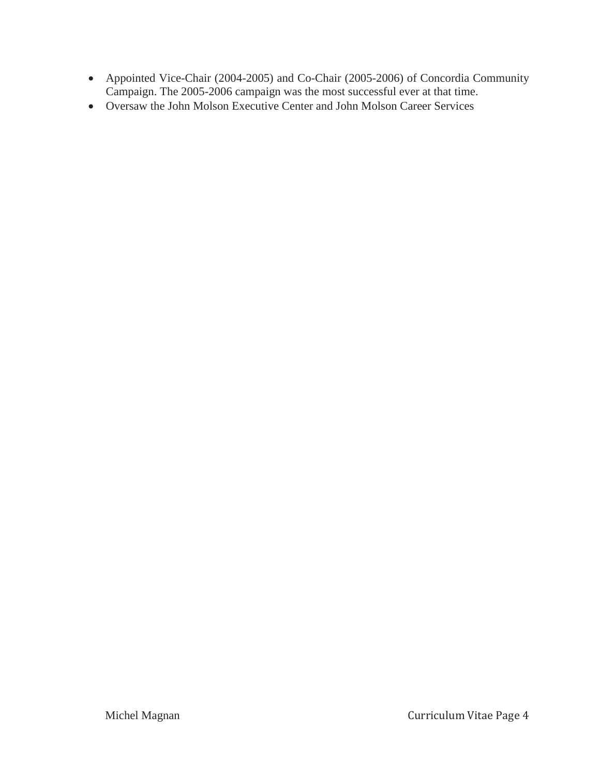- Appointed Vice-Chair (2004-2005) and Co-Chair (2005-2006) of Concordia Community Campaign. The 2005-2006 campaign was the most successful ever at that time.
- Oversaw the John Molson Executive Center and John Molson Career Services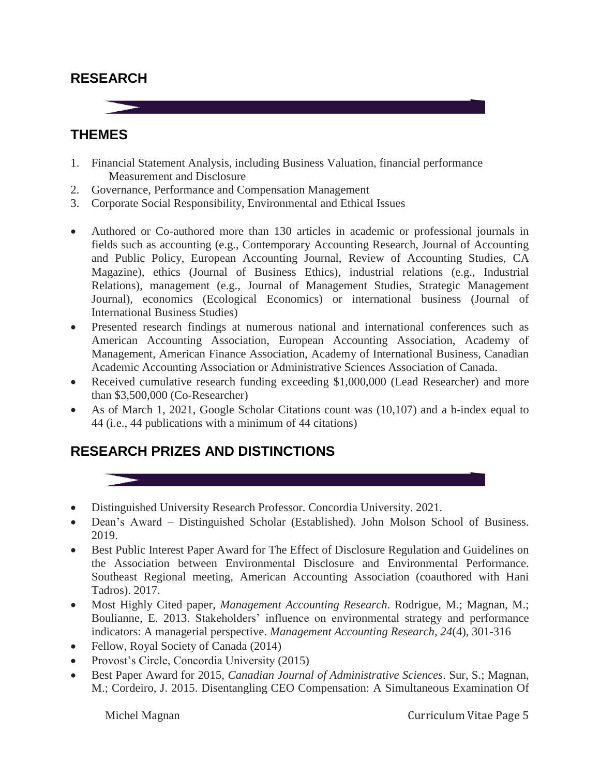## **RESEARCH**

**THEMES**



- 1. Financial Statement Analysis, including Business Valuation, financial performance Measurement and Disclosure
- 2. Governance, Performance and Compensation Management
- 3. Corporate Social Responsibility, Environmental and Ethical Issues
- Authored or Co-authored more than 130 articles in academic or professional journals in fields such as accounting (e.g., Contemporary Accounting Research, Journal of Accounting and Public Policy, European Accounting Journal, Review of Accounting Studies, CA Magazine), ethics (Journal of Business Ethics), industrial relations (e.g., Industrial Relations), management (e.g., Journal of Management Studies, Strategic Management Journal), economics (Ecological Economics) or international business (Journal of International Business Studies)
- Presented research findings at numerous national and international conferences such as American Accounting Association, European Accounting Association, Academy of Management, American Finance Association, Academy of International Business, Canadian Academic Accounting Association or Administrative Sciences Association of Canada.
- Received cumulative research funding exceeding \$1,000,000 (Lead Researcher) and more than \$3,500,000 (Co-Researcher)
- As of March 1, 2021, Google Scholar Citations count was (10,107) and a h-index equal to 44 (i.e., 44 publications with a minimum of 44 citations)

# **RESEARCH PRIZES AND DISTINCTIONS**

- Distinguished University Research Professor. Concordia University. 2021.
- Dean's Award Distinguished Scholar (Established). John Molson School of Business. 2019.
- Best Public Interest Paper Award for The Effect of Disclosure Regulation and Guidelines on the Association between Environmental Disclosure and Environmental Performance. Southeast Regional meeting, American Accounting Association (coauthored with Hani Tadros). 2017.
- Most Highly Cited paper, *Management Accounting Research*. Rodrigue, M.; Magnan, M.; Boulianne, E. 2013. Stakeholders' influence on environmental strategy and performance indicators: A managerial perspective. *Management Accounting Research*, *24*(4), 301-316
- Fellow, Royal Society of Canada (2014)
- Provost's Circle, Concordia University (2015)
- Best Paper Award for 2015, *Canadian Journal of Administrative Sciences*. Sur, S.; Magnan, M.; Cordeiro, J. 2015. Disentangling CEO Compensation: A Simultaneous Examination Of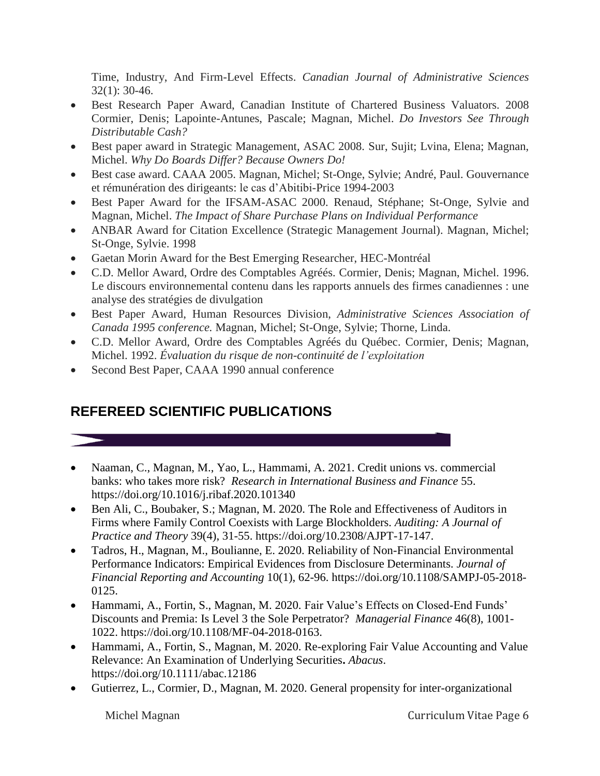Time, Industry, And Firm-Level Effects. *Canadian Journal of Administrative Sciences* 32(1): 30-46.

- Best Research Paper Award, Canadian Institute of Chartered Business Valuators. 2008 Cormier, Denis; Lapointe-Antunes, Pascale; Magnan, Michel. *Do Investors See Through Distributable Cash?*
- Best paper award in Strategic Management, ASAC 2008. Sur, Sujit; Lvina, Elena; Magnan, Michel. *Why Do Boards Differ? Because Owners Do!*
- Best case award. CAAA 2005. Magnan, Michel; St-Onge, Sylvie; André, Paul. Gouvernance et rémunération des dirigeants: le cas d'Abitibi-Price 1994-2003
- Best Paper Award for the IFSAM-ASAC 2000. Renaud, Stéphane; St-Onge, Sylvie and Magnan, Michel. *The Impact of Share Purchase Plans on Individual Performance*
- ANBAR Award for Citation Excellence (Strategic Management Journal). Magnan, Michel; St-Onge, Sylvie. 1998
- Gaetan Morin Award for the Best Emerging Researcher, HEC-Montréal
- C.D. Mellor Award, Ordre des Comptables Agréés. Cormier, Denis; Magnan, Michel. 1996. Le discours environnemental contenu dans les rapports annuels des firmes canadiennes : une analyse des stratégies de divulgation
- Best Paper Award, Human Resources Division, *Administrative Sciences Association of Canada 1995 conference.* Magnan, Michel; St-Onge, Sylvie; Thorne, Linda.
- C.D. Mellor Award, Ordre des Comptables Agréés du Québec. Cormier, Denis; Magnan, Michel. 1992. *Évaluation du risque de non-continuité de l'exploitation*
- Second Best Paper, CAAA 1990 annual conference

# **REFEREED SCIENTIFIC PUBLICATIONS**

- Naaman, C., Magnan, M., Yao, L., Hammami, A. 2021. Credit unions vs. commercial banks: who takes more risk? *Research in International Business and Finance* 55. <https://doi.org/10.1016/j.ribaf.2020.101340>
- Ben Ali, C., Boubaker, S.; Magnan, M. 2020. The Role and Effectiveness of Auditors in Firms where Family Control Coexists with Large Blockholders. *Auditing: A Journal of Practice and Theory* 39(4), 31-55. https://doi.org/10.2308/AJPT-17-147.
- Tadros, H., Magnan, M., Boulianne, E. 2020. Reliability of Non-Financial Environmental Performance Indicators: Empirical Evidences from Disclosure Determinants. *Journal of Financial Reporting and Accounting* 10(1), 62-96. [https://doi.org/10.1108/SAMPJ-05-2018-](https://doi.org/10.1108/SAMPJ-05-2018-0125) [0125.](https://doi.org/10.1108/SAMPJ-05-2018-0125)
- Hammami, A., Fortin, S., Magnan, M. 2020. Fair Value's Effects on Closed-End Funds' Discounts and Premia: Is Level 3 the Sole Perpetrator? *Managerial Finance* 46(8), 1001- 1022. [https://doi.org/10.1108/MF-04-2018-0163.](https://doi.org/10.1108/MF-04-2018-0163)
- Hammami, A., Fortin, S., Magnan, M. 2020. Re-exploring Fair Value Accounting and Value Relevance: An Examination of Underlying Securities**.** *Abacus*. <https://doi.org/10.1111/abac.12186>
- Gutierrez, L., Cormier, D., Magnan, M. 2020. General propensity for inter-organizational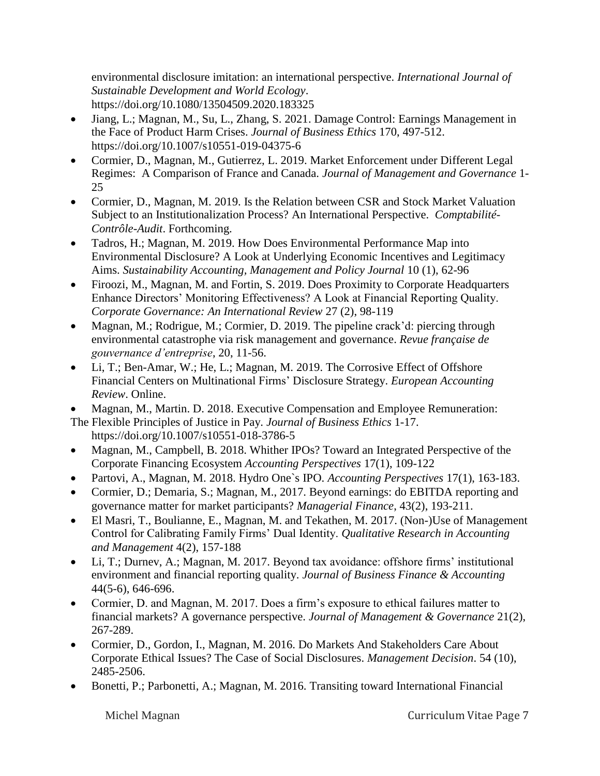environmental disclosure imitation: an international perspective. *International Journal of Sustainable Development and World Ecology*. https://doi.org/10.1080/13504509.2020.183325

- Jiang, L.; Magnan, M., Su, L., Zhang, S. 2021. Damage Control: Earnings Management in the Face of Product Harm Crises. *Journal of Business Ethics* 170, 497-512. <https://doi.org/10.1007/s10551-019-04375-6>
- Cormier, D., Magnan, M., Gutierrez, L. 2019. Market Enforcement under Different Legal Regimes: A Comparison of France and Canada. *Journal of Management and Governance* 1- 25
- Cormier, D., Magnan, M. 2019. Is the Relation between CSR and Stock Market Valuation Subject to an Institutionalization Process? An International Perspective. *Comptabilité-Contrôle-Audit*. Forthcoming.
- Tadros, H.; Magnan, M. 2019. How Does Environmental Performance Map into Environmental Disclosure? A Look at Underlying Economic Incentives and Legitimacy Aims. *Sustainability Accounting, Management and Policy Journal* 10 (1), 62-96
- Firoozi, M., Magnan, M. and Fortin, S. 2019. Does Proximity to Corporate Headquarters Enhance Directors' Monitoring Effectiveness? A Look at Financial Reporting Quality. *Corporate Governance: An International Review* 27 (2), 98-119
- Magnan, M.; Rodrigue, M.; Cormier, D. 2019. The pipeline crack'd: piercing through environmental catastrophe via risk management and governance. *Revue française de gouvernance d'entreprise*, 20, 11-56.
- Li, T.; Ben-Amar, W.; He, L.; Magnan, M. 2019. The Corrosive Effect of Offshore Financial Centers on Multinational Firms' Disclosure Strategy. *European Accounting Review*. Online.
- Magnan, M., Martin. D. 2018. Executive Compensation and Employee Remuneration:

The Flexible Principles of Justice in Pay. *Journal of Business Ethics* 1-17. https://doi.org/10.1007/s10551-018-3786-5

- Magnan, M., Campbell, B. 2018. Whither IPOs? Toward an Integrated Perspective of the Corporate Financing Ecosystem *Accounting Perspectives* 17(1), 109-122
- Partovi, A., Magnan, M. 2018. Hydro One`s IPO. *Accounting Perspectives* 17(1), 163-183.
- [Cormier,](http://www.emeraldinsight.com/author/Cormier%2C+Denis) D.; Demaria, [S.;](http://www.emeraldinsight.com/author/Demaria%2C+Samira) [Magnan, M.,](http://www.emeraldinsight.com/author/Magnan%2C+Michel) 2017. Beyond earnings: do EBITDA reporting and governance matter for market participants? *Managerial Finance*, 43(2), 193-211.
- El Masri, T., Boulianne, E., Magnan, M. and Tekathen, M. 2017. (Non-)Use of Management Control for Calibrating Family Firms' Dual Identity. *Qualitative Research in Accounting and Management* 4(2), 157-188
- Li, T.; Durnev, A.; Magnan, M. 2017. Beyond tax avoidance: offshore firms' institutional environment and financial reporting quality. *Journal of Business Finance & Accounting* 44(5-6), 646-696.
- Cormier, D. and Magnan, M. 2017. Does a firm's exposure to ethical failures matter to financial markets? A governance perspective. *Journal of Management & Governance* 21(2), 267-289.
- Cormier, D., Gordon, I., Magnan, M. 2016. Do Markets And Stakeholders Care About Corporate Ethical Issues? The Case of Social Disclosures. *Management Decision*. 54 (10), 2485-2506.
- Bonetti, P.; Parbonetti, A.; Magnan, M. 2016. Transiting toward International Financial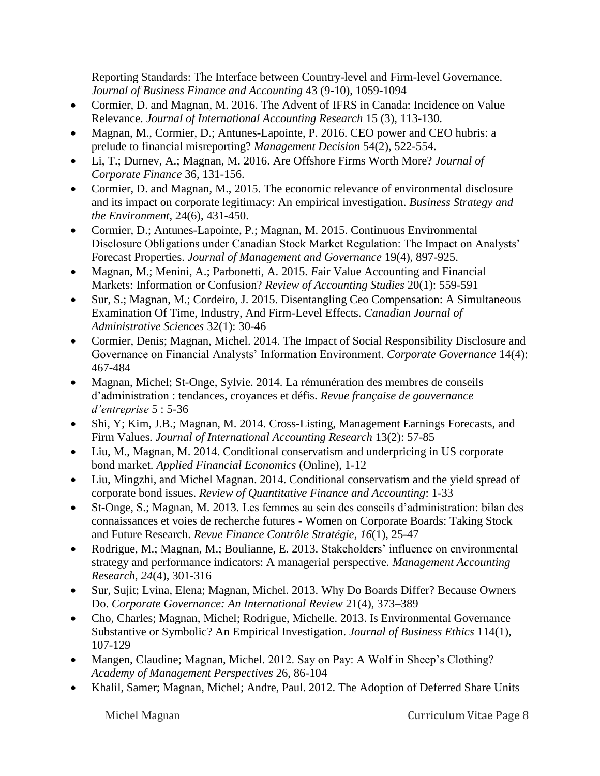Reporting Standards: The Interface between Country-level and Firm-level Governance. *Journal of Business Finance and Accounting* 43 (9-10), 1059-1094

- Cormier, D. and Magnan, M. 2016. The Advent of IFRS in Canada: Incidence on Value Relevance. *Journal of International Accounting Research* 15 (3), 113-130.
- Magnan, M., Cormier, D.; Antunes-Lapointe, P. 2016. CEO power and CEO hubris: a prelude to financial misreporting? *Management Decision* 54(2), 522-554.
- Li, T.; Durnev, A.; Magnan, M. 2016. Are Offshore Firms Worth More? *Journal of Corporate Finance* 36, 131-156.
- Cormier, D. and Magnan, M., 2015. The economic relevance of environmental disclosure and its impact on corporate legitimacy: An empirical investigation. *Business Strategy and the Environment*, 24(6), 431-450.
- Cormier, D.; Antunes-Lapointe, P.; Magnan, M. 2015. Continuous Environmental Disclosure Obligations under Canadian Stock Market Regulation: The Impact on Analysts' Forecast Properties. *Journal of Management and Governance* 19(4), 897-925.
- Magnan, M.; Menini, A.; Parbonetti, A. 2015. *F*air Value Accounting and Financial Markets: Information or Confusion? *Review of Accounting Studies* 20(1): 559-591
- Sur, S.; Magnan, M.; Cordeiro, J. 2015. Disentangling Ceo Compensation: A Simultaneous Examination Of Time, Industry, And Firm-Level Effects. *Canadian Journal of Administrative Sciences* 32(1): 30-46
- Cormier, Denis; Magnan, Michel. 2014. The Impact of Social Responsibility Disclosure and Governance on Financial Analysts' Information Environment. *Corporate Governance* 14(4): 467-484
- Magnan, Michel; St-Onge, Sylvie. 2014. La rémunération des membres de conseils d'administration : tendances, croyances et défis. *Revue française de gouvernance d'entreprise* 5 : 5-36
- Shi, Y; Kim, J.B.; Magnan, M. 2014. Cross-Listing, Management Earnings Forecasts, and Firm Values*. Journal of International Accounting Research* 13(2): 57-85
- Liu, M., Magnan, M. 2014. Conditional conservatism and underpricing in US corporate bond market. *Applied Financial Economics* (Online), 1-12
- Liu, Mingzhi, and Michel Magnan. 2014. Conditional conservatism and the yield spread of corporate bond issues. *Review of Quantitative Finance and Accounting*: 1-33
- St-Onge, S.; Magnan, M. 2013*.* Les femmes au sein des conseils d'administration: bilan des connaissances et voies de recherche futures - Women on Corporate Boards: Taking Stock and Future Research. *Revue Finance Contrôle Stratégie*, *16*(1), 25-47
- Rodrigue, M.; Magnan, M.; Boulianne, E. 2013. Stakeholders' influence on environmental strategy and performance indicators: A managerial perspective. *Management Accounting Research*, *24*(4), 301-316
- Sur, Sujit; Lvina, Elena; Magnan, Michel. 2013. Why Do Boards Differ? Because Owners Do. *Corporate Governance: An International Review* 21(4), 373–389
- Cho, Charles; Magnan, Michel; Rodrigue, Michelle. 2013. Is Environmental Governance Substantive or Symbolic? An Empirical Investigation. *Journal of Business Ethics* 114(1), 107-129
- Mangen, Claudine; Magnan, Michel. 2012. Say on Pay: A Wolf in Sheep's Clothing? *Academy of Management Perspectives* 26, 86-104
- Khalil, Samer; Magnan, Michel; Andre, Paul. 2012. The Adoption of Deferred Share Units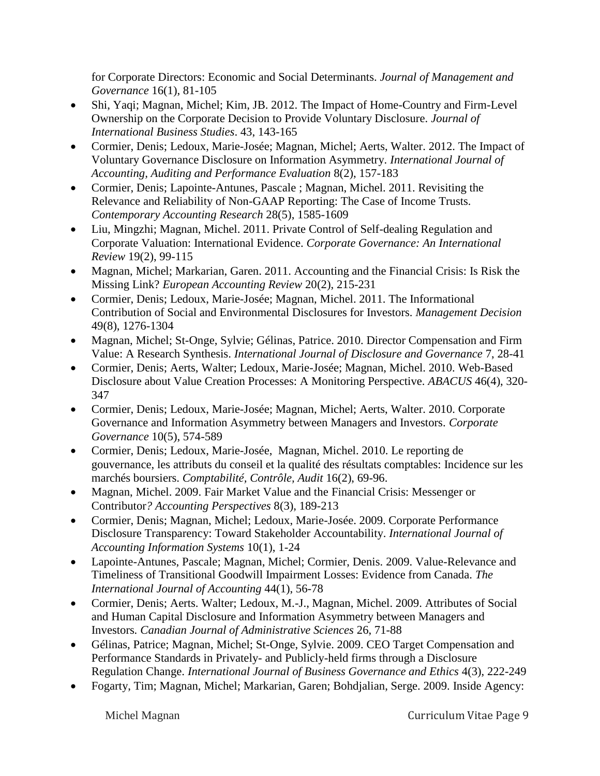for Corporate Directors: Economic and Social Determinants. *Journal of Management and Governance* 16(1), 81-105

- Shi, Yaqi; Magnan, Michel; Kim, JB. 2012. The Impact of Home-Country and Firm-Level Ownership on the Corporate Decision to Provide Voluntary Disclosure. *Journal of International Business Studies*. 43, 143-165
- Cormier, Denis; Ledoux, Marie-Josée; Magnan, Michel; Aerts, Walter. 2012. The Impact of Voluntary Governance Disclosure on Information Asymmetry. *International Journal of Accounting, Auditing and Performance Evaluation* 8(2), 157-183
- Cormier, Denis; Lapointe-Antunes, Pascale ; Magnan, Michel. 2011. Revisiting the Relevance and Reliability of Non-GAAP Reporting: The Case of Income Trusts*. Contemporary Accounting Research* 28(5), 1585-1609
- Liu, Mingzhi; Magnan, Michel. 2011. Private Control of Self-dealing Regulation and Corporate Valuation: International Evidence. *Corporate Governance: An International Review* 19(2), 99-115
- Magnan, Michel; Markarian, Garen. 2011. Accounting and the Financial Crisis: Is Risk the Missing Link? *European Accounting Review* 20(2), 215-231
- Cormier, Denis; Ledoux, Marie-Josée; Magnan, Michel. 2011. The Informational Contribution of Social and Environmental Disclosures for Investors. *Management Decision* 49(8), 1276-1304
- Magnan, Michel; St-Onge, Sylvie; Gélinas, Patrice. 2010. Director Compensation and Firm Value: A Research Synthesis. *International Journal of Disclosure and Governance* 7, 28-41
- Cormier, Denis; Aerts, Walter; Ledoux, Marie-Josée; Magnan, Michel. 2010. Web-Based Disclosure about Value Creation Processes: A Monitoring Perspective. *ABACUS* 46(4), 320- 347
- Cormier, Denis; Ledoux, Marie-Josée; Magnan, Michel; Aerts, Walter. 2010. Corporate Governance and Information Asymmetry between Managers and Investors. *Corporate Governance* 10(5), 574-589
- Cormier, Denis; Ledoux, Marie-Josée, Magnan, Michel. 2010. Le reporting de gouvernance, les attributs du conseil et la qualité des résultats comptables: Incidence sur les marchés boursiers. *Comptabilité, Contrôle, Audit* 16(2), 69-96.
- Magnan, Michel. 2009. Fair Market Value and the Financial Crisis: Messenger or Contributor*? Accounting Perspectives* 8(3), 189-213
- Cormier, Denis; Magnan, Michel; Ledoux, Marie-Josée. 2009. Corporate Performance Disclosure Transparency: Toward Stakeholder Accountability. *International Journal of Accounting Information Systems* 10(1), 1-24
- Lapointe-Antunes, Pascale; Magnan, Michel; Cormier, Denis. 2009. Value-Relevance and Timeliness of Transitional Goodwill Impairment Losses: Evidence from Canada. *The International Journal of Accounting* 44(1), 56-78
- Cormier, Denis; Aerts. Walter; Ledoux, M.-J., Magnan, Michel. 2009. Attributes of Social and Human Capital Disclosure and Information Asymmetry between Managers and Investors*. Canadian Journal of Administrative Sciences* 26, 71-88
- Gélinas, Patrice; Magnan, Michel; St-Onge, Sylvie. 2009. CEO Target Compensation and Performance Standards in Privately- and Publicly-held firms through a Disclosure Regulation Change. *International Journal of Business Governance and Ethics* 4(3), 222-249
- Fogarty, Tim; Magnan, Michel; Markarian, Garen; Bohdjalian, Serge. 2009. Inside Agency: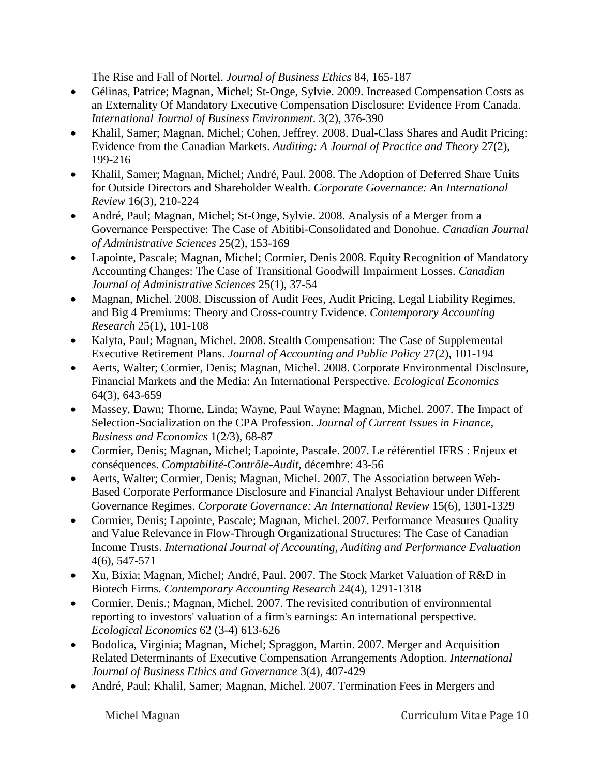The Rise and Fall of Nortel. *Journal of Business Ethics* 84, 165-187

- Gélinas, Patrice; Magnan, Michel; St-Onge, Sylvie. 2009. Increased Compensation Costs as an Externality Of Mandatory Executive Compensation Disclosure: Evidence From Canada. *International Journal of Business Environment*. 3(2), 376-390
- Khalil, Samer; Magnan, Michel; Cohen, Jeffrey. 2008. Dual-Class Shares and Audit Pricing: Evidence from the Canadian Markets. *Auditing: A Journal of Practice and Theory* 27(2), 199-216
- Khalil, Samer; Magnan, Michel; André, Paul. 2008. The Adoption of Deferred Share Units for Outside Directors and Shareholder Wealth. *Corporate Governance: An International Review* 16(3), 210-224
- André, Paul; Magnan, Michel; St-Onge, Sylvie. 2008. Analysis of a Merger from a Governance Perspective: The Case of Abitibi-Consolidated and Donohue. *Canadian Journal of Administrative Sciences* 25(2), 153-169
- Lapointe, Pascale; Magnan, Michel; Cormier, Denis 2008. Equity Recognition of Mandatory Accounting Changes: The Case of Transitional Goodwill Impairment Losses. *Canadian Journal of Administrative Sciences* 25(1), 37-54
- Magnan, Michel. 2008. Discussion of Audit Fees, Audit Pricing, Legal Liability Regimes, and Big 4 Premiums: Theory and Cross-country Evidence. *Contemporary Accounting Research* 25(1), 101-108
- Kalyta, Paul; Magnan, Michel. 2008. Stealth Compensation: The Case of Supplemental Executive Retirement Plans. *Journal of Accounting and Public Policy* 27(2), 101-194
- Aerts, Walter; Cormier, Denis; Magnan, Michel. 2008. Corporate Environmental Disclosure, Financial Markets and the Media: An International Perspective. *Ecological Economics* 64(3), 643-659
- Massey, Dawn; Thorne, Linda; Wayne, Paul Wayne; Magnan, Michel. 2007. The Impact of Selection-Socialization on the CPA Profession. *Journal of Current Issues in Finance, Business and Economics* 1(2/3), 68-87
- Cormier, Denis; Magnan, Michel; Lapointe, Pascale. 2007. Le référentiel IFRS : Enjeux et conséquences. *Comptabilité-Contrôle-Audit,* décembre: 43-56
- Aerts, Walter; Cormier, Denis; Magnan, Michel. 2007. The Association between Web-Based Corporate Performance Disclosure and Financial Analyst Behaviour under Different Governance Regimes. *Corporate Governance: An International Review* 15(6), 1301-1329
- Cormier, Denis; Lapointe, Pascale; Magnan, Michel. 2007. Performance Measures Quality and Value Relevance in Flow-Through Organizational Structures: The Case of Canadian Income Trusts. *International Journal of Accounting, Auditing and Performance Evaluation* 4(6), 547-571
- Xu, Bixia; Magnan, Michel; André, Paul. 2007. The Stock Market Valuation of R&D in Biotech Firms. *Contemporary Accounting Research* 24(4), 1291-1318
- Cormier, Denis.; Magnan, Michel. 2007. The revisited contribution of environmental reporting to investors' valuation of a firm's earnings: An international perspective. *Ecological Economics* 62 (3-4) 613-626
- Bodolica, Virginia; Magnan, Michel; Spraggon, Martin. 2007. Merger and Acquisition Related Determinants of Executive Compensation Arrangements Adoption*. International Journal of Business Ethics and Governance* 3(4), 407-429
- André, Paul; Khalil, Samer; Magnan, Michel. 2007. Termination Fees in Mergers and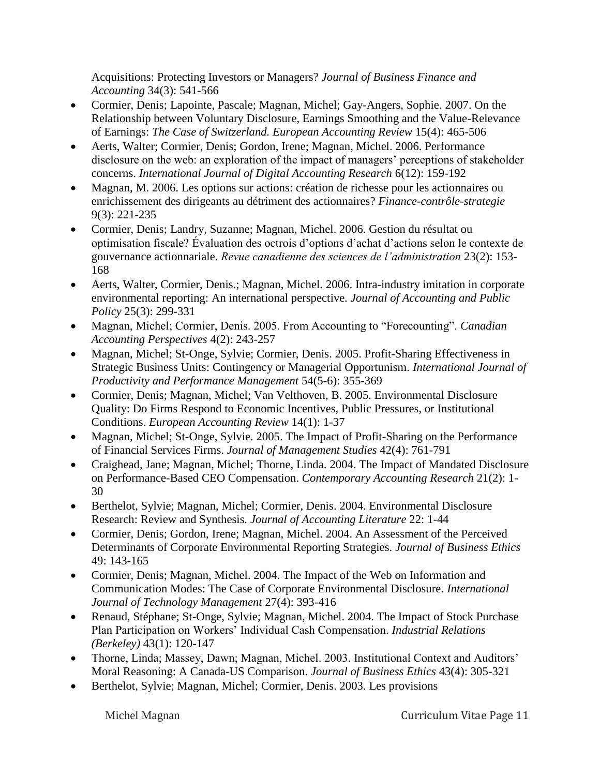Acquisitions: Protecting Investors or Managers? *Journal of Business Finance and Accounting* 34(3): 541-566

- Cormier, Denis; Lapointe, Pascale; Magnan, Michel; Gay-Angers, Sophie. 2007. On the Relationship between Voluntary Disclosure, Earnings Smoothing and the Value-Relevance of Earnings: *The Case of Switzerland. European Accounting Review* 15(4): 465-506
- Aerts, Walter; Cormier, Denis; Gordon, Irene; Magnan, Michel. 2006. Performance disclosure on the web: an exploration of the impact of managers' perceptions of stakeholder concerns. *International Journal of Digital Accounting Research* 6(12): 159-192
- Magnan, M. 2006. Les options sur actions: création de richesse pour les actionnaires ou enrichissement des dirigeants au détriment des actionnaires? *Finance-contrôle-strategie* 9(3): 221-235
- Cormier, Denis; Landry, Suzanne; Magnan, Michel. 2006. Gestion du résultat ou optimisation fiscale? Évaluation des octrois d'options d'achat d'actions selon le contexte de gouvernance actionnariale. *Revue canadienne des sciences de l'administration* 23(2): 153- 168
- Aerts, Walter, Cormier, Denis.; Magnan, Michel. 2006. Intra-industry imitation in corporate environmental reporting: An international perspective*. Journal of Accounting and Public Policy* 25(3): 299-331
- Magnan, Michel; Cormier, Denis. 2005. From Accounting to "Forecounting". *Canadian Accounting Perspectives* 4(2): 243-257
- Magnan, Michel; St-Onge, Sylvie; Cormier, Denis. 2005. Profit-Sharing Effectiveness in Strategic Business Units: Contingency or Managerial Opportunism. *International Journal of Productivity and Performance Management* 54(5-6): 355-369
- Cormier, Denis; Magnan, Michel; Van Velthoven, B. 2005. Environmental Disclosure Quality: Do Firms Respond to Economic Incentives, Public Pressures, or Institutional Conditions. *European Accounting Review* 14(1): 1-37
- Magnan, Michel; St-Onge, Sylvie. 2005. The Impact of Profit-Sharing on the Performance of Financial Services Firms. *Journal of Management Studies* 42(4): 761-791
- Craighead, Jane; Magnan, Michel; Thorne, Linda. 2004. The Impact of Mandated Disclosure on Performance-Based CEO Compensation. *Contemporary Accounting Research* 21(2): 1- 30
- Berthelot, Sylvie; Magnan, Michel; Cormier, Denis. 2004. Environmental Disclosure Research: Review and Synthesis*. Journal of Accounting Literature* 22: 1-44
- Cormier, Denis; Gordon, Irene; Magnan, Michel. 2004. An Assessment of the Perceived Determinants of Corporate Environmental Reporting Strategies. *Journal of Business Ethics*  49: 143-165
- Cormier, Denis; Magnan, Michel. 2004. The Impact of the Web on Information and Communication Modes: The Case of Corporate Environmental Disclosure. *International Journal of Technology Management* 27(4): 393-416
- Renaud, Stéphane; St-Onge, Sylvie; Magnan, Michel. 2004. The Impact of Stock Purchase Plan Participation on Workers' Individual Cash Compensation. *Industrial Relations (Berkeley)* 43(1): 120-147
- Thorne, Linda; Massey, Dawn; Magnan, Michel. 2003. Institutional Context and Auditors' Moral Reasoning: A Canada-US Comparison. *Journal of Business Ethics* 43(4): 305-321
- Berthelot, Sylvie; Magnan, Michel; Cormier, Denis. 2003. Les provisions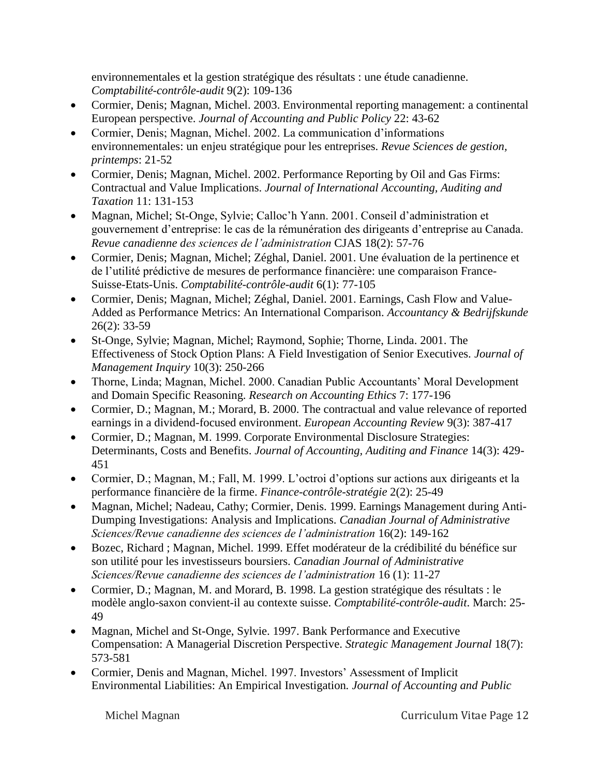environnementales et la gestion stratégique des résultats : une étude canadienne. *Comptabilité-contrôle-audit* 9(2): 109-136

- Cormier, Denis; Magnan, Michel. 2003. Environmental reporting management: a continental European perspective. *Journal of Accounting and Public Policy* 22: 43-62
- Cormier, Denis; Magnan, Michel. 2002. La communication d'informations environnementales: un enjeu stratégique pour les entreprises. *Revue Sciences de gestion, printemps*: 21-52
- Cormier, Denis; Magnan, Michel. 2002. Performance Reporting by Oil and Gas Firms: Contractual and Value Implications. *Journal of International Accounting, Auditing and Taxation* 11: 131-153
- Magnan, Michel; St-Onge, Sylvie; Calloc'h Yann. 2001. Conseil d'administration et gouvernement d'entreprise: le cas de la rémunération des dirigeants d'entreprise au Canada. *Revue canadienne des sciences de l'administration* CJAS 18(2): 57-76
- Cormier, Denis; Magnan, Michel; Zéghal, Daniel. 2001. Une évaluation de la pertinence et de l'utilité prédictive de mesures de performance financière: une comparaison France-Suisse-Etats-Unis. *Comptabilité-contrôle-audit* 6(1): 77-105
- Cormier, Denis; Magnan, Michel; Zéghal, Daniel. 2001. Earnings, Cash Flow and Value-Added as Performance Metrics: An International Comparison. *Accountancy & Bedrijfskunde*  26(2): 33-59
- St-Onge, Sylvie; Magnan, Michel; Raymond, Sophie; Thorne, Linda. 2001. The Effectiveness of Stock Option Plans: A Field Investigation of Senior Executives. *Journal of Management Inquiry* 10(3): 250-266
- Thorne, Linda; Magnan, Michel. 2000. Canadian Public Accountants' Moral Development and Domain Specific Reasoning. *Research on Accounting Ethics* 7: 177-196
- Cormier, D.; Magnan, M.; Morard, B. 2000. The contractual and value relevance of reported earnings in a dividend-focused environment. *European Accounting Review* 9(3): 387-417
- Cormier, D.; Magnan, M. 1999. Corporate Environmental Disclosure Strategies: Determinants, Costs and Benefits. *Journal of Accounting, Auditing and Finance* 14(3): 429- 451
- Cormier, D.; Magnan, M.; Fall, M. 1999. L'octroi d'options sur actions aux dirigeants et la performance financière de la firme. *Finance-contrôle-stratégie* 2(2): 25-49
- Magnan, Michel; Nadeau, Cathy; Cormier, Denis. 1999. Earnings Management during Anti-Dumping Investigations: Analysis and Implications. *Canadian Journal of Administrative Sciences/Revue canadienne des sciences de l'administration* 16(2): 149-162
- Bozec, Richard ; Magnan, Michel. 1999. Effet modérateur de la crédibilité du bénéfice sur son utilité pour les investisseurs boursiers. *Canadian Journal of Administrative Sciences/Revue canadienne des sciences de l'administration* 16 (1): 11-27
- Cormier, D.; Magnan, M. and Morard, B. 1998. La gestion stratégique des résultats : le modèle anglo-saxon convient-il au contexte suisse. *Comptabilité-contrôle-audit*. March: 25- 49
- Magnan, Michel and St-Onge, Sylvie. 1997. Bank Performance and Executive Compensation: A Managerial Discretion Perspective. *Strategic Management Journal* 18(7): 573-581
- Cormier, Denis and Magnan, Michel. 1997. Investors' Assessment of Implicit Environmental Liabilities: An Empirical Investigation*. Journal of Accounting and Public*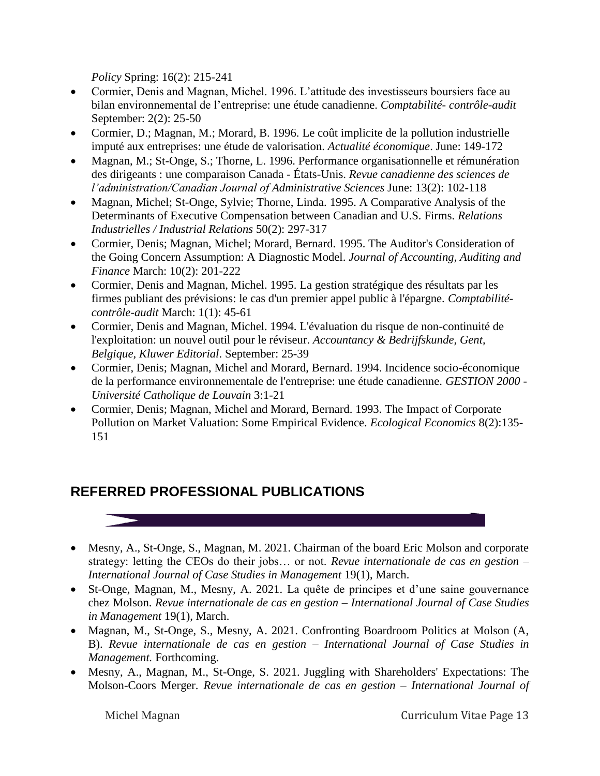*Policy* Spring: 16(2): 215-241

- Cormier, Denis and Magnan, Michel. 1996. L'attitude des investisseurs boursiers face au bilan environnemental de l'entreprise: une étude canadienne. *Comptabilité- contrôle-audit* September: 2(2): 25-50
- Cormier, D.; Magnan, M.; Morard, B. 1996. Le coût implicite de la pollution industrielle imputé aux entreprises: une étude de valorisation. *Actualité économique*. June: 149-172
- Magnan, M.; St-Onge, S.; Thorne, L. 1996. Performance organisationnelle et rémunération des dirigeants : une comparaison Canada - États-Unis. *Revue canadienne des sciences de l'administration/Canadian Journal of Administrative Sciences* June: 13(2): 102-118
- Magnan, Michel; St-Onge, Sylvie; Thorne, Linda. 1995. A Comparative Analysis of the Determinants of Executive Compensation between Canadian and U.S. Firms. *Relations Industrielles / Industrial Relations* 50(2): 297-317
- Cormier, Denis; Magnan, Michel; Morard, Bernard. 1995. The Auditor's Consideration of the Going Concern Assumption: A Diagnostic Model. *Journal of Accounting, Auditing and Finance* March: 10(2): 201-222
- Cormier, Denis and Magnan, Michel. 1995. La gestion stratégique des résultats par les firmes publiant des prévisions: le cas d'un premier appel public à l'épargne. *Comptabilitécontrôle-audit* March: 1(1): 45-61
- Cormier, Denis and Magnan, Michel. 1994. L'évaluation du risque de non-continuité de l'exploitation: un nouvel outil pour le réviseur. *Accountancy & Bedrijfskunde, Gent, Belgique, Kluwer Editorial*. September: 25-39
- Cormier, Denis; Magnan, Michel and Morard, Bernard. 1994. Incidence socio-économique de la performance environnementale de l'entreprise: une étude canadienne. *GESTION 2000 - Université Catholique de Louvain* 3:1-21
- Cormier, Denis; Magnan, Michel and Morard, Bernard. 1993. The Impact of Corporate Pollution on Market Valuation: Some Empirical Evidence. *Ecological Economics* 8(2):135- 151

# **REFERRED PROFESSIONAL PUBLICATIONS**



- St-Onge, Magnan, M., Mesny, A. 2021. La quête de principes et d'une saine gouvernance chez Molson. *Revue internationale de cas en gestion – International Journal of Case Studies in Management* 19(1), March.
- Magnan, M., St-Onge, S., Mesny, A. 2021. Confronting Boardroom Politics at Molson (A, B). *Revue internationale de cas en gestion – International Journal of Case Studies in Management.* Forthcoming.
- Mesny, A., Magnan, M., St-Onge, S. 2021. Juggling with Shareholders' Expectations: The Molson-Coors Merger. *Revue internationale de cas en gestion – International Journal of*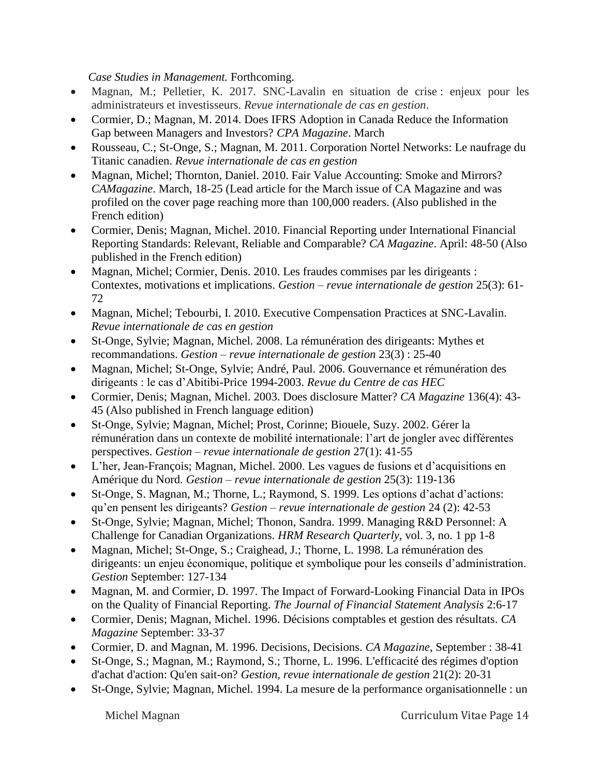*Case Studies in Management.* Forthcoming.

- Magnan, M.; Pelletier, K. 2017. SNC-Lavalin en situation de crise : enjeux pour les administrateurs et investisseurs. *Revue internationale de cas en gestion*.
- Cormier, D.; Magnan, M. 2014. Does IFRS Adoption in Canada Reduce the Information Gap between Managers and Investors? *CPA Magazine*. March
- Rousseau, C.; St-Onge, S.; Magnan, M. 2011. Corporation Nortel Networks: Le naufrage du Titanic canadien. *Revue internationale de cas en gestion*
- Magnan, Michel; Thornton, Daniel. 2010. Fair Value Accounting: Smoke and Mirrors? *CAMagazine*. March, 18-25 (Lead article for the March issue of CA Magazine and was profiled on the cover page reaching more than 100,000 readers. (Also published in the French edition)
- Cormier, Denis; Magnan, Michel. 2010. Financial Reporting under International Financial Reporting Standards: Relevant, Reliable and Comparable? *CA Magazine*. April: 48-50 (Also published in the French edition)
- Magnan, Michel; Cormier, Denis. 2010. Les fraudes commises par les dirigeants : Contextes, motivations et implications. *Gestion – revue internationale de gestion* 25(3): 61- 72
- Magnan, Michel; Tebourbi, I. 2010. Executive Compensation Practices at SNC-Lavalin. *Revue internationale de cas en gestion*
- St-Onge, Sylvie; Magnan, Michel. 2008. La rémunération des dirigeants: Mythes et recommandations. *Gestion – revue internationale de gestion* 23(3) : 25-40
- Magnan, Michel; St-Onge, Sylvie; André, Paul. 2006. Gouvernance et rémunération des dirigeants : le cas d'Abitibi-Price 1994-2003. *Revue du Centre de cas HEC*
- Cormier, Denis; Magnan, Michel. 2003. Does disclosure Matter? *CA Magazine* 136(4): 43- 45 (Also published in French language edition)
- St-Onge, Sylvie; Magnan, Michel; Prost, Corinne; Biouele, Suzy. 2002. Gérer la rémunération dans un contexte de mobilité internationale: l'art de jongler avec différentes perspectives. *Gestion – revue internationale de gestion* 27(1): 41-55
- L'her, Jean-François; Magnan, Michel. 2000. Les vagues de fusions et d'acquisitions en Amérique du Nord. *Gestion – revue internationale de gestion* 25(3): 119-136
- St-Onge, S. Magnan, M.; Thorne, L.; Raymond, S. 1999. Les options d'achat d'actions: qu'en pensent les dirigeants? *Gestion – revue internationale de gestion* 24 (2): 42-53
- St-Onge, Sylvie; Magnan, Michel; Thonon, Sandra. 1999. Managing R&D Personnel: A Challenge for Canadian Organizations. *HRM Research Quarterly*, vol. 3, no. 1 pp 1-8
- Magnan, Michel; St-Onge, S.; Craighead, J.; Thorne, L. 1998. La rémunération des dirigeants: un enjeu économique, politique et symbolique pour les conseils d'administration. *Gestion* September: 127-134
- Magnan, M. and Cormier, D. 1997. The Impact of Forward-Looking Financial Data in IPOs on the Quality of Financial Reporting. *The Journal of Financial Statement Analysis* 2:6-17
- Cormier, Denis; Magnan, Michel. 1996. Décisions comptables et gestion des résultats. *CA Magazine* September: 33-37
- Cormier, D. and Magnan, M. 1996. Decisions, Decisions. *CA Magazine*, September : 38-41
- St-Onge, S.; Magnan, M.; Raymond, S.; Thorne, L. 1996. L'efficacité des régimes d'option d'achat d'action: Qu'en sait-on? *Gestion, revue internationale de gestion* 21(2): 20-31
- St-Onge, Sylvie; Magnan, Michel. 1994. La mesure de la performance organisationnelle : un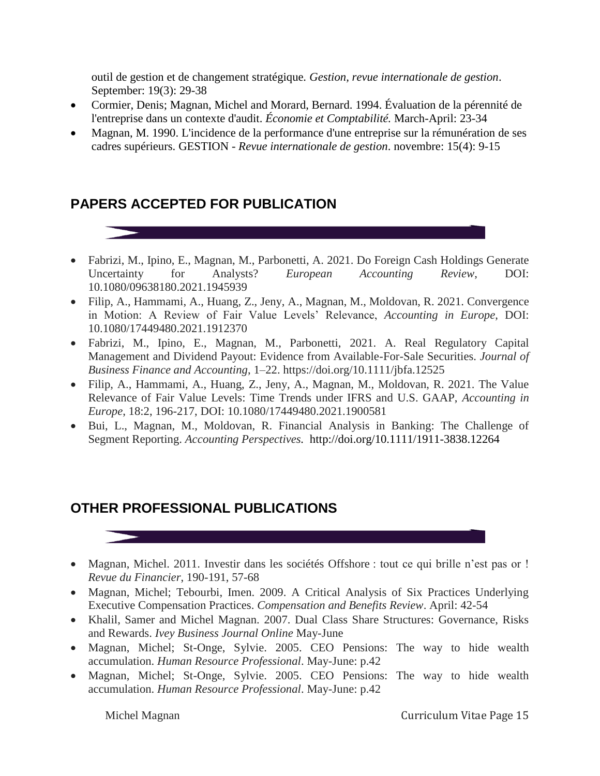outil de gestion et de changement stratégique*. Gestion, revue internationale de gestion*. September: 19(3): 29-38

- Cormier, Denis; Magnan, Michel and Morard, Bernard. 1994. Évaluation de la pérennité de l'entreprise dans un contexte d'audit. *Économie et Comptabilité.* March-April: 23-34
- Magnan, M. 1990. L'incidence de la performance d'une entreprise sur la rémunération de ses cadres supérieurs. GESTION - *Revue internationale de gestion*. novembre: 15(4): 9-15

# **PAPERS ACCEPTED FOR PUBLICATION**

- Fabrizi, M., Ipino, E., Magnan, M., Parbonetti, A. 2021. Do Foreign Cash Holdings Generate Uncertainty for Analysts? *European Accounting Review*, DOI: 10.1080/09638180.2021.1945939
- Filip, A., Hammami, A., Huang, Z., Jeny, A., Magnan, M., Moldovan, R. 2021. Convergence in Motion: A Review of Fair Value Levels' Relevance, *Accounting in Europe*, DOI: 10.1080/17449480.2021.1912370
- Fabrizi, M., Ipino, E., Magnan, M., Parbonetti, 2021. A. Real Regulatory Capital Management and Dividend Payout: Evidence from Available-For-Sale Securities. *Journal of Business Finance and Accounting*, 1–22. https://doi.org/10.1111/jbfa.12525
- Filip, A., Hammami, A., Huang, Z., Jeny, A., Magnan, M., Moldovan, R. 2021. The Value Relevance of Fair Value Levels: Time Trends under IFRS and U.S. GAAP, *Accounting in Europe*, 18:2, 196-217, DOI: 10.1080/17449480.2021.1900581
- Bui, L., Magnan, M., Moldovan, R. Financial Analysis in Banking: The Challenge of Segment Reporting. *Accounting Perspectives.* <http://doi.org/10.1111/1911-3838.12264>

## **OTHER PROFESSIONAL PUBLICATIONS**

- Magnan, Michel. 2011. Investir dans les sociétés Offshore : tout ce qui brille n'est pas or ! *Revue du Financier*, 190-191, 57-68
- Magnan, Michel; Tebourbi, Imen. 2009. A Critical Analysis of Six Practices Underlying Executive Compensation Practices. *Compensation and Benefits Review*. April: 42-54
- Khalil, Samer and Michel Magnan. 2007. Dual Class Share Structures: Governance, Risks and Rewards. *Ivey Business Journal Online* May-June
- Magnan, Michel; St-Onge, Sylvie. 2005. CEO Pensions: The way to hide wealth accumulation. *Human Resource Professional*. May-June: p.42
- Magnan, Michel; St-Onge, Sylvie. 2005. CEO Pensions: The way to hide wealth accumulation. *Human Resource Professional*. May-June: p.42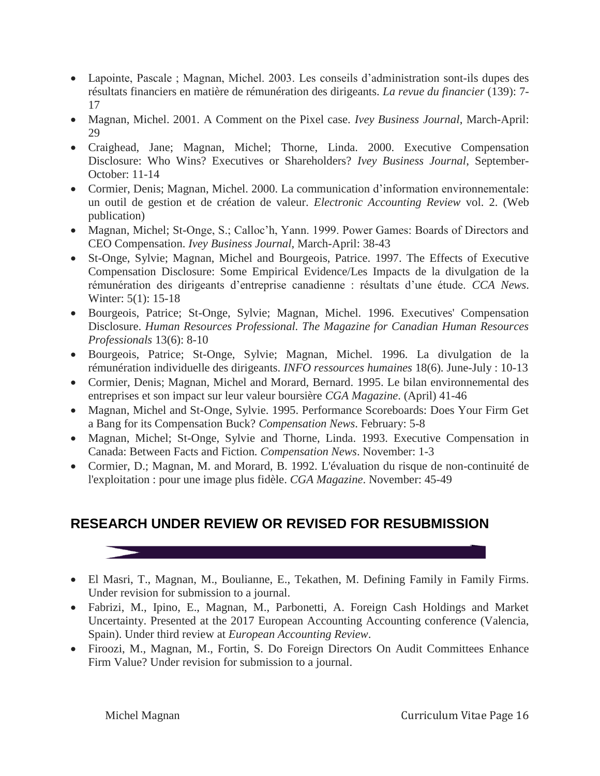- Lapointe, Pascale ; Magnan, Michel. 2003. Les conseils d'administration sont-ils dupes des résultats financiers en matière de rémunération des dirigeants. *La revue du financier* (139): 7- 17
- Magnan, Michel. 2001. A Comment on the Pixel case. *Ivey Business Journal*, March-April:  $29$
- Craighead, Jane; Magnan, Michel; Thorne, Linda. 2000. Executive Compensation Disclosure: Who Wins? Executives or Shareholders? *Ivey Business Journal*, September-October: 11-14
- Cormier, Denis; Magnan, Michel. 2000. La communication d'information environnementale: un outil de gestion et de création de valeur. *Electronic Accounting Review* vol. 2. (Web publication)
- Magnan, Michel; St-Onge, S.; Calloc'h, Yann. 1999. Power Games: Boards of Directors and CEO Compensation. *Ivey Business Journal*, March-April: 38-43
- St-Onge, Sylvie; Magnan, Michel and Bourgeois, Patrice. 1997. The Effects of Executive Compensation Disclosure: Some Empirical Evidence/Les Impacts de la divulgation de la rémunération des dirigeants d'entreprise canadienne : résultats d'une étude. *CCA News*. Winter: 5(1): 15-18
- Bourgeois, Patrice; St-Onge, Sylvie; Magnan, Michel. 1996. Executives' Compensation Disclosure. *Human Resources Professional. The Magazine for Canadian Human Resources Professionals* 13(6): 8-10
- Bourgeois, Patrice; St-Onge, Sylvie; Magnan, Michel. 1996. La divulgation de la rémunération individuelle des dirigeants. *INFO ressources humaines* 18(6). June-July : 10-13
- Cormier, Denis; Magnan, Michel and Morard, Bernard. 1995. Le bilan environnemental des entreprises et son impact sur leur valeur boursière *CGA Magazine*. (April) 41-46
- Magnan, Michel and St-Onge, Sylvie. 1995. Performance Scoreboards: Does Your Firm Get a Bang for its Compensation Buck? *Compensation News*. February: 5-8
- Magnan, Michel; St-Onge, Sylvie and Thorne, Linda. 1993. Executive Compensation in Canada: Between Facts and Fiction*. Compensation News*. November: 1-3
- Cormier, D.; Magnan, M. and Morard, B. 1992. L'évaluation du risque de non-continuité de l'exploitation : pour une image plus fidèle. *CGA Magazine*. November: 45-49

# **RESEARCH UNDER REVIEW OR REVISED FOR RESUBMISSION**

- El Masri, T., Magnan, M., Boulianne, E., Tekathen, M. Defining Family in Family Firms. Under revision for submission to a journal.
- Fabrizi, M., Ipino, E., Magnan, M., Parbonetti, A. Foreign Cash Holdings and Market Uncertainty. Presented at the 2017 European Accounting Accounting conference (Valencia, Spain). Under third review at *European Accounting Review*.
- Firoozi, M., Magnan, M., Fortin, S. Do Foreign Directors On Audit Committees Enhance Firm Value? Under revision for submission to a journal.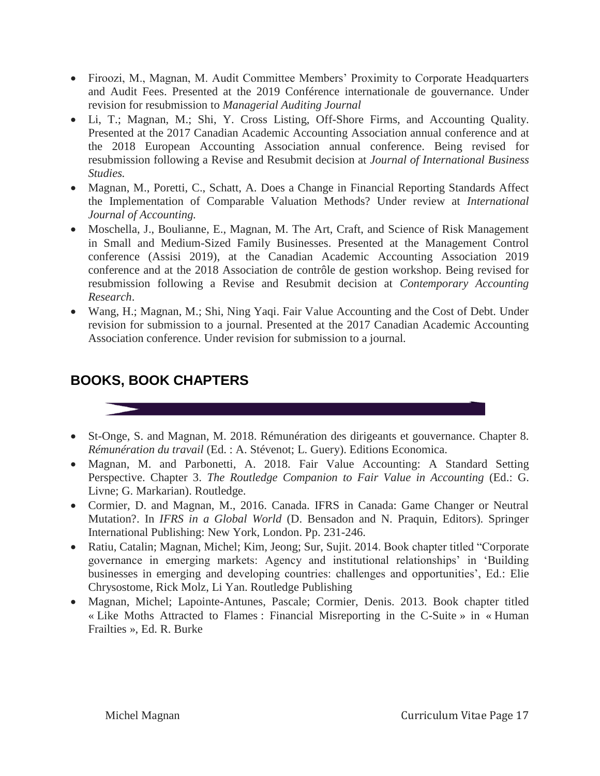- Firoozi, M., Magnan, M. Audit Committee Members' Proximity to Corporate Headquarters and Audit Fees. Presented at the 2019 Conférence internationale de gouvernance. Under revision for resubmission to *Managerial Auditing Journal*
- Li, T.; Magnan, M.; Shi, Y. Cross Listing, Off-Shore Firms, and Accounting Quality. Presented at the 2017 Canadian Academic Accounting Association annual conference and at the 2018 European Accounting Association annual conference. Being revised for resubmission following a Revise and Resubmit decision at *Journal of International Business Studies.*
- Magnan, M., Poretti, C., Schatt, A. Does a Change in Financial Reporting Standards Affect the Implementation of Comparable Valuation Methods? Under review at *International Journal of Accounting.*
- Moschella, J., Boulianne, E., Magnan, M. The Art, Craft, and Science of Risk Management in Small and Medium-Sized Family Businesses. Presented at the Management Control conference (Assisi 2019), at the Canadian Academic Accounting Association 2019 conference and at the 2018 Association de contrôle de gestion workshop. Being revised for resubmission following a Revise and Resubmit decision at *Contemporary Accounting Research*.
- Wang, H.; Magnan, M.; Shi, Ning Yaqi. Fair Value Accounting and the Cost of Debt. Under revision for submission to a journal. Presented at the 2017 Canadian Academic Accounting Association conference. Under revision for submission to a journal*.*

## **BOOKS, BOOK CHAPTERS**

- St-Onge, S. and Magnan, M. 2018. Rémunération des dirigeants et gouvernance. Chapter 8. *Rémunération du travail* (Ed. : A. Stévenot; L. Guery). Editions Economica.
- Magnan, M. and Parbonetti, A. 2018. Fair Value Accounting: A Standard Setting Perspective. Chapter 3. *The Routledge Companion to Fair Value in Accounting* (Ed.: G. Livne; G. Markarian). Routledge.
- Cormier, D. and Magnan, M., 2016. Canada. IFRS in Canada: Game Changer or Neutral Mutation?. In *IFRS in a Global World* (D. Bensadon and N. Praquin, Editors). Springer International Publishing: New York, London. Pp. 231-246.
- Ratiu, Catalin; Magnan, Michel; Kim, Jeong; Sur, Sujit. 2014. Book chapter titled "Corporate governance in emerging markets: Agency and institutional relationships' in 'Building businesses in emerging and developing countries: challenges and opportunities', Ed.: Elie Chrysostome, Rick Molz, Li Yan. Routledge Publishing
- Magnan, Michel; Lapointe-Antunes, Pascale; Cormier, Denis. 2013. Book chapter titled « Like Moths Attracted to Flames : Financial Misreporting in the C-Suite » in « Human Frailties », Ed. R. Burke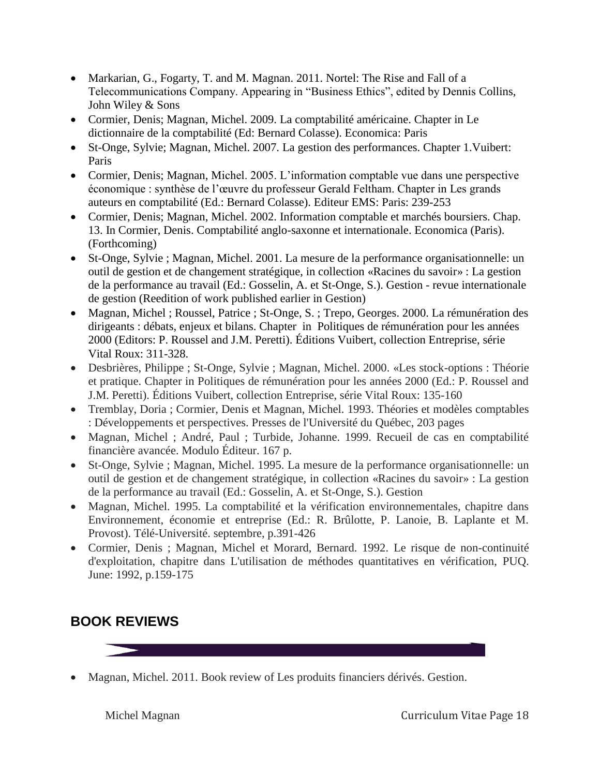- Markarian, G., Fogarty, T. and M. Magnan. 2011. Nortel: The Rise and Fall of a Telecommunications Company. Appearing in "Business Ethics", edited by Dennis Collins, John Wiley & Sons
- Cormier, Denis; Magnan, Michel. 2009. La comptabilité américaine. Chapter in Le dictionnaire de la comptabilité (Ed: Bernard Colasse). Economica: Paris
- St-Onge, Sylvie; Magnan, Michel. 2007. La gestion des performances. Chapter 1.Vuibert: Paris
- Cormier, Denis; Magnan, Michel. 2005. L'information comptable vue dans une perspective économique : synthèse de l'œuvre du professeur Gerald Feltham. Chapter in Les grands auteurs en comptabilité (Ed.: Bernard Colasse). Editeur EMS: Paris: 239-253
- Cormier, Denis; Magnan, Michel. 2002. Information comptable et marchés boursiers. Chap. 13. In Cormier, Denis. Comptabilité anglo-saxonne et internationale. Economica (Paris). (Forthcoming)
- St-Onge, Sylvie ; Magnan, Michel. 2001. La mesure de la performance organisationnelle: un outil de gestion et de changement stratégique, in collection «Racines du savoir» : La gestion de la performance au travail (Ed.: Gosselin, A. et St-Onge, S.). Gestion - revue internationale de gestion (Reedition of work published earlier in Gestion)
- Magnan, Michel ; Roussel, Patrice ; St-Onge, S. ; Trepo, Georges. 2000. La rémunération des dirigeants : débats, enjeux et bilans. Chapter in Politiques de rémunération pour les années 2000 (Editors: P. Roussel and J.M. Peretti). Éditions Vuibert, collection Entreprise, série Vital Roux: 311-328.
- Desbrières, Philippe ; St-Onge, Sylvie ; Magnan, Michel. 2000. «Les stock-options : Théorie et pratique. Chapter in Politiques de rémunération pour les années 2000 (Ed.: P. Roussel and J.M. Peretti). Éditions Vuibert, collection Entreprise, série Vital Roux: 135-160
- Tremblay, Doria ; Cormier, Denis et Magnan, Michel. 1993. Théories et modèles comptables : Développements et perspectives. Presses de l'Université du Québec, 203 pages
- Magnan, Michel ; André, Paul ; Turbide, Johanne. 1999. Recueil de cas en comptabilité financière avancée. Modulo Éditeur. 167 p.
- St-Onge, Sylvie ; Magnan, Michel. 1995. La mesure de la performance organisationnelle: un outil de gestion et de changement stratégique, in collection «Racines du savoir» : La gestion de la performance au travail (Ed.: Gosselin, A. et St-Onge, S.). Gestion
- Magnan, Michel. 1995. La comptabilité et la vérification environnementales, chapitre dans Environnement, économie et entreprise (Ed.: R. Brûlotte, P. Lanoie, B. Laplante et M. Provost). Télé-Université. septembre, p.391-426
- Cormier, Denis ; Magnan, Michel et Morard, Bernard. 1992. Le risque de non-continuité d'exploitation, chapitre dans L'utilisation de méthodes quantitatives en vérification, PUQ. June: 1992, p.159-175

# **BOOK REVIEWS**

• Magnan, Michel. 2011. Book review of Les produits financiers dérivés. Gestion.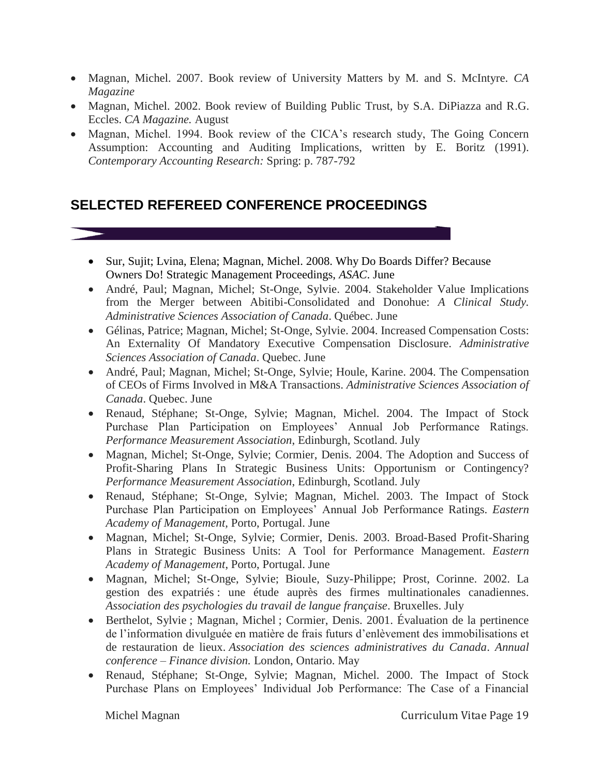- Magnan, Michel. 2007. Book review of University Matters by M. and S. McIntyre. *CA Magazine*
- Magnan, Michel. 2002. Book review of Building Public Trust, by S.A. DiPiazza and R.G. Eccles. *CA Magazine.* August
- Magnan, Michel. 1994. Book review of the CICA's research study, The Going Concern Assumption: Accounting and Auditing Implications, written by E. Boritz (1991). *Contemporary Accounting Research:* Spring: p. 787-792

# **SELECTED REFEREED CONFERENCE PROCEEDINGS**

- Sur, Sujit; Lvina, Elena; Magnan, Michel. 2008. Why Do Boards Differ? Because Owners Do! Strategic Management Proceedings, *ASAC*. June
- André, Paul; Magnan, Michel; St-Onge, Sylvie. 2004. Stakeholder Value Implications from the Merger between Abitibi-Consolidated and Donohue: *A Clinical Study. Administrative Sciences Association of Canada*. Québec. June
- Gélinas, Patrice; Magnan, Michel; St-Onge, Sylvie. 2004. Increased Compensation Costs: An Externality Of Mandatory Executive Compensation Disclosure. *Administrative Sciences Association of Canada*. Quebec. June
- André, Paul; Magnan, Michel; St-Onge, Sylvie; Houle, Karine. 2004. The Compensation of CEOs of Firms Involved in M&A Transactions. *Administrative Sciences Association of Canada*. Quebec. June
- Renaud, Stéphane; St-Onge, Sylvie; Magnan, Michel. 2004. The Impact of Stock Purchase Plan Participation on Employees' Annual Job Performance Ratings. *Performance Measurement Association*, Edinburgh, Scotland. July
- Magnan, Michel; St-Onge, Sylvie; Cormier, Denis. 2004. The Adoption and Success of Profit-Sharing Plans In Strategic Business Units: Opportunism or Contingency? *Performance Measurement Association*, Edinburgh, Scotland. July
- Renaud, Stéphane; St-Onge, Sylvie; Magnan, Michel. 2003. The Impact of Stock Purchase Plan Participation on Employees' Annual Job Performance Ratings. *Eastern Academy of Management,* Porto, Portugal. June
- Magnan, Michel; St-Onge, Sylvie; Cormier, Denis. 2003. Broad-Based Profit-Sharing Plans in Strategic Business Units: A Tool for Performance Management. *Eastern Academy of Management*, Porto, Portugal. June
- Magnan, Michel; St-Onge, Sylvie; Bioule, Suzy-Philippe; Prost, Corinne. 2002. La gestion des expatriés : une étude auprès des firmes multinationales canadiennes. *Association des psychologies du travail de langue française*. Bruxelles. July
- Berthelot, Sylvie ; Magnan, Michel ; Cormier, Denis. 2001. Évaluation de la pertinence de l'information divulguée en matière de frais futurs d'enlèvement des immobilisations et de restauration de lieux. *Association des sciences administratives du Canada*. *Annual conference – Finance division.* London, Ontario. May
- Renaud, Stéphane; St-Onge, Sylvie; Magnan, Michel. 2000. The Impact of Stock Purchase Plans on Employees' Individual Job Performance: The Case of a Financial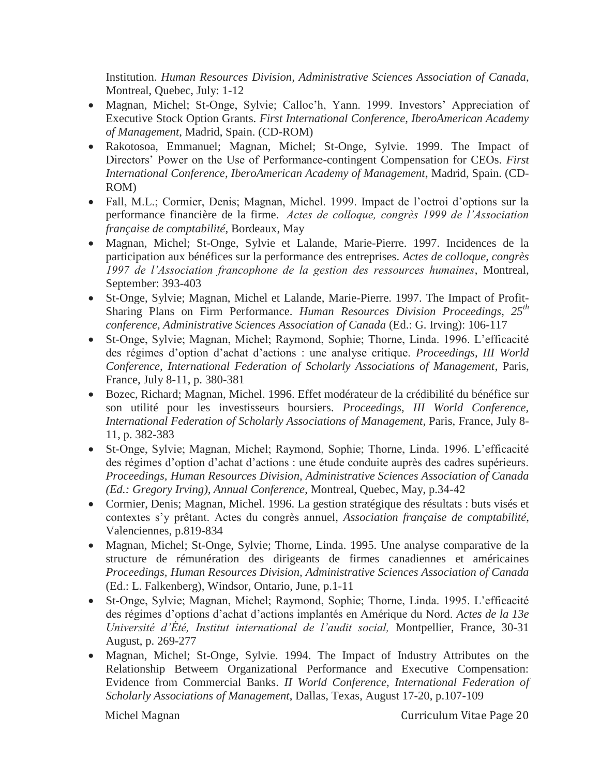Institution. *Human Resources Division, Administrative Sciences Association of Canada*, Montreal, Quebec, July: 1-12

- Magnan, Michel; St-Onge, Sylvie; Calloc'h, Yann. 1999. Investors' Appreciation of Executive Stock Option Grants. *First International Conference, IberoAmerican Academy of Management*, Madrid, Spain. (CD-ROM)
- Rakotosoa, Emmanuel; Magnan, Michel; St-Onge, Sylvie. 1999. The Impact of Directors' Power on the Use of Performance-contingent Compensation for CEOs. *First International Conference, IberoAmerican Academy of Management*, Madrid, Spain. (CD-ROM)
- Fall, M.L.; Cormier, Denis; Magnan, Michel. 1999. Impact de l'octroi d'options sur la performance financière de la firme. *Actes de colloque, congrès 1999 de l'Association française de comptabilité,* Bordeaux, May
- Magnan, Michel; St-Onge, Sylvie et Lalande, Marie-Pierre. 1997. Incidences de la participation aux bénéfices sur la performance des entreprises. *Actes de colloque, congrès 1997 de l'Association francophone de la gestion des ressources humaines*, Montreal, September: 393-403
- St-Onge, Sylvie; Magnan, Michel et Lalande, Marie-Pierre. 1997. The Impact of Profit-Sharing Plans on Firm Performance. *Human Resources Division Proceedings, 25th conference, Administrative Sciences Association of Canada* (Ed.: G. Irving): 106-117
- St-Onge, Sylvie; Magnan, Michel; Raymond, Sophie; Thorne, Linda. 1996. L'efficacité des régimes d'option d'achat d'actions : une analyse critique. *Proceedings, III World Conference, International Federation of Scholarly Associations of Management*, Paris, France, July 8-11, p. 380-381
- Bozec, Richard; Magnan, Michel. 1996. Effet modérateur de la crédibilité du bénéfice sur son utilité pour les investisseurs boursiers. *Proceedings, III World Conference, International Federation of Scholarly Associations of Management,* Paris, France, July 8- 11, p. 382-383
- St-Onge, Sylvie; Magnan, Michel; Raymond, Sophie; Thorne, Linda. 1996. L'efficacité des régimes d'option d'achat d'actions : une étude conduite auprès des cadres supérieurs. *Proceedings, Human Resources Division, Administrative Sciences Association of Canada (Ed.: Gregory Irving), Annual Conference*, Montreal, Quebec, May, p.34-42
- Cormier, Denis; Magnan, Michel. 1996. La gestion stratégique des résultats : buts visés et contextes s'y prêtant. Actes du congrès annuel, *Association française de comptabilité,* Valenciennes, p.819-834
- Magnan, Michel; St-Onge, Sylvie; Thorne, Linda. 1995. Une analyse comparative de la structure de rémunération des dirigeants de firmes canadiennes et américaines *Proceedings, Human Resources Division, Administrative Sciences Association of Canada* (Ed.: L. Falkenberg), Windsor, Ontario, June, p.1-11
- St-Onge, Sylvie; Magnan, Michel; Raymond, Sophie; Thorne, Linda. 1995. L'efficacité des régimes d'options d'achat d'actions implantés en Amérique du Nord. *Actes de la 13e Université d'Été, Institut international de l'audit social,* Montpellier, France, 30-31 August, p. 269-277
- Magnan, Michel; St-Onge, Sylvie. 1994. The Impact of Industry Attributes on the Relationship Betweem Organizational Performance and Executive Compensation: Evidence from Commercial Banks. *II World Conference, International Federation of Scholarly Associations of Management*, Dallas, Texas, August 17-20, p.107-109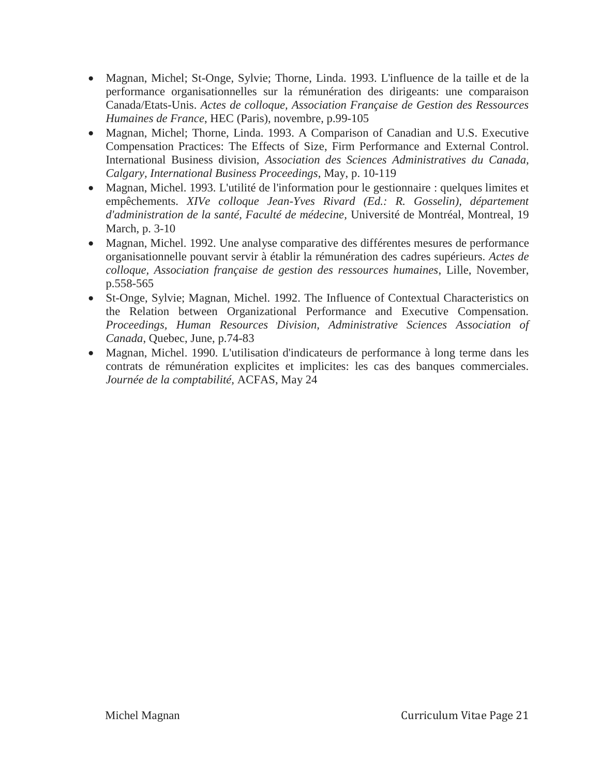- Magnan, Michel; St-Onge, Sylvie; Thorne, Linda. 1993. L'influence de la taille et de la performance organisationnelles sur la rémunération des dirigeants: une comparaison Canada/Etats-Unis. *Actes de colloque, Association Française de Gestion des Ressources Humaines de France*, HEC (Paris), novembre, p.99-105
- Magnan, Michel; Thorne, Linda. 1993. A Comparison of Canadian and U.S. Executive Compensation Practices: The Effects of Size, Firm Performance and External Control. International Business division, *Association des Sciences Administratives du Canada, Calgary, International Business Proceedings*, May, p. 10-119
- Magnan, Michel. 1993. L'utilité de l'information pour le gestionnaire : quelques limites et empêchements. *XIVe colloque Jean-Yves Rivard (Ed.: R. Gosselin), département d'administration de la santé, Faculté de médecine,* Université de Montréal, Montreal, 19 March, p. 3-10
- Magnan, Michel. 1992. Une analyse comparative des différentes mesures de performance organisationnelle pouvant servir à établir la rémunération des cadres supérieurs. *Actes de colloque, Association française de gestion des ressources humaines*, Lille, November, p.558-565
- St-Onge, Sylvie; Magnan, Michel. 1992. The Influence of Contextual Characteristics on the Relation between Organizational Performance and Executive Compensation. *Proceedings, Human Resources Division, Administrative Sciences Association of Canada*, Quebec, June, p.74-83
- Magnan, Michel. 1990. L'utilisation d'indicateurs de performance à long terme dans les contrats de rémunération explicites et implicites: les cas des banques commerciales*. Journée de la comptabilité,* ACFAS, May 24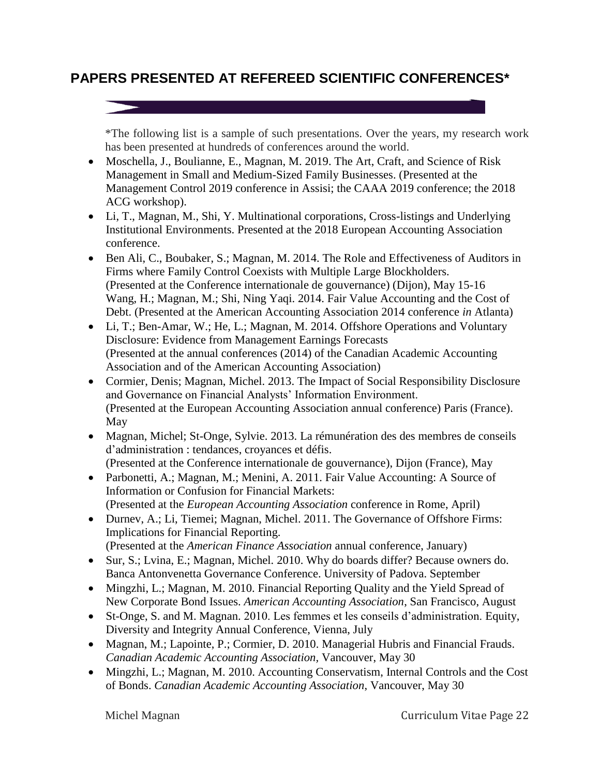# **PAPERS PRESENTED AT REFEREED SCIENTIFIC CONFERENCES\***

\*The following list is a sample of such presentations. Over the years, my research work has been presented at hundreds of conferences around the world.

- Moschella, J., Boulianne, E., Magnan, M. 2019. The Art, Craft, and Science of Risk Management in Small and Medium-Sized Family Businesses. (Presented at the Management Control 2019 conference in Assisi; the CAAA 2019 conference; the 2018 ACG workshop).
- Li, T., Magnan, M., Shi, Y. Multinational corporations, Cross-listings and Underlying Institutional Environments. Presented at the 2018 European Accounting Association conference.
- Ben Ali, C., Boubaker, S.; Magnan, M. 2014. The Role and Effectiveness of Auditors in Firms where Family Control Coexists with Multiple Large Blockholders. (Presented at the Conference internationale de gouvernance) (Dijon), May 15-16 Wang, H.; Magnan, M.; Shi, Ning Yaqi. 2014. Fair Value Accounting and the Cost of Debt. (Presented at the American Accounting Association 2014 conference *in* Atlanta)
- Li, T.; Ben-Amar, W.; He, L.; Magnan, M. 2014. Offshore Operations and Voluntary Disclosure: Evidence from Management Earnings Forecasts (Presented at the annual conferences (2014) of the Canadian Academic Accounting Association and of the American Accounting Association)
- Cormier, Denis; Magnan, Michel. 2013. The Impact of Social Responsibility Disclosure and Governance on Financial Analysts' Information Environment. (Presented at the European Accounting Association annual conference) Paris (France). May
- Magnan, Michel; St-Onge, Sylvie. 2013. La rémunération des des membres de conseils d'administration : tendances, croyances et défis. (Presented at the Conference internationale de gouvernance), Dijon (France), May
- Parbonetti, A.; Magnan, M.; Menini, A. 2011. Fair Value Accounting: A Source of Information or Confusion for Financial Markets: (Presented at the *European Accounting Association* conference in Rome, April)
- Durnev, A.; Li, Tiemei; Magnan, Michel. 2011. The Governance of Offshore Firms: Implications for Financial Reporting. (Presented at the *American Finance Association* annual conference, January)
- Sur, S.; Lvina, E.; Magnan, Michel. 2010. Why do boards differ? Because owners do. Banca Antonvenetta Governance Conference. University of Padova. September
- Mingzhi, L.; Magnan, M. 2010. Financial Reporting Quality and the Yield Spread of New Corporate Bond Issues. *American Accounting Association*, San Francisco, August
- St-Onge, S. and M. Magnan. 2010. Les femmes et les conseils d'administration. Equity, Diversity and Integrity Annual Conference, Vienna, July
- Magnan, M.; Lapointe, P.; Cormier, D. 2010. Managerial Hubris and Financial Frauds. *Canadian Academic Accounting Association,* Vancouver, May 30
- Mingzhi, L.; Magnan, M. 2010. Accounting Conservatism, Internal Controls and the Cost of Bonds. *Canadian Academic Accounting Association*, Vancouver, May 30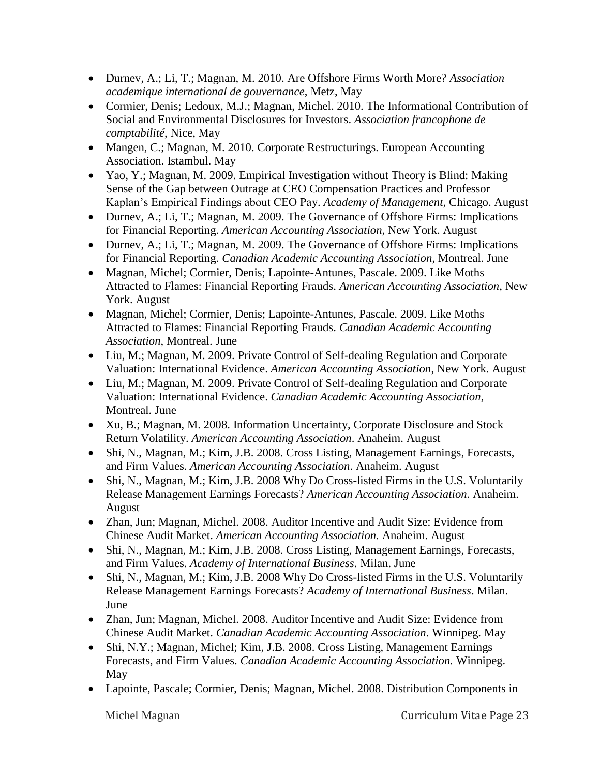- Durnev, A.; Li, T.; Magnan, M. 2010. Are Offshore Firms Worth More? *Association academique international de gouvernance*, Metz, May
- Cormier, Denis; Ledoux, M.J.; Magnan, Michel. 2010. The Informational Contribution of Social and Environmental Disclosures for Investors. *Association francophone de comptabilité*, Nice, May
- Mangen, C.; Magnan, M. 2010. Corporate Restructurings. European Accounting Association. Istambul. May
- Yao, Y.; Magnan, M. 2009. Empirical Investigation without Theory is Blind: Making Sense of the Gap between Outrage at CEO Compensation Practices and Professor Kaplan's Empirical Findings about CEO Pay. *Academy of Management*, Chicago. August
- Durnev, A.; Li, T.; Magnan, M. 2009. The Governance of Offshore Firms: Implications for Financial Reporting. *American Accounting Association*, New York. August
- Durney, A.; Li, T.; Magnan, M. 2009. The Governance of Offshore Firms: Implications for Financial Reporting. *Canadian Academic Accounting Association*, Montreal. June
- Magnan, Michel; Cormier, Denis; Lapointe-Antunes, Pascale. 2009. Like Moths Attracted to Flames: Financial Reporting Frauds. *American Accounting Association*, New York. August
- Magnan, Michel; Cormier, Denis; Lapointe-Antunes, Pascale. 2009. Like Moths Attracted to Flames: Financial Reporting Frauds. *Canadian Academic Accounting Association*, Montreal. June
- Liu, M.; Magnan, M. 2009. Private Control of Self-dealing Regulation and Corporate Valuation: International Evidence. *American Accounting Association*, New York. August
- Liu, M.; Magnan, M. 2009. Private Control of Self-dealing Regulation and Corporate Valuation: International Evidence. *Canadian Academic Accounting Association*, Montreal. June
- Xu, B.; Magnan, M. 2008. Information Uncertainty, Corporate Disclosure and Stock Return Volatility. *American Accounting Association*. Anaheim. August
- Shi, N., Magnan, M.; Kim, J.B. 2008. Cross Listing, Management Earnings, Forecasts, and Firm Values. *American Accounting Association*. Anaheim. August
- Shi, N., Magnan, M.; Kim, J.B. 2008 Why Do Cross-listed Firms in the U.S. Voluntarily Release Management Earnings Forecasts? *American Accounting Association*. Anaheim. August
- Zhan, Jun; Magnan, Michel. 2008. Auditor Incentive and Audit Size: Evidence from Chinese Audit Market. *American Accounting Association.* Anaheim. August
- Shi, N., Magnan, M.; Kim, J.B. 2008. Cross Listing, Management Earnings, Forecasts, and Firm Values. *Academy of International Business*. Milan. June
- Shi, N., Magnan, M.; Kim, J.B. 2008 Why Do Cross-listed Firms in the U.S. Voluntarily Release Management Earnings Forecasts? *Academy of International Business*. Milan. June
- Zhan, Jun; Magnan, Michel. 2008. Auditor Incentive and Audit Size: Evidence from Chinese Audit Market. *Canadian Academic Accounting Association*. Winnipeg. May
- Shi, N.Y.; Magnan, Michel; Kim, J.B. 2008. Cross Listing, Management Earnings Forecasts, and Firm Values. *Canadian Academic Accounting Association.* Winnipeg. May
- Lapointe, Pascale; Cormier, Denis; Magnan, Michel. 2008. Distribution Components in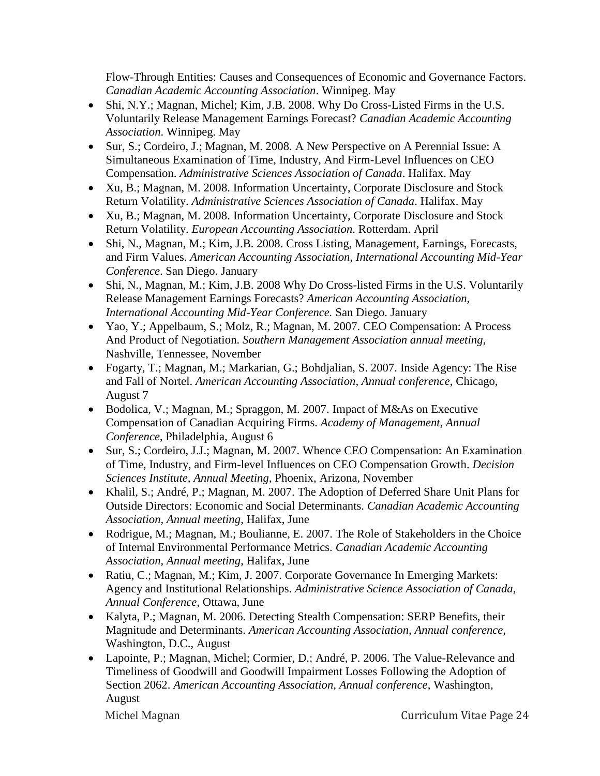Flow-Through Entities: Causes and Consequences of Economic and Governance Factors. *Canadian Academic Accounting Association*. Winnipeg. May

- Shi, N.Y.; Magnan, Michel; Kim, J.B. 2008. Why Do Cross-Listed Firms in the U.S. Voluntarily Release Management Earnings Forecast? *Canadian Academic Accounting Association*. Winnipeg. May
- Sur, S.; Cordeiro, J.; Magnan, M. 2008. A New Perspective on A Perennial Issue: A Simultaneous Examination of Time, Industry, And Firm-Level Influences on CEO Compensation. *Administrative Sciences Association of Canada*. Halifax. May
- Xu, B.; Magnan, M. 2008. Information Uncertainty, Corporate Disclosure and Stock Return Volatility. *Administrative Sciences Association of Canada*. Halifax. May
- Xu, B.; Magnan, M. 2008. Information Uncertainty, Corporate Disclosure and Stock Return Volatility. *European Accounting Association*. Rotterdam. April
- Shi, N., Magnan, M.; Kim, J.B. 2008. Cross Listing, Management, Earnings, Forecasts, and Firm Values. *American Accounting Association, International Accounting Mid-Year Conference*. San Diego. January
- Shi, N., Magnan, M.; Kim, J.B. 2008 Why Do Cross-listed Firms in the U.S. Voluntarily Release Management Earnings Forecasts? *American Accounting Association, International Accounting Mid-Year Conference.* San Diego. January
- Yao, Y.; Appelbaum, S.; Molz, R.; Magnan, M. 2007. CEO Compensation: A Process And Product of Negotiation. *Southern Management Association annual meeting,* Nashville, Tennessee, November
- Fogarty, T.; Magnan, M.; Markarian, G.; Bohdjalian, S. 2007. Inside Agency: The Rise and Fall of Nortel. *American Accounting Association, Annual conference*, Chicago, August 7
- Bodolica, V.; Magnan, M.; Spraggon, M. 2007. Impact of M&As on Executive Compensation of Canadian Acquiring Firms. *Academy of Management, Annual Conference*, Philadelphia, August 6
- Sur, S.; Cordeiro, J.J.; Magnan, M. 2007. Whence CEO Compensation: An Examination of Time, Industry, and Firm-level Influences on CEO Compensation Growth. *Decision Sciences Institute, Annual Meeting*, Phoenix, Arizona, November
- Khalil, S.; André, P.; Magnan, M. 2007. The Adoption of Deferred Share Unit Plans for Outside Directors: Economic and Social Determinants. *Canadian Academic Accounting Association, Annual meeting*, Halifax, June
- Rodrigue, M.; Magnan, M.; Boulianne, E. 2007. The Role of Stakeholders in the Choice of Internal Environmental Performance Metrics. *Canadian Academic Accounting Association, Annual meeting*, Halifax, June
- Ratiu, C.; Magnan, M.; Kim, J. 2007. Corporate Governance In Emerging Markets: Agency and Institutional Relationships. *Administrative Science Association of Canada, Annual Conference*, Ottawa, June
- Kalyta, P.; Magnan, M. 2006. Detecting Stealth Compensation: SERP Benefits, their Magnitude and Determinants. *American Accounting Association, Annual conference,* Washington, D.C., August
- Lapointe, P.; Magnan, Michel; Cormier, D.; André, P. 2006. The Value-Relevance and Timeliness of Goodwill and Goodwill Impairment Losses Following the Adoption of Section 2062. *American Accounting Association, Annual conference*, Washington, August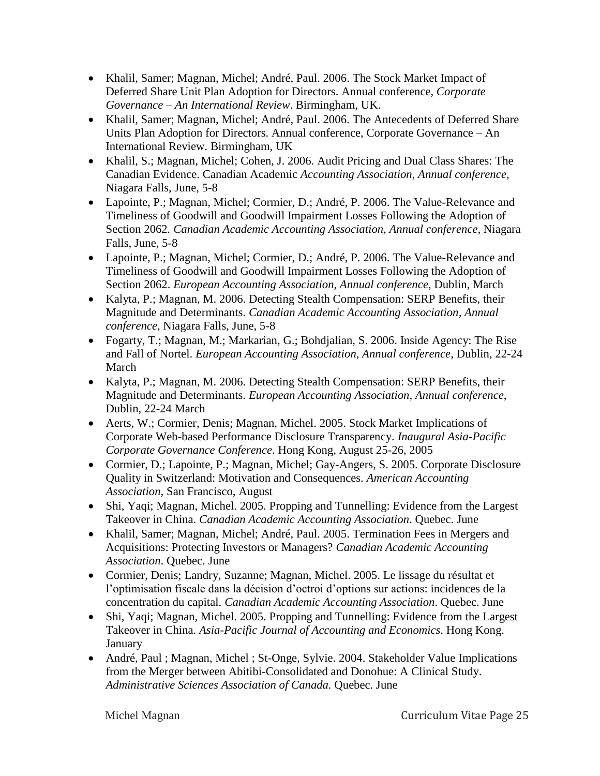- Khalil, Samer; Magnan, Michel; André, Paul. 2006. The Stock Market Impact of Deferred Share Unit Plan Adoption for Directors. Annual conference, *Corporate Governance – An International Review*. Birmingham, UK.
- Khalil, Samer; Magnan, Michel; André, Paul. 2006. The Antecedents of Deferred Share Units Plan Adoption for Directors. Annual conference, Corporate Governance – An International Review. Birmingham, UK
- Khalil, S.; Magnan, Michel; Cohen, J. 2006. Audit Pricing and Dual Class Shares: The Canadian Evidence. Canadian Academic *Accounting Association, Annual conference,* Niagara Falls, June, 5-8
- Lapointe, P.; Magnan, Michel; Cormier, D.; André, P. 2006. The Value-Relevance and Timeliness of Goodwill and Goodwill Impairment Losses Following the Adoption of Section 2062*. Canadian Academic Accounting Association, Annual conference,* Niagara Falls, June, 5-8
- Lapointe, P.; Magnan, Michel; Cormier, D.; André, P. 2006. The Value-Relevance and Timeliness of Goodwill and Goodwill Impairment Losses Following the Adoption of Section 2062. *European Accounting Association, Annual conference*, Dublin, March
- Kalyta, P.; Magnan, M. 2006. Detecting Stealth Compensation: SERP Benefits, their Magnitude and Determinants. *Canadian Academic Accounting Association, Annual conference*, Niagara Falls, June, 5-8
- Fogarty, T.; Magnan, M.; Markarian, G.; Bohdjalian, S. 2006. Inside Agency: The Rise and Fall of Nortel. *European Accounting Association, Annual conference*, Dublin, 22-24 March
- Kalyta, P.; Magnan, M. 2006. Detecting Stealth Compensation: SERP Benefits, their Magnitude and Determinants. *European Accounting Association, Annual conference*, Dublin, 22-24 March
- Aerts, W.; Cormier, Denis; Magnan, Michel. 2005. Stock Market Implications of Corporate Web-based Performance Disclosure Transparency. *Inaugural Asia-Pacific Corporate Governance Conference*. Hong Kong, August 25-26, 2005
- Cormier, D.; Lapointe, P.; Magnan, Michel; Gay-Angers, S. 2005. Corporate Disclosure Quality in Switzerland: Motivation and Consequences. *American Accounting Association*, San Francisco, August
- Shi, Yaqi; Magnan, Michel. 2005. Propping and Tunnelling: Evidence from the Largest Takeover in China. *Canadian Academic Accounting Association*. Quebec. June
- Khalil, Samer; Magnan, Michel; André, Paul. 2005. Termination Fees in Mergers and Acquisitions: Protecting Investors or Managers? *Canadian Academic Accounting Association*. Quebec. June
- Cormier, Denis; Landry, Suzanne; Magnan, Michel. 2005. Le lissage du résultat et l'optimisation fiscale dans la décision d'octroi d'options sur actions: incidences de la concentration du capital. *Canadian Academic Accounting Association*. Quebec. June
- Shi, Yaqi; Magnan, Michel. 2005. Propping and Tunnelling: Evidence from the Largest Takeover in China. *Asia-Pacific Journal of Accounting and Economics*. Hong Kong. January
- André, Paul ; Magnan, Michel ; St-Onge, Sylvie. 2004. Stakeholder Value Implications from the Merger between Abitibi-Consolidated and Donohue: A Clinical Study. *Administrative Sciences Association of Canada.* Quebec. June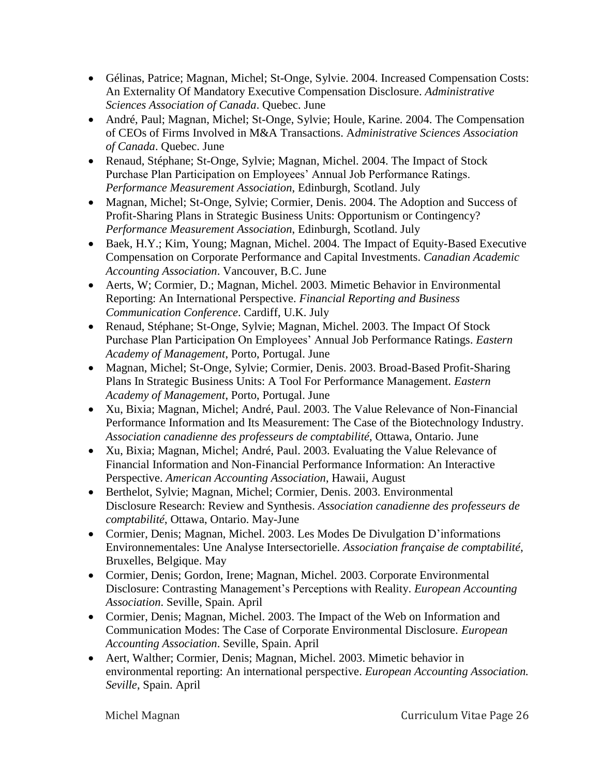- Gélinas, Patrice; Magnan, Michel; St-Onge, Sylvie. 2004. Increased Compensation Costs: An Externality Of Mandatory Executive Compensation Disclosure. *Administrative Sciences Association of Canada*. Quebec. June
- André, Paul; Magnan, Michel; St-Onge, Sylvie; Houle, Karine. 2004. The Compensation of CEOs of Firms Involved in M&A Transactions. A*dministrative Sciences Association of Canada*. Quebec. June
- Renaud, Stéphane; St-Onge, Sylvie; Magnan, Michel. 2004. The Impact of Stock Purchase Plan Participation on Employees' Annual Job Performance Ratings. *Performance Measurement Association*, Edinburgh, Scotland. July
- Magnan, Michel; St-Onge, Sylvie; Cormier, Denis. 2004. The Adoption and Success of Profit-Sharing Plans in Strategic Business Units: Opportunism or Contingency? *Performance Measurement Association*, Edinburgh, Scotland. July
- Baek, H.Y.; Kim, Young; Magnan, Michel. 2004. The Impact of Equity-Based Executive Compensation on Corporate Performance and Capital Investments. *Canadian Academic Accounting Association*. Vancouver, B.C. June
- Aerts, W; Cormier, D.; Magnan, Michel. 2003. Mimetic Behavior in Environmental Reporting: An International Perspective. *Financial Reporting and Business Communication Conference*. Cardiff, U.K. July
- Renaud, Stéphane; St-Onge, Sylvie; Magnan, Michel. 2003. The Impact Of Stock Purchase Plan Participation On Employees' Annual Job Performance Ratings. *Eastern Academy of Management*, Porto, Portugal. June
- Magnan, Michel; St-Onge, Sylvie; Cormier, Denis. 2003. Broad-Based Profit-Sharing Plans In Strategic Business Units: A Tool For Performance Management. *Eastern Academy of Management*, Porto, Portugal. June
- Xu, Bixia; Magnan, Michel; André, Paul. 2003. The Value Relevance of Non-Financial Performance Information and Its Measurement: The Case of the Biotechnology Industry. *Association canadienne des professeurs de comptabilité*, Ottawa, Ontario. June
- Xu, Bixia; Magnan, Michel; André, Paul. 2003. Evaluating the Value Relevance of Financial Information and Non-Financial Performance Information: An Interactive Perspective. *American Accounting Association*, Hawaii, August
- Berthelot, Sylvie; Magnan, Michel; Cormier, Denis. 2003. Environmental Disclosure Research: Review and Synthesis. *Association canadienne des professeurs de comptabilité*, Ottawa, Ontario. May-June
- Cormier, Denis; Magnan, Michel. 2003. Les Modes De Divulgation D'informations Environnementales: Une Analyse Intersectorielle. *Association française de comptabilité*, Bruxelles, Belgique. May
- Cormier, Denis; Gordon, Irene; Magnan, Michel. 2003. Corporate Environmental Disclosure: Contrasting Management's Perceptions with Reality. *European Accounting Association*. Seville, Spain. April
- Cormier, Denis; Magnan, Michel. 2003. The Impact of the Web on Information and Communication Modes: The Case of Corporate Environmental Disclosure. *European Accounting Association*. Seville, Spain. April
- Aert, Walther; Cormier, Denis; Magnan, Michel. 2003. Mimetic behavior in environmental reporting: An international perspective. *European Accounting Association. Seville*, Spain. April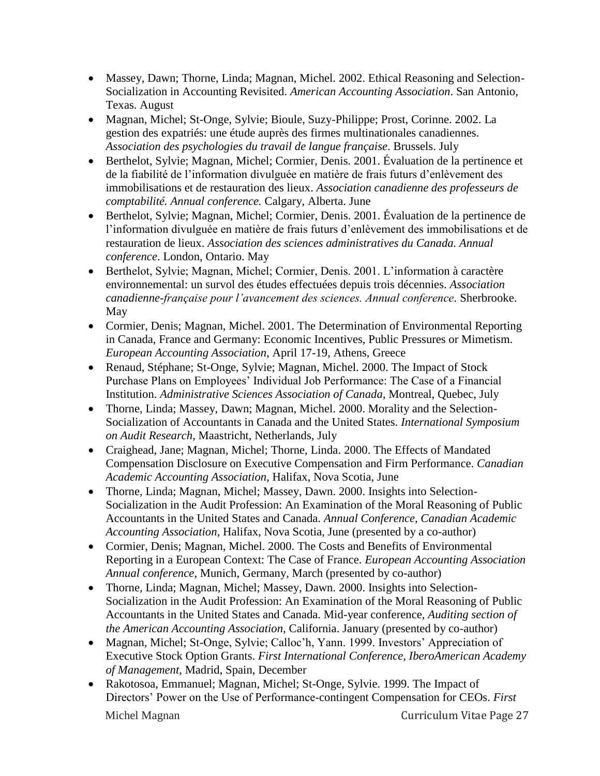- Massey, Dawn; Thorne, Linda; Magnan, Michel. 2002. Ethical Reasoning and Selection-Socialization in Accounting Revisited. *American Accounting Association*. San Antonio, Texas. August
- Magnan, Michel; St-Onge, Sylvie; Bioule, Suzy-Philippe; Prost, Corinne. 2002. La gestion des expatriés: une étude auprès des firmes multinationales canadiennes. *Association des psychologies du travail de langue française*. Brussels. July
- Berthelot, Sylvie; Magnan, Michel; Cormier, Denis. 2001. Évaluation de la pertinence et de la fiabilité de l'information divulguée en matière de frais futurs d'enlèvement des immobilisations et de restauration des lieux. *Association canadienne des professeurs de comptabilité. Annual conference.* Calgary, Alberta. June
- Berthelot, Sylvie; Magnan, Michel; Cormier, Denis. 2001. Évaluation de la pertinence de l'information divulguée en matière de frais futurs d'enlèvement des immobilisations et de restauration de lieux. *Association des sciences administratives du Canada. Annual conference*. London, Ontario. May
- Berthelot, Sylvie; Magnan, Michel; Cormier, Denis. 2001. L'information à caractère environnemental: un survol des études effectuées depuis trois décennies. *Association canadienne-française pour l'avancement des sciences. Annual conference*. Sherbrooke. May
- Cormier, Denis; Magnan, Michel. 2001. The Determination of Environmental Reporting in Canada, France and Germany: Economic Incentives, Public Pressures or Mimetism. *European Accounting Association*, April 17-19, Athens, Greece
- Renaud, Stéphane; St-Onge, Sylvie; Magnan, Michel. 2000. The Impact of Stock Purchase Plans on Employees' Individual Job Performance: The Case of a Financial Institution. *Administrative Sciences Association of Canada*, Montreal, Quebec, July
- Thorne, Linda; Massey, Dawn; Magnan, Michel. 2000. Morality and the Selection-Socialization of Accountants in Canada and the United States. *International Symposium on Audit Research*, Maastricht, Netherlands, July
- Craighead, Jane; Magnan, Michel; Thorne, Linda. 2000. The Effects of Mandated Compensation Disclosure on Executive Compensation and Firm Performance. *Canadian Academic Accounting Association*, Halifax, Nova Scotia, June
- Thorne, Linda; Magnan, Michel; Massey, Dawn. 2000. Insights into Selection-Socialization in the Audit Profession: An Examination of the Moral Reasoning of Public Accountants in the United States and Canada. *Annual Conference, Canadian Academic Accounting Association*, Halifax, Nova Scotia, June (presented by a co-author)
- Cormier, Denis; Magnan, Michel. 2000. The Costs and Benefits of Environmental Reporting in a European Context: The Case of France. *European Accounting Association Annual conference*, Munich, Germany, March (presented by co-author)
- Thorne, Linda; Magnan, Michel; Massey, Dawn. 2000. Insights into Selection-Socialization in the Audit Profession: An Examination of the Moral Reasoning of Public Accountants in the United States and Canada. Mid-year conference, *Auditing section of the American Accounting Association*, California. January (presented by co-author)
- Magnan, Michel; St-Onge, Sylvie; Calloc'h, Yann. 1999. Investors' Appreciation of Executive Stock Option Grants. *First International Conference, IberoAmerican Academy of Management*, Madrid, Spain, December
- Michel Magnan Curriculum Vitae Page 27 • Rakotosoa, Emmanuel; Magnan, Michel; St-Onge, Sylvie. 1999. The Impact of Directors' Power on the Use of Performance-contingent Compensation for CEOs. *First*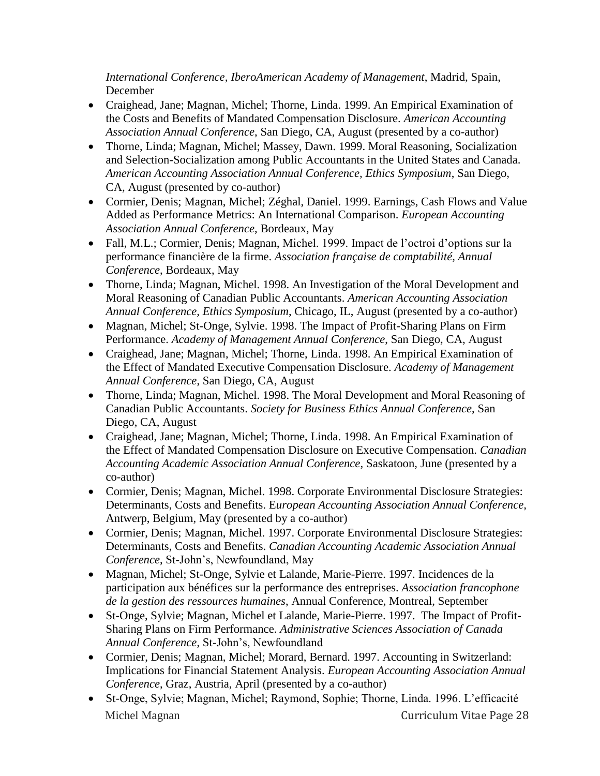*International Conference, IberoAmerican Academy of Management*, Madrid, Spain, December

- Craighead, Jane; Magnan, Michel; Thorne, Linda. 1999. An Empirical Examination of the Costs and Benefits of Mandated Compensation Disclosure. *American Accounting Association Annual Conference*, San Diego, CA, August (presented by a co-author)
- Thorne, Linda; Magnan, Michel; Massey, Dawn, 1999, Moral Reasoning, Socialization and Selection-Socialization among Public Accountants in the United States and Canada. *American Accounting Association Annual Conference, Ethics Symposium*, San Diego, CA, August (presented by co-author)
- Cormier, Denis; Magnan, Michel; Zéghal, Daniel. 1999. Earnings, Cash Flows and Value Added as Performance Metrics: An International Comparison. *European Accounting Association Annual Conference*, Bordeaux, May
- Fall, M.L.; Cormier, Denis; Magnan, Michel. 1999. Impact de l'octroi d'options sur la performance financière de la firme. *Association française de comptabilité, Annual Conference*, Bordeaux, May
- Thorne, Linda; Magnan, Michel. 1998. An Investigation of the Moral Development and Moral Reasoning of Canadian Public Accountants. *American Accounting Association Annual Conference, Ethics Symposium*, Chicago, IL, August (presented by a co-author)
- Magnan, Michel; St-Onge, Sylvie. 1998. The Impact of Profit-Sharing Plans on Firm Performance. *Academy of Management Annual Conference*, San Diego, CA, August
- Craighead, Jane; Magnan, Michel; Thorne, Linda. 1998. An Empirical Examination of the Effect of Mandated Executive Compensation Disclosure. *Academy of Management Annual Conference*, San Diego, CA, August
- Thorne, Linda; Magnan, Michel. 1998. The Moral Development and Moral Reasoning of Canadian Public Accountants. *Society for Business Ethics Annual Conference*, San Diego, CA, August
- Craighead, Jane; Magnan, Michel; Thorne, Linda. 1998. An Empirical Examination of the Effect of Mandated Compensation Disclosure on Executive Compensation. *Canadian Accounting Academic Association Annual Conference*, Saskatoon, June (presented by a co-author)
- Cormier, Denis; Magnan, Michel. 1998. Corporate Environmental Disclosure Strategies: Determinants, Costs and Benefits. E*uropean Accounting Association Annual Conference,* Antwerp, Belgium, May (presented by a co-author)
- Cormier, Denis; Magnan, Michel. 1997. Corporate Environmental Disclosure Strategies: Determinants, Costs and Benefits. *Canadian Accounting Academic Association Annual Conference*, St-John's, Newfoundland, May
- Magnan, Michel; St-Onge, Sylvie et Lalande, Marie-Pierre. 1997. Incidences de la participation aux bénéfices sur la performance des entreprises. *Association francophone de la gestion des ressources humaines*, Annual Conference, Montreal, September
- St-Onge, Sylvie; Magnan, Michel et Lalande, Marie-Pierre. 1997. The Impact of Profit-Sharing Plans on Firm Performance. *Administrative Sciences Association of Canada Annual Conference*, St-John's, Newfoundland
- Cormier, Denis; Magnan, Michel; Morard, Bernard. 1997. Accounting in Switzerland: Implications for Financial Statement Analysis. *European Accounting Association Annual Conference*, Graz, Austria, April (presented by a co-author)
- Michel Magnan Curriculum Vitae Page 28 St-Onge, Sylvie; Magnan, Michel; Raymond, Sophie; Thorne, Linda. 1996. L'efficacité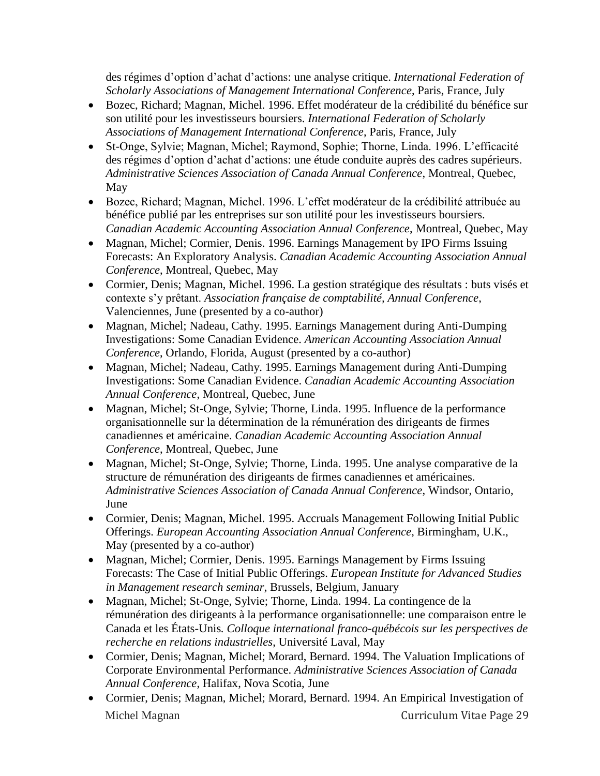des régimes d'option d'achat d'actions: une analyse critique. *International Federation of Scholarly Associations of Management International Conference*, Paris, France, July

- Bozec, Richard; Magnan, Michel. 1996. Effet modérateur de la crédibilité du bénéfice sur son utilité pour les investisseurs boursiers. *International Federation of Scholarly Associations of Management International Conference*, Paris, France, July
- St-Onge, Sylvie; Magnan, Michel; Raymond, Sophie; Thorne, Linda. 1996. L'efficacité des régimes d'option d'achat d'actions: une étude conduite auprès des cadres supérieurs. *Administrative Sciences Association of Canada Annual Conference*, Montreal, Quebec, May
- Bozec, Richard; Magnan, Michel. 1996. L'effet modérateur de la crédibilité attribuée au bénéfice publié par les entreprises sur son utilité pour les investisseurs boursiers. *Canadian Academic Accounting Association Annual Conference*, Montreal, Quebec, May
- Magnan, Michel; Cormier, Denis. 1996. Earnings Management by IPO Firms Issuing Forecasts: An Exploratory Analysis. *Canadian Academic Accounting Association Annual Conference*, Montreal, Quebec, May
- Cormier, Denis; Magnan, Michel. 1996. La gestion stratégique des résultats : buts visés et contexte s'y prêtant. *Association française de comptabilité, Annual Conference*, Valenciennes, June (presented by a co-author)
- Magnan, Michel; Nadeau, Cathy. 1995. Earnings Management during Anti-Dumping Investigations: Some Canadian Evidence. *American Accounting Association Annual Conference*, Orlando, Florida, August (presented by a co-author)
- Magnan, Michel; Nadeau, Cathy. 1995. Earnings Management during Anti-Dumping Investigations: Some Canadian Evidence. *Canadian Academic Accounting Association Annual Conference*, Montreal, Quebec, June
- Magnan, Michel; St-Onge, Sylvie; Thorne, Linda. 1995. Influence de la performance organisationnelle sur la détermination de la rémunération des dirigeants de firmes canadiennes et américaine. *Canadian Academic Accounting Association Annual Conference*, Montreal, Quebec, June
- Magnan, Michel; St-Onge, Sylvie; Thorne, Linda. 1995. Une analyse comparative de la structure de rémunération des dirigeants de firmes canadiennes et américaines. *Administrative Sciences Association of Canada Annual Conference*, Windsor, Ontario, June
- Cormier, Denis; Magnan, Michel. 1995. Accruals Management Following Initial Public Offerings. *European Accounting Association Annual Conference*, Birmingham, U.K., May (presented by a co-author)
- Magnan, Michel; Cormier, Denis. 1995. Earnings Management by Firms Issuing Forecasts: The Case of Initial Public Offerings. *European Institute for Advanced Studies in Management research seminar*, Brussels, Belgium, January
- Magnan, Michel; St-Onge, Sylvie; Thorne, Linda. 1994. La contingence de la rémunération des dirigeants à la performance organisationnelle: une comparaison entre le Canada et les États-Unis*. Colloque international franco-québécois sur les perspectives de recherche en relations industrielles*, Université Laval, May
- Cormier, Denis; Magnan, Michel; Morard, Bernard. 1994. The Valuation Implications of Corporate Environmental Performance. *Administrative Sciences Association of Canada Annual Conference*, Halifax, Nova Scotia, June
- Michel Magnan Curriculum Vitae Page 29 Cormier, Denis; Magnan, Michel; Morard, Bernard. 1994. An Empirical Investigation of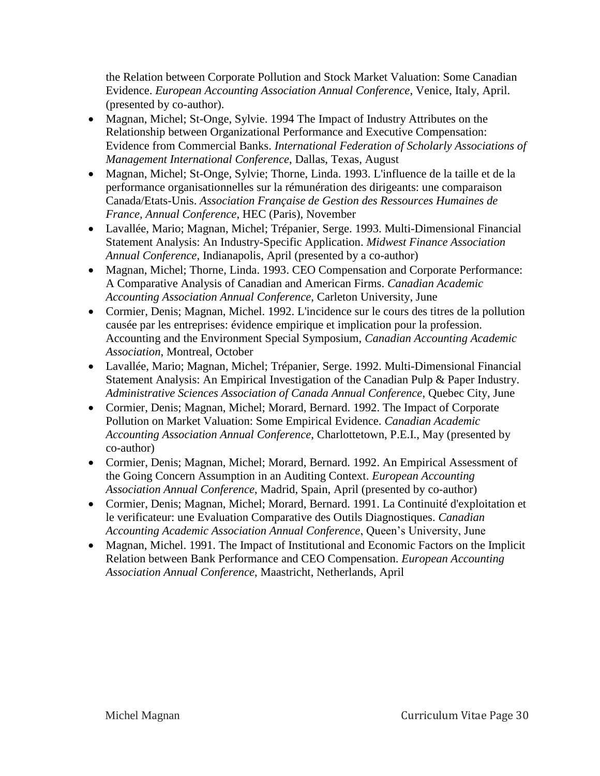the Relation between Corporate Pollution and Stock Market Valuation: Some Canadian Evidence. *European Accounting Association Annual Conference*, Venice, Italy, April. (presented by co-author).

- Magnan, Michel; St-Onge, Sylvie. 1994 The Impact of Industry Attributes on the Relationship between Organizational Performance and Executive Compensation: Evidence from Commercial Banks. *International Federation of Scholarly Associations of Management International Conference*, Dallas, Texas, August
- Magnan, Michel; St-Onge, Sylvie; Thorne, Linda. 1993. L'influence de la taille et de la performance organisationnelles sur la rémunération des dirigeants: une comparaison Canada/Etats-Unis. *Association Française de Gestion des Ressources Humaines de France, Annual Conference*, HEC (Paris), November
- Lavallée, Mario; Magnan, Michel; Trépanier, Serge. 1993. Multi-Dimensional Financial Statement Analysis: An Industry-Specific Application. *Midwest Finance Association Annual Conference*, Indianapolis, April (presented by a co-author)
- Magnan, Michel; Thorne, Linda. 1993. CEO Compensation and Corporate Performance: A Comparative Analysis of Canadian and American Firms. *Canadian Academic Accounting Association Annual Conference*, Carleton University, June
- Cormier, Denis; Magnan, Michel. 1992. L'incidence sur le cours des titres de la pollution causée par les entreprises: évidence empirique et implication pour la profession. Accounting and the Environment Special Symposium, *Canadian Accounting Academic Association*, Montreal, October
- Lavallée, Mario; Magnan, Michel; Trépanier, Serge. 1992. Multi-Dimensional Financial Statement Analysis: An Empirical Investigation of the Canadian Pulp & Paper Industry. *Administrative Sciences Association of Canada Annual Conference*, Quebec City, June
- Cormier, Denis; Magnan, Michel; Morard, Bernard. 1992. The Impact of Corporate Pollution on Market Valuation: Some Empirical Evidence. *Canadian Academic Accounting Association Annual Conference*, Charlottetown, P.E.I., May (presented by co-author)
- Cormier, Denis; Magnan, Michel; Morard, Bernard. 1992. An Empirical Assessment of the Going Concern Assumption in an Auditing Context. *European Accounting Association Annual Conference*, Madrid, Spain, April (presented by co-author)
- Cormier, Denis; Magnan, Michel; Morard, Bernard. 1991. La Continuité d'exploitation et le verificateur: une Evaluation Comparative des Outils Diagnostiques. *Canadian Accounting Academic Association Annual Conference*, Queen's University, June
- Magnan, Michel. 1991. The Impact of Institutional and Economic Factors on the Implicit Relation between Bank Performance and CEO Compensation. *European Accounting Association Annual Conference*, Maastricht, Netherlands, April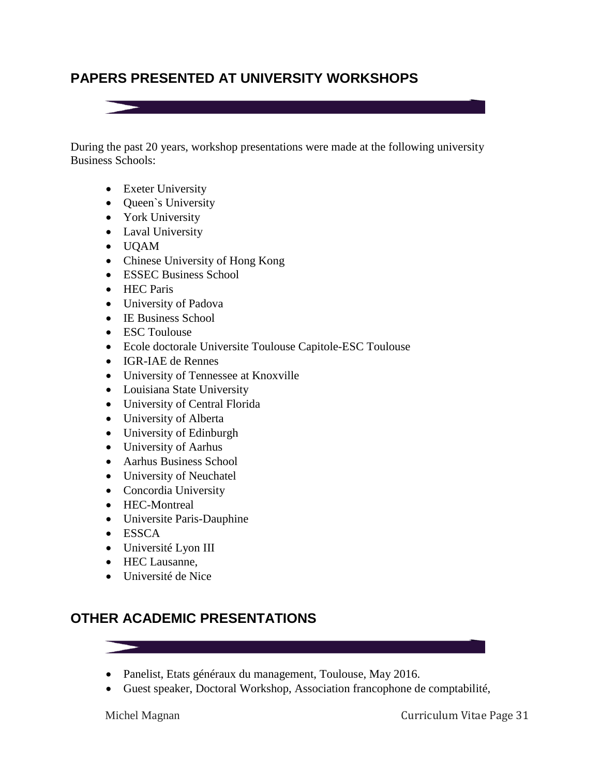# **PAPERS PRESENTED AT UNIVERSITY WORKSHOPS**

During the past 20 years, workshop presentations were made at the following university Business Schools:

- Exeter University
- Queen's University
- York University
- Laval University
- UQAM
- Chinese University of Hong Kong
- ESSEC Business School
- HEC Paris
- University of Padova
- IE Business School
- ESC Toulouse
- Ecole doctorale Universite Toulouse Capitole-ESC Toulouse
- IGR-IAE de Rennes
- University of Tennessee at Knoxville
- Louisiana State University
- University of Central Florida
- University of Alberta
- University of Edinburgh
- University of Aarhus
- Aarhus Business School
- University of Neuchatel
- Concordia University
- HEC-Montreal
- Universite Paris-Dauphine
- ESSCA
- Université Lyon III
- HEC Lausanne.
- Université de Nice

# **OTHER ACADEMIC PRESENTATIONS**

- Panelist, Etats généraux du management, Toulouse, May 2016.
- Guest speaker, Doctoral Workshop, Association francophone de comptabilité,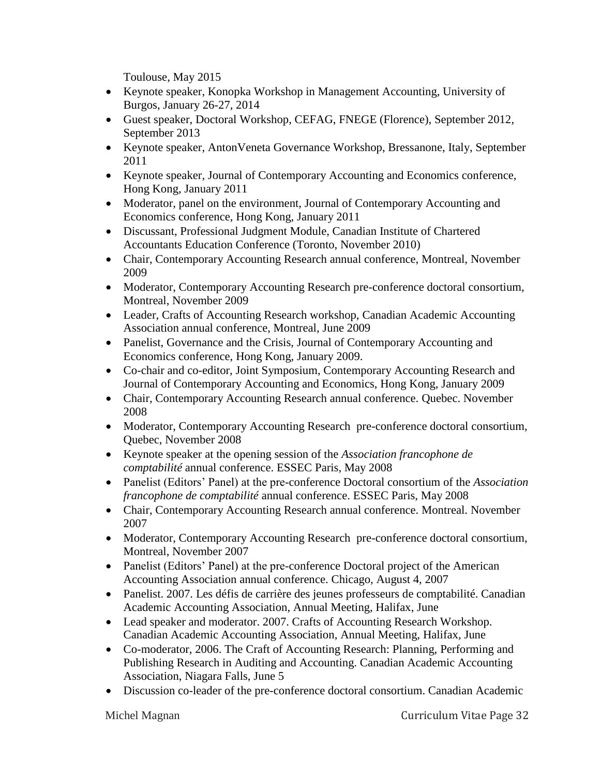Toulouse, May 2015

- Keynote speaker, Konopka Workshop in Management Accounting, University of Burgos, January 26-27, 2014
- Guest speaker, Doctoral Workshop, CEFAG, FNEGE (Florence), September 2012, September 2013
- Keynote speaker, AntonVeneta Governance Workshop, Bressanone, Italy, September 2011
- Keynote speaker, Journal of Contemporary Accounting and Economics conference, Hong Kong, January 2011
- Moderator, panel on the environment, Journal of Contemporary Accounting and Economics conference, Hong Kong, January 2011
- Discussant, Professional Judgment Module, Canadian Institute of Chartered Accountants Education Conference (Toronto, November 2010)
- Chair, Contemporary Accounting Research annual conference, Montreal, November 2009
- Moderator, Contemporary Accounting Research pre-conference doctoral consortium, Montreal, November 2009
- Leader, Crafts of Accounting Research workshop, Canadian Academic Accounting Association annual conference, Montreal, June 2009
- Panelist, Governance and the Crisis, Journal of Contemporary Accounting and Economics conference, Hong Kong, January 2009.
- Co-chair and co-editor, Joint Symposium, Contemporary Accounting Research and Journal of Contemporary Accounting and Economics, Hong Kong, January 2009
- Chair, Contemporary Accounting Research annual conference. Quebec. November 2008
- Moderator, Contemporary Accounting Research pre-conference doctoral consortium, Quebec, November 2008
- Keynote speaker at the opening session of the *Association francophone de comptabilité* annual conference. ESSEC Paris, May 2008
- Panelist (Editors' Panel) at the pre-conference Doctoral consortium of the *Association francophone de comptabilité* annual conference. ESSEC Paris, May 2008
- Chair, Contemporary Accounting Research annual conference. Montreal. November 2007
- Moderator, Contemporary Accounting Research pre-conference doctoral consortium, Montreal, November 2007
- Panelist (Editors' Panel) at the pre-conference Doctoral project of the American Accounting Association annual conference. Chicago, August 4, 2007
- Panelist. 2007. Les défis de carrière des jeunes professeurs de comptabilité. Canadian Academic Accounting Association, Annual Meeting, Halifax, June
- Lead speaker and moderator. 2007. Crafts of Accounting Research Workshop. Canadian Academic Accounting Association, Annual Meeting, Halifax, June
- Co-moderator, 2006. The Craft of Accounting Research: Planning, Performing and Publishing Research in Auditing and Accounting. Canadian Academic Accounting Association, Niagara Falls, June 5
- Discussion co-leader of the pre-conference doctoral consortium. Canadian Academic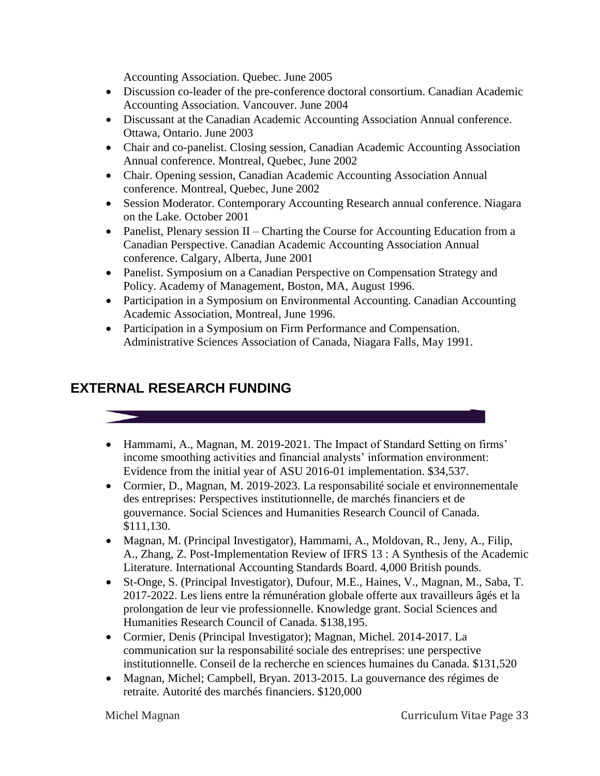Accounting Association. Quebec. June 2005

- Discussion co-leader of the pre-conference doctoral consortium. Canadian Academic Accounting Association. Vancouver. June 2004
- Discussant at the Canadian Academic Accounting Association Annual conference. Ottawa, Ontario. June 2003
- Chair and co-panelist. Closing session, Canadian Academic Accounting Association Annual conference. Montreal, Quebec, June 2002
- Chair. Opening session, Canadian Academic Accounting Association Annual conference. Montreal, Quebec, June 2002
- Session Moderator. Contemporary Accounting Research annual conference. Niagara on the Lake. October 2001
- Panelist, Plenary session II Charting the Course for Accounting Education from a Canadian Perspective. Canadian Academic Accounting Association Annual conference. Calgary, Alberta, June 2001
- Panelist. Symposium on a Canadian Perspective on Compensation Strategy and Policy. Academy of Management, Boston, MA, August 1996.
- Participation in a Symposium on Environmental Accounting. Canadian Accounting Academic Association, Montreal, June 1996.
- Participation in a Symposium on Firm Performance and Compensation. Administrative Sciences Association of Canada, Niagara Falls, May 1991.

## **EXTERNAL RESEARCH FUNDING**

#### • Hammami, A., Magnan, M. 2019-2021. The Impact of Standard Setting on firms' income smoothing activities and financial analysts' information environment: Evidence from the initial year of ASU 2016-01 implementation. \$34,537.

- Cormier, D., Magnan, M. 2019-2023. La responsabilité sociale et environnementale des entreprises: Perspectives institutionnelle, de marchés financiers et de gouvernance. Social Sciences and Humanities Research Council of Canada. \$111,130.
- Magnan, M. (Principal Investigator), Hammami, A., Moldovan, R., Jeny, A., Filip, A., Zhang, Z. Post-Implementation Review of IFRS 13 : A Synthesis of the Academic Literature. International Accounting Standards Board. 4,000 British pounds.
- St-Onge, S. (Principal Investigator), Dufour, M.E., Haines, V., Magnan, M., Saba, T. 2017-2022. Les liens entre la rémunération globale offerte aux travailleurs âgés et la prolongation de leur vie professionnelle. Knowledge grant. Social Sciences and Humanities Research Council of Canada. \$138,195.
- Cormier, Denis (Principal Investigator); Magnan, Michel. 2014-2017. La communication sur la responsabilité sociale des entreprises: une perspective institutionnelle. Conseil de la recherche en sciences humaines du Canada. \$131,520
- Magnan, Michel; Campbell, Bryan. 2013-2015. La gouvernance des régimes de retraite. Autorité des marchés financiers. \$120,000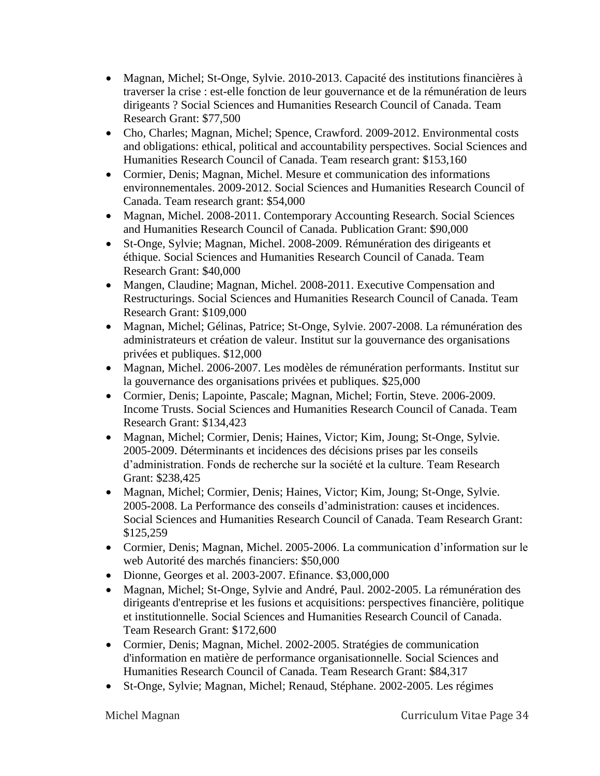- Magnan, Michel; St-Onge, Sylvie. 2010-2013. Capacité des institutions financières à traverser la crise : est-elle fonction de leur gouvernance et de la rémunération de leurs dirigeants ? Social Sciences and Humanities Research Council of Canada. Team Research Grant: \$77,500
- Cho, Charles; Magnan, Michel; Spence, Crawford. 2009-2012. Environmental costs and obligations: ethical, political and accountability perspectives. Social Sciences and Humanities Research Council of Canada. Team research grant: \$153,160
- Cormier, Denis; Magnan, Michel. Mesure et communication des informations environnementales. 2009-2012. Social Sciences and Humanities Research Council of Canada. Team research grant: \$54,000
- Magnan, Michel. 2008-2011. Contemporary Accounting Research. Social Sciences and Humanities Research Council of Canada. Publication Grant: \$90,000
- St-Onge, Sylvie; Magnan, Michel. 2008-2009. Rémunération des dirigeants et éthique. Social Sciences and Humanities Research Council of Canada. Team Research Grant: \$40,000
- Mangen, Claudine; Magnan, Michel. 2008-2011. Executive Compensation and Restructurings. Social Sciences and Humanities Research Council of Canada. Team Research Grant: \$109,000
- Magnan, Michel; Gélinas, Patrice; St-Onge, Sylvie. 2007-2008. La rémunération des administrateurs et création de valeur. Institut sur la gouvernance des organisations privées et publiques. \$12,000
- Magnan, Michel. 2006-2007. Les modèles de rémunération performants. Institut sur la gouvernance des organisations privées et publiques. \$25,000
- Cormier, Denis; Lapointe, Pascale; Magnan, Michel; Fortin, Steve. 2006-2009. Income Trusts. Social Sciences and Humanities Research Council of Canada. Team Research Grant: \$134,423
- Magnan, Michel; Cormier, Denis; Haines, Victor; Kim, Joung; St-Onge, Sylvie. 2005-2009. Déterminants et incidences des décisions prises par les conseils d'administration. Fonds de recherche sur la société et la culture. Team Research Grant: \$238,425
- Magnan, Michel; Cormier, Denis; Haines, Victor; Kim, Joung; St-Onge, Sylvie. 2005-2008. La Performance des conseils d'administration: causes et incidences. Social Sciences and Humanities Research Council of Canada. Team Research Grant: \$125,259
- Cormier, Denis; Magnan, Michel. 2005-2006. La communication d'information sur le web Autorité des marchés financiers: \$50,000
- Dionne, Georges et al. 2003-2007. Efinance. \$3,000,000
- Magnan, Michel; St-Onge, Sylvie and André, Paul. 2002-2005. La rémunération des dirigeants d'entreprise et les fusions et acquisitions: perspectives financière, politique et institutionnelle. Social Sciences and Humanities Research Council of Canada. Team Research Grant: \$172,600
- Cormier, Denis; Magnan, Michel. 2002-2005. Stratégies de communication d'information en matière de performance organisationnelle. Social Sciences and Humanities Research Council of Canada. Team Research Grant: \$84,317
- St-Onge, Sylvie; Magnan, Michel; Renaud, Stéphane. 2002-2005. Les régimes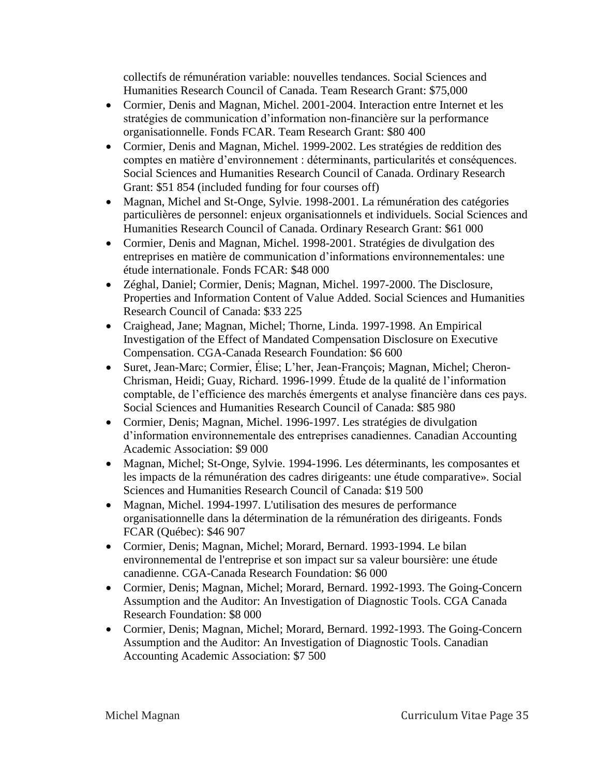collectifs de rémunération variable: nouvelles tendances. Social Sciences and Humanities Research Council of Canada. Team Research Grant: \$75,000

- Cormier, Denis and Magnan, Michel. 2001-2004. Interaction entre Internet et les stratégies de communication d'information non-financière sur la performance organisationnelle. Fonds FCAR. Team Research Grant: \$80 400
- Cormier, Denis and Magnan, Michel. 1999-2002. Les stratégies de reddition des comptes en matière d'environnement : déterminants, particularités et conséquences. Social Sciences and Humanities Research Council of Canada. Ordinary Research Grant: \$51 854 (included funding for four courses off)
- Magnan, Michel and St-Onge, Sylvie. 1998-2001. La rémunération des catégories particulières de personnel: enjeux organisationnels et individuels. Social Sciences and Humanities Research Council of Canada. Ordinary Research Grant: \$61 000
- Cormier, Denis and Magnan, Michel. 1998-2001. Stratégies de divulgation des entreprises en matière de communication d'informations environnementales: une étude internationale. Fonds FCAR: \$48 000
- Zéghal, Daniel; Cormier, Denis; Magnan, Michel. 1997-2000. The Disclosure, Properties and Information Content of Value Added. Social Sciences and Humanities Research Council of Canada: \$33 225
- Craighead, Jane; Magnan, Michel; Thorne, Linda. 1997-1998. An Empirical Investigation of the Effect of Mandated Compensation Disclosure on Executive Compensation. CGA-Canada Research Foundation: \$6 600
- Suret, Jean-Marc; Cormier, Élise; L'her, Jean-François; Magnan, Michel; Cheron-Chrisman, Heidi; Guay, Richard. 1996-1999. Étude de la qualité de l'information comptable, de l'efficience des marchés émergents et analyse financière dans ces pays. Social Sciences and Humanities Research Council of Canada: \$85 980
- Cormier, Denis; Magnan, Michel. 1996-1997. Les stratégies de divulgation d'information environnementale des entreprises canadiennes. Canadian Accounting Academic Association: \$9 000
- Magnan, Michel; St-Onge, Sylvie. 1994-1996. Les déterminants, les composantes et les impacts de la rémunération des cadres dirigeants: une étude comparative». Social Sciences and Humanities Research Council of Canada: \$19 500
- Magnan, Michel. 1994-1997. L'utilisation des mesures de performance organisationnelle dans la détermination de la rémunération des dirigeants. Fonds FCAR (Québec): \$46 907
- Cormier, Denis; Magnan, Michel; Morard, Bernard. 1993-1994. Le bilan environnemental de l'entreprise et son impact sur sa valeur boursière: une étude canadienne. CGA-Canada Research Foundation: \$6 000
- Cormier, Denis; Magnan, Michel; Morard, Bernard. 1992-1993. The Going-Concern Assumption and the Auditor: An Investigation of Diagnostic Tools. CGA Canada Research Foundation: \$8 000
- Cormier, Denis; Magnan, Michel; Morard, Bernard. 1992-1993. The Going-Concern Assumption and the Auditor: An Investigation of Diagnostic Tools. Canadian Accounting Academic Association: \$7 500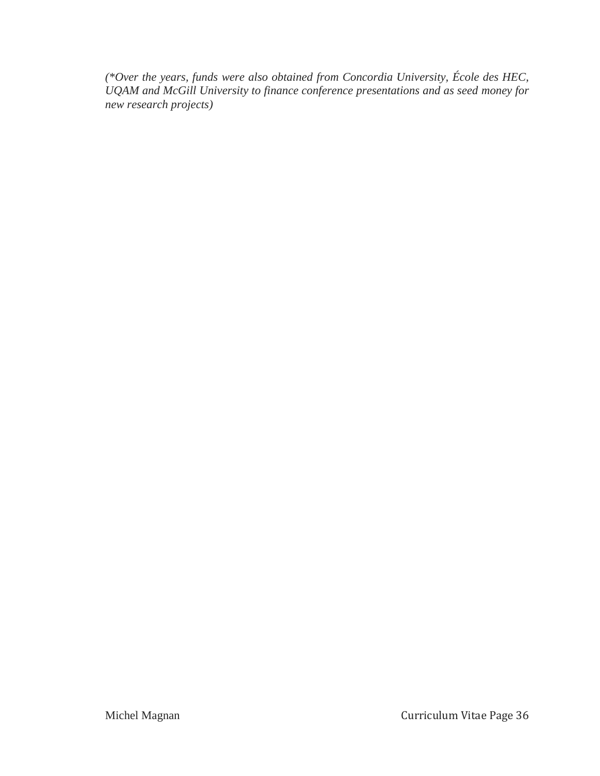*(\*Over the years, funds were also obtained from Concordia University, École des HEC, UQAM and McGill University to finance conference presentations and as seed money for new research projects)*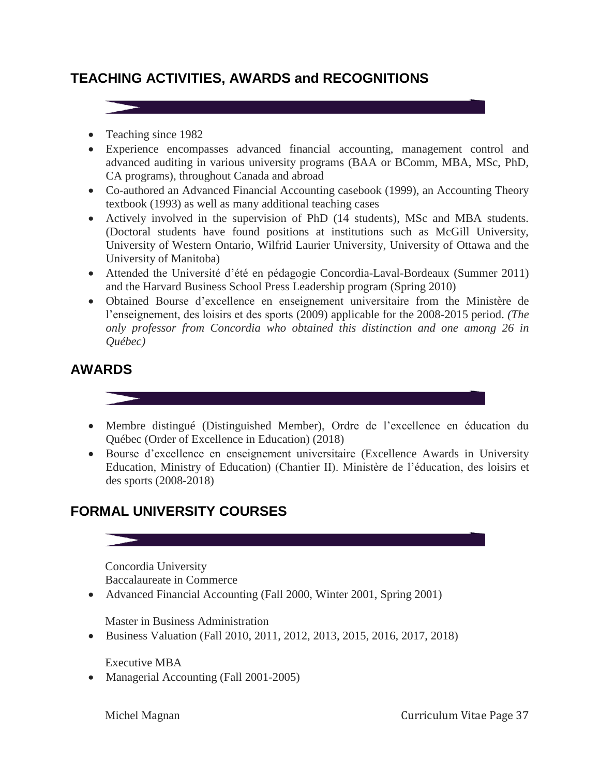# **TEACHING ACTIVITIES, AWARDS and RECOGNITIONS**

- Teaching since 1982
- Experience encompasses advanced financial accounting, management control and advanced auditing in various university programs (BAA or BComm, MBA, MSc, PhD, CA programs), throughout Canada and abroad
- Co-authored an Advanced Financial Accounting casebook (1999), an Accounting Theory textbook (1993) as well as many additional teaching cases
- Actively involved in the supervision of PhD (14 students), MSc and MBA students. (Doctoral students have found positions at institutions such as McGill University, University of Western Ontario, Wilfrid Laurier University, University of Ottawa and the University of Manitoba)
- Attended the Université d'été en pédagogie Concordia-Laval-Bordeaux (Summer 2011) and the Harvard Business School Press Leadership program (Spring 2010)
- Obtained Bourse d'excellence en enseignement universitaire from the Ministère de l'enseignement, des loisirs et des sports (2009) applicable for the 2008-2015 period. *(The only professor from Concordia who obtained this distinction and one among 26 in Québec)*

## **AWARDS**

- Membre distingué (Distinguished Member), Ordre de l'excellence en éducation du Québec (Order of Excellence in Education) (2018)
- Bourse d'excellence en enseignement universitaire (Excellence Awards in University Education, Ministry of Education) (Chantier II). Ministère de l'éducation, des loisirs et des sports (2008-2018)

# **FORMAL UNIVERSITY COURSES**

Concordia University Baccalaureate in Commerce

Advanced Financial Accounting (Fall 2000, Winter 2001, Spring 2001)

Master in Business Administration

Business Valuation (Fall 2010, 2011, 2012, 2013, 2015, 2016, 2017, 2018)

Executive MBA

• Managerial Accounting (Fall 2001-2005)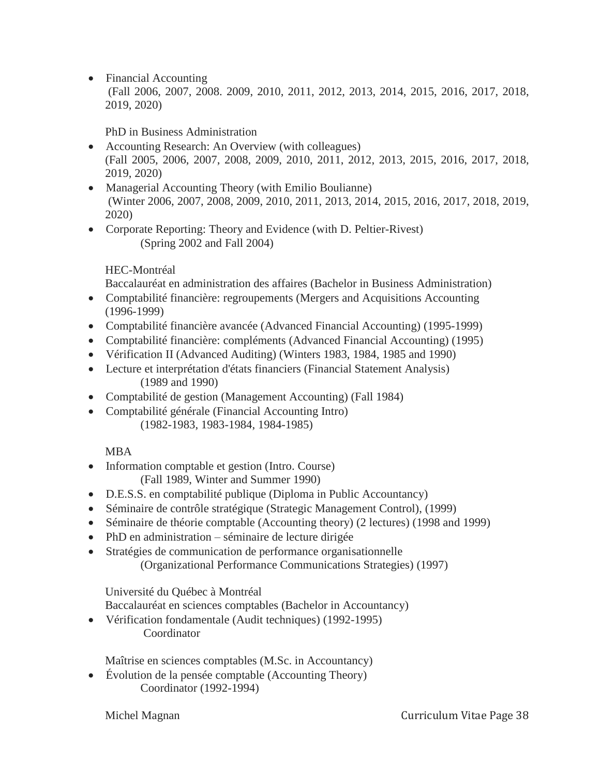• Financial Accounting (Fall 2006, 2007, 2008. 2009, 2010, 2011, 2012, 2013, 2014, 2015, 2016, 2017, 2018, 2019, 2020)

PhD in Business Administration

- Accounting Research: An Overview (with colleagues) (Fall 2005, 2006, 2007, 2008, 2009, 2010, 2011, 2012, 2013, 2015, 2016, 2017, 2018, 2019, 2020)
- Managerial Accounting Theory (with Emilio Boulianne) (Winter 2006, 2007, 2008, 2009, 2010, 2011, 2013, 2014, 2015, 2016, 2017, 2018, 2019, 2020)
- Corporate Reporting: Theory and Evidence (with D. Peltier-Rivest) (Spring 2002 and Fall 2004)

#### HEC-Montréal

Baccalauréat en administration des affaires (Bachelor in Business Administration)

- Comptabilité financière: regroupements (Mergers and Acquisitions Accounting (1996-1999)
- Comptabilité financière avancée (Advanced Financial Accounting) (1995-1999)
- Comptabilité financière: compléments (Advanced Financial Accounting) (1995)
- Vérification II (Advanced Auditing) (Winters 1983, 1984, 1985 and 1990)
- Lecture et interprétation d'états financiers (Financial Statement Analysis) (1989 and 1990)
- Comptabilité de gestion (Management Accounting) (Fall 1984)
- Comptabilité générale (Financial Accounting Intro) (1982-1983, 1983-1984, 1984-1985)

## MBA

- Information comptable et gestion (Intro. Course) (Fall 1989, Winter and Summer 1990)
- D.E.S.S. en comptabilité publique (Diploma in Public Accountancy)
- Séminaire de contrôle stratégique (Strategic Management Control), (1999)
- Séminaire de théorie comptable (Accounting theory) (2 lectures) (1998 and 1999)
- PhD en administration séminaire de lecture dirigée
- Stratégies de communication de performance organisationnelle (Organizational Performance Communications Strategies) (1997)

Université du Québec à Montréal

Baccalauréat en sciences comptables (Bachelor in Accountancy)

 Vérification fondamentale (Audit techniques) (1992-1995) **Coordinator** 

Maîtrise en sciences comptables (M.Sc. in Accountancy)

• Évolution de la pensée comptable (Accounting Theory) Coordinator (1992-1994)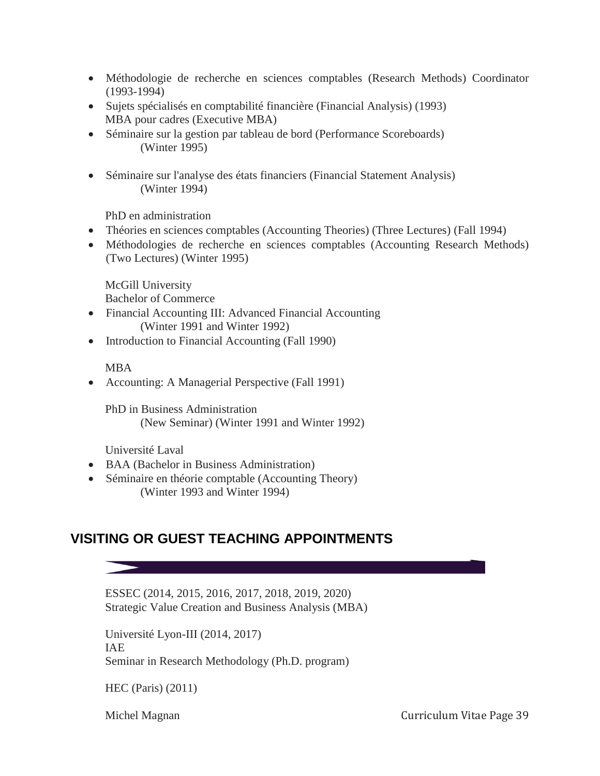- Méthodologie de recherche en sciences comptables (Research Methods) Coordinator (1993-1994)
- Sujets spécialisés en comptabilité financière (Financial Analysis) (1993) MBA pour cadres (Executive MBA)
- Séminaire sur la gestion par tableau de bord (Performance Scoreboards) (Winter 1995)
- Séminaire sur l'analyse des états financiers (Financial Statement Analysis) (Winter 1994)

PhD en administration

- Théories en sciences comptables (Accounting Theories) (Three Lectures) (Fall 1994)
- Méthodologies de recherche en sciences comptables (Accounting Research Methods) (Two Lectures) (Winter 1995)

McGill University Bachelor of Commerce

- Financial Accounting III: Advanced Financial Accounting (Winter 1991 and Winter 1992)
- Introduction to Financial Accounting (Fall 1990)

#### MBA

• Accounting: A Managerial Perspective (Fall 1991)

PhD in Business Administration (New Seminar) (Winter 1991 and Winter 1992)

Université Laval

- BAA (Bachelor in Business Administration)
- Séminaire en théorie comptable (Accounting Theory) (Winter 1993 and Winter 1994)

## **VISITING OR GUEST TEACHING APPOINTMENTS**

ESSEC (2014, 2015, 2016, 2017, 2018, 2019, 2020) Strategic Value Creation and Business Analysis (MBA)

Université Lyon-III (2014, 2017) IAE Seminar in Research Methodology (Ph.D. program)

HEC (Paris) (2011)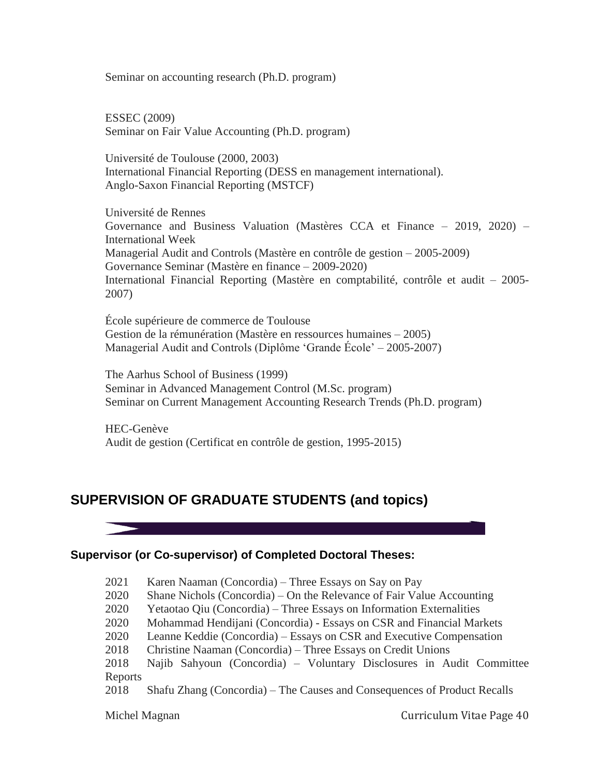Seminar on accounting research (Ph.D. program)

ESSEC (2009) Seminar on Fair Value Accounting (Ph.D. program)

Université de Toulouse (2000, 2003) International Financial Reporting (DESS en management international). Anglo-Saxon Financial Reporting (MSTCF)

Université de Rennes Governance and Business Valuation (Mastères CCA et Finance – 2019, 2020) – International Week Managerial Audit and Controls (Mastère en contrôle de gestion – 2005-2009) Governance Seminar (Mastère en finance – 2009-2020) International Financial Reporting (Mastère en comptabilité, contrôle et audit – 2005- 2007)

École supérieure de commerce de Toulouse Gestion de la rémunération (Mastère en ressources humaines – 2005) Managerial Audit and Controls (Diplôme 'Grande École' – 2005-2007)

The Aarhus School of Business (1999) Seminar in Advanced Management Control (M.Sc. program) Seminar on Current Management Accounting Research Trends (Ph.D. program)

HEC-Genève Audit de gestion (Certificat en contrôle de gestion, 1995-2015)

## **SUPERVISION OF GRADUATE STUDENTS (and topics)**

#### **Supervisor (or Co-supervisor) of Completed Doctoral Theses:**

- 2021 Karen Naaman (Concordia) Three Essays on Say on Pay
- 2020 Shane Nichols (Concordia) On the Relevance of Fair Value Accounting
- 2020 Yetaotao Qiu (Concordia) Three Essays on Information Externalities
- 2020 Mohammad Hendijani (Concordia) Essays on CSR and Financial Markets
- 2020 Leanne Keddie (Concordia) Essays on CSR and Executive Compensation
- 2018 Christine Naaman (Concordia) Three Essays on Credit Unions

2018 Najib Sahyoun (Concordia) – Voluntary Disclosures in Audit Committee Reports

2018 Shafu Zhang (Concordia) – The Causes and Consequences of Product Recalls

Michel Magnan **Curriculum Vitae Page 40**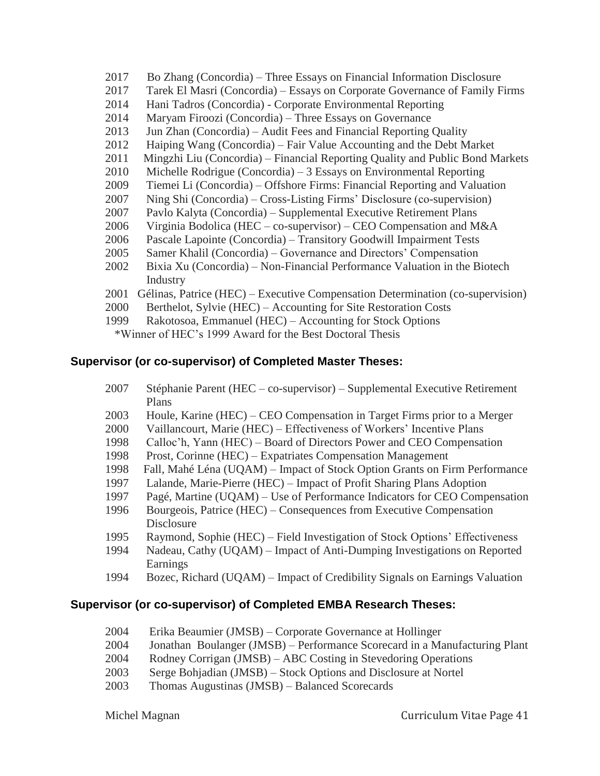- 2017 Bo Zhang (Concordia) Three Essays on Financial Information Disclosure
- 2017 Tarek El Masri (Concordia) Essays on Corporate Governance of Family Firms
- 2014 Hani Tadros (Concordia) Corporate Environmental Reporting
- 2014 Maryam Firoozi (Concordia) Three Essays on Governance
- 2013 Jun Zhan (Concordia) Audit Fees and Financial Reporting Quality
- 2012 Haiping Wang (Concordia) Fair Value Accounting and the Debt Market
- 2011 Mingzhi Liu (Concordia) Financial Reporting Quality and Public Bond Markets
- 2010 Michelle Rodrigue (Concordia) 3 Essays on Environmental Reporting
- 2009 Tiemei Li (Concordia) Offshore Firms: Financial Reporting and Valuation
- 2007 Ning Shi (Concordia) Cross-Listing Firms' Disclosure (co-supervision)
- 2007 Pavlo Kalyta (Concordia) Supplemental Executive Retirement Plans
- 2006 Virginia Bodolica (HEC co-supervisor) CEO Compensation and M&A
- 2006 Pascale Lapointe (Concordia) Transitory Goodwill Impairment Tests
- 2005 Samer Khalil (Concordia) Governance and Directors' Compensation
- 2002 Bixia Xu (Concordia) Non-Financial Performance Valuation in the Biotech Industry
- 2001 Gélinas, Patrice (HEC) Executive Compensation Determination (co-supervision)
- 2000 Berthelot, Sylvie (HEC) Accounting for Site Restoration Costs
- 1999 Rakotosoa, Emmanuel (HEC) Accounting for Stock Options \*Winner of HEC's 1999 Award for the Best Doctoral Thesis

## **Supervisor (or co-supervisor) of Completed Master Theses:**

- 2007 Stéphanie Parent (HEC co-supervisor) Supplemental Executive Retirement Plans
- 2003 Houle, Karine (HEC) CEO Compensation in Target Firms prior to a Merger
- 2000 Vaillancourt, Marie (HEC) Effectiveness of Workers' Incentive Plans
- 1998 Calloc'h, Yann (HEC) Board of Directors Power and CEO Compensation
- 1998 Prost, Corinne (HEC) Expatriates Compensation Management
- 1998 Fall, Mahé Léna (UQAM) Impact of Stock Option Grants on Firm Performance
- 1997 Lalande, Marie-Pierre (HEC) Impact of Profit Sharing Plans Adoption
- 1997 Pagé, Martine (UQAM) Use of Performance Indicators for CEO Compensation
- 1996 Bourgeois, Patrice (HEC) Consequences from Executive Compensation Disclosure
- 1995 Raymond, Sophie (HEC) Field Investigation of Stock Options' Effectiveness
- 1994 Nadeau, Cathy (UQAM) Impact of Anti-Dumping Investigations on Reported Earnings
- 1994 Bozec, Richard (UQAM) Impact of Credibility Signals on Earnings Valuation

## **Supervisor (or co-supervisor) of Completed EMBA Research Theses:**

- 2004 Erika Beaumier (JMSB) Corporate Governance at Hollinger
- 2004 Jonathan Boulanger (JMSB) Performance Scorecard in a Manufacturing Plant
- 2004 Rodney Corrigan (JMSB) ABC Costing in Stevedoring Operations
- 2003 Serge Bohjadian (JMSB) Stock Options and Disclosure at Nortel
- 2003 Thomas Augustinas (JMSB) Balanced Scorecards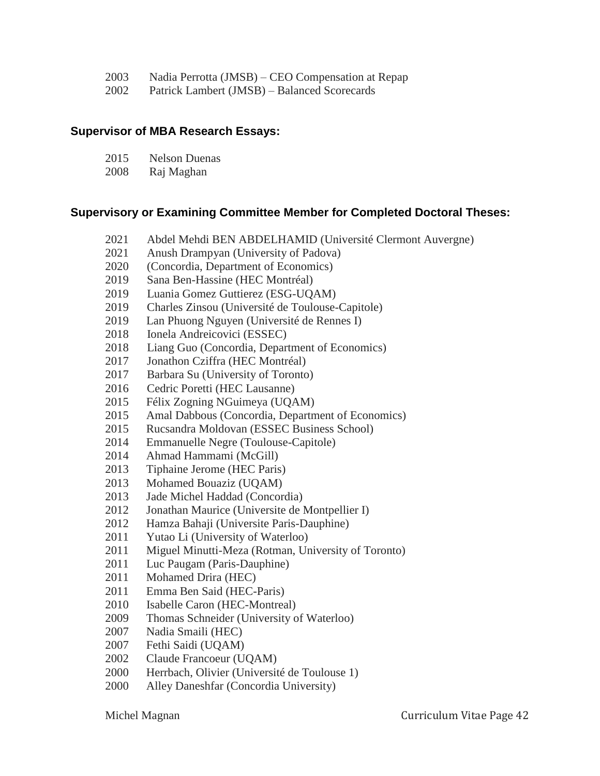- 2003 Nadia Perrotta (JMSB) CEO Compensation at Repap
- 2002 Patrick Lambert (JMSB) Balanced Scorecards

#### **Supervisor of MBA Research Essays:**

| 2015     | Nelson Duenas |
|----------|---------------|
| $\Omega$ | n ' 1 1       |

2008 Raj Maghan

#### **Supervisory or Examining Committee Member for Completed Doctoral Theses:**

- 2021 Abdel Mehdi BEN ABDELHAMID (Université Clermont Auvergne)
- 2021 Anush Drampyan (University of Padova)
- 2020 (Concordia, Department of Economics)
- 2019 Sana Ben-Hassine (HEC Montréal)
- 2019 Luania Gomez Guttierez (ESG-UQAM)
- 2019 Charles Zinsou (Université de Toulouse-Capitole)
- 2019 Lan Phuong Nguyen (Université de Rennes I)
- 2018 Ionela Andreicovici (ESSEC)
- 2018 Liang Guo (Concordia, Department of Economics)
- 2017 Jonathon Cziffra (HEC Montréal)
- 2017 Barbara Su (University of Toronto)
- 2016 Cedric Poretti (HEC Lausanne)
- 2015 Félix Zogning NGuimeya (UQAM)
- 2015 Amal Dabbous (Concordia, Department of Economics)
- 2015 Rucsandra Moldovan (ESSEC Business School)
- 2014 Emmanuelle Negre (Toulouse-Capitole)
- 2014 Ahmad Hammami (McGill)
- 2013 Tiphaine Jerome (HEC Paris)
- 2013 Mohamed Bouaziz (UQAM)
- 2013 Jade Michel Haddad (Concordia)
- 2012 Jonathan Maurice (Universite de Montpellier I)
- 2012 Hamza Bahaji (Universite Paris-Dauphine)
- 2011 Yutao Li (University of Waterloo)
- 2011 Miguel Minutti-Meza (Rotman, University of Toronto)
- 2011 Luc Paugam (Paris-Dauphine)
- 2011 Mohamed Drira (HEC)
- 2011 Emma Ben Said (HEC-Paris)
- 2010 Isabelle Caron (HEC-Montreal)
- 2009 Thomas Schneider (University of Waterloo)
- 2007 Nadia Smaili (HEC)
- 2007 Fethi Saidi (UQAM)
- 2002 Claude Francoeur (UQAM)
- 2000 Herrbach, Olivier (Université de Toulouse 1)
- 2000 Alley Daneshfar (Concordia University)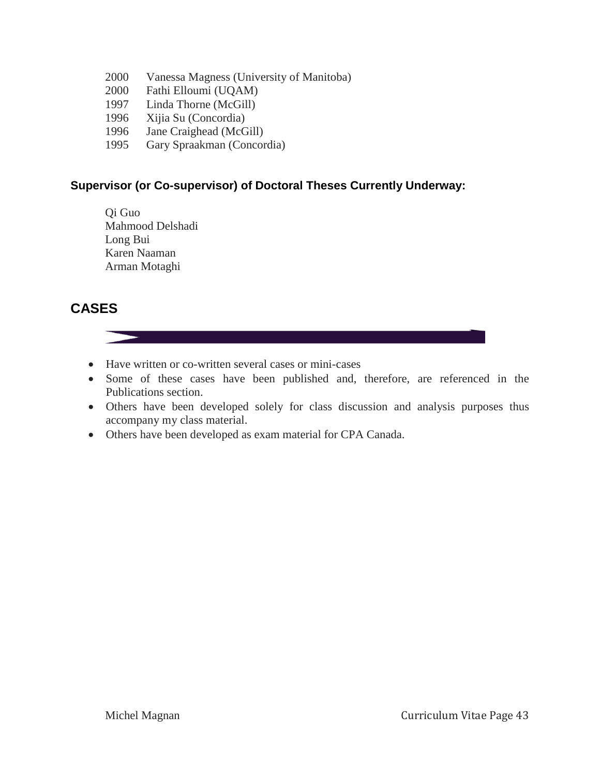- 2000 Vanessa Magness (University of Manitoba)
- 2000 Fathi Elloumi (UQAM)
- 1997 Linda Thorne (McGill)
- 1996 Xijia Su (Concordia)
- 1996 Jane Craighead (McGill)
- 1995 Gary Spraakman (Concordia)

#### **Supervisor (or Co-supervisor) of Doctoral Theses Currently Underway:**

Qi Guo Mahmood Delshadi Long Bui Karen Naaman Arman Motaghi

## **CASES**



- Have written or co-written several cases or mini-cases
- Some of these cases have been published and, therefore, are referenced in the Publications section.
- Others have been developed solely for class discussion and analysis purposes thus accompany my class material.
- Others have been developed as exam material for CPA Canada.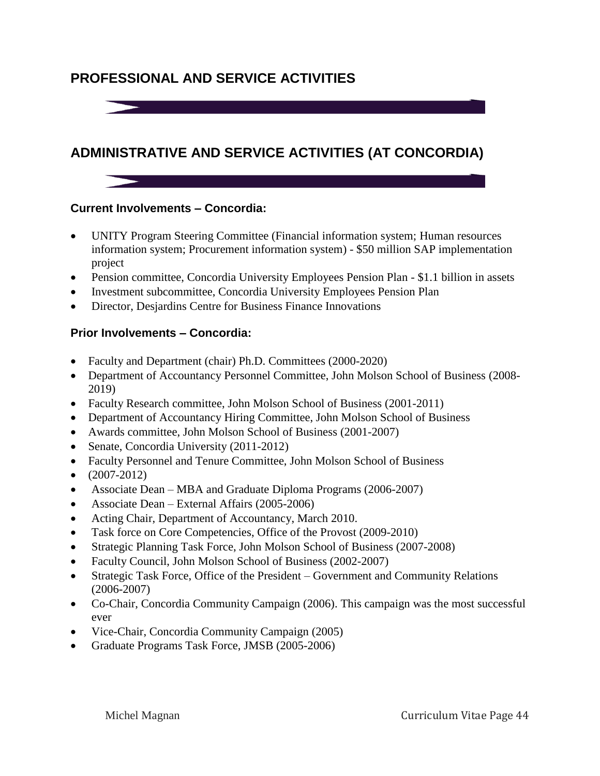# **PROFESSIONAL AND SERVICE ACTIVITIES**

**Production of the Contract Service** 



# **ADMINISTRATIVE AND SERVICE ACTIVITIES (AT CONCORDIA)**

#### **Current Involvements – Concordia:**

- UNITY Program Steering Committee (Financial information system; Human resources information system; Procurement information system) - \$50 million SAP implementation project
- Pension committee, Concordia University Employees Pension Plan \$1.1 billion in assets
- Investment subcommittee, Concordia University Employees Pension Plan
- Director, Desjardins Centre for Business Finance Innovations

#### **Prior Involvements – Concordia:**

- Faculty and Department (chair) Ph.D. Committees (2000-2020)
- Department of Accountancy Personnel Committee, John Molson School of Business (2008-2019)
- Faculty Research committee, John Molson School of Business (2001-2011)
- Department of Accountancy Hiring Committee, John Molson School of Business
- Awards committee, John Molson School of Business (2001-2007)
- Senate, Concordia University (2011-2012)
- Faculty Personnel and Tenure Committee, John Molson School of Business
- $\bullet$  (2007-2012)
- Associate Dean MBA and Graduate Diploma Programs (2006-2007)
- Associate Dean External Affairs (2005-2006)
- Acting Chair, Department of Accountancy, March 2010.
- Task force on Core Competencies, Office of the Provost (2009-2010)
- Strategic Planning Task Force, John Molson School of Business (2007-2008)
- Faculty Council, John Molson School of Business (2002-2007)
- Strategic Task Force, Office of the President Government and Community Relations (2006-2007)
- Co-Chair, Concordia Community Campaign (2006). This campaign was the most successful ever
- Vice-Chair, Concordia Community Campaign (2005)
- Graduate Programs Task Force, JMSB (2005-2006)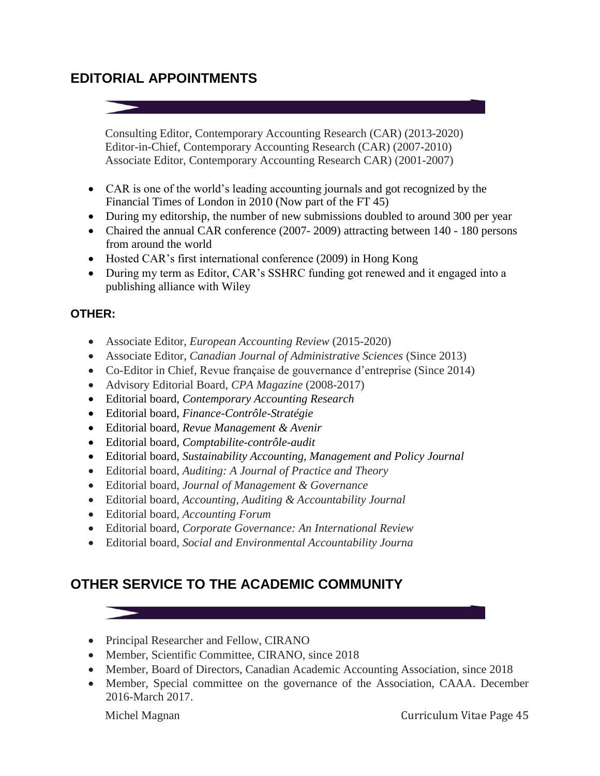# **EDITORIAL APPOINTMENTS**

Consulting Editor, Contemporary Accounting Research (CAR) (2013-2020) Editor-in-Chief, Contemporary Accounting Research (CAR) (2007-2010) Associate Editor, Contemporary Accounting Research CAR) (2001-2007)

- CAR is one of the world's leading accounting journals and got recognized by the Financial Times of London in 2010 (Now part of the FT 45)
- During my editorship, the number of new submissions doubled to around 300 per year
- Chaired the annual CAR conference (2007-2009) attracting between 140 180 persons from around the world
- Hosted CAR's first international conference (2009) in Hong Kong
- During my term as Editor, CAR's SSHRC funding got renewed and it engaged into a publishing alliance with Wiley

## **OTHER:**

- Associate Editor, *European Accounting Review* (2015-2020)
- Associate Editor*, Canadian Journal of Administrative Sciences* (Since 2013)
- Co-Editor in Chief, Revue française de gouvernance d'entreprise (Since 2014)
- Advisory Editorial Board, *CPA Magazine* (2008-2017)
- Editorial board, *Contemporary Accounting Research*
- Editorial board, *Finance-Contrôle-Stratégie*
- Editorial board, *Revue Management & Avenir*
- Editorial board, *Comptabilite-contrôle-audit*
- Editorial board, *Sustainability Accounting, Management and Policy Journal*
- Editorial board, *Auditing: A Journal of Practice and Theory*
- Editorial board, *Journal of Management & Governance*
- Editorial board, *Accounting, Auditing & Accountability Journal*
- Editorial board, *Accounting Forum*
- Editorial board, *Corporate Governance: An International Review*
- Editorial board*, Social and Environmental Accountability Journa*

# **OTHER SERVICE TO THE ACADEMIC COMMUNITY**

- Principal Researcher and Fellow, CIRANO
- Member, Scientific Committee, CIRANO, since 2018
- Member, Board of Directors, Canadian Academic Accounting Association, since 2018
- Member, Special committee on the governance of the Association, CAAA. December 2016-March 2017.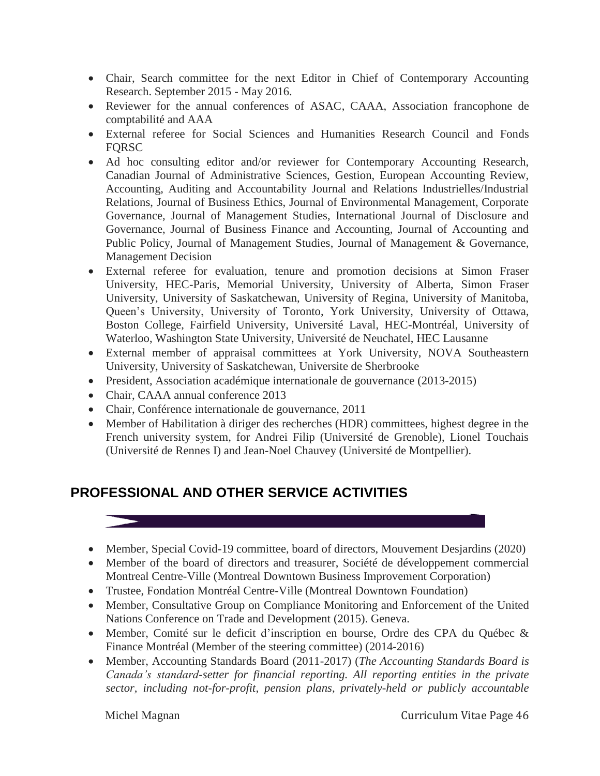- Chair, Search committee for the next Editor in Chief of Contemporary Accounting Research. September 2015 - May 2016.
- Reviewer for the annual conferences of ASAC, CAAA, Association francophone de comptabilité and AAA
- External referee for Social Sciences and Humanities Research Council and Fonds FQRSC
- Ad hoc consulting editor and/or reviewer for Contemporary Accounting Research, Canadian Journal of Administrative Sciences, Gestion, European Accounting Review, Accounting, Auditing and Accountability Journal and Relations Industrielles/Industrial Relations, Journal of Business Ethics, Journal of Environmental Management, Corporate Governance, Journal of Management Studies, International Journal of Disclosure and Governance, Journal of Business Finance and Accounting, Journal of Accounting and Public Policy, Journal of Management Studies, Journal of Management & Governance, Management Decision
- External referee for evaluation, tenure and promotion decisions at Simon Fraser University, HEC-Paris, Memorial University, University of Alberta, Simon Fraser University, University of Saskatchewan, University of Regina, University of Manitoba, Queen's University, University of Toronto, York University, University of Ottawa, Boston College, Fairfield University, Université Laval, HEC-Montréal, University of Waterloo, Washington State University, Université de Neuchatel, HEC Lausanne
- External member of appraisal committees at York University, NOVA Southeastern University, University of Saskatchewan, Universite de Sherbrooke
- President, Association académique internationale de gouvernance (2013-2015)
- Chair, CAAA annual conference 2013
- Chair, Conférence internationale de gouvernance, 2011
- Member of Habilitation à diriger des recherches (HDR) committees, highest degree in the French university system, for Andrei Filip (Université de Grenoble), Lionel Touchais (Université de Rennes I) and Jean-Noel Chauvey (Université de Montpellier).

# **PROFESSIONAL AND OTHER SERVICE ACTIVITIES**

- Member, Special Covid-19 committee, board of directors, Mouvement Desjardins (2020)
- Member of the board of directors and treasurer, Société de développement commercial Montreal Centre-Ville (Montreal Downtown Business Improvement Corporation)
- Trustee, Fondation Montréal Centre-Ville (Montreal Downtown Foundation)
- Member, Consultative Group on Compliance Monitoring and Enforcement of the United Nations Conference on Trade and Development (2015). Geneva.
- Member, Comité sur le deficit d'inscription en bourse, Ordre des CPA du Québec & Finance Montréal (Member of the steering committee) (2014-2016)
- Member, Accounting Standards Board (2011-2017) (*The Accounting Standards Board is Canada's standard-setter for financial reporting. All reporting entities in the private sector, including not-for-profit, pension plans, privately-held or publicly accountable*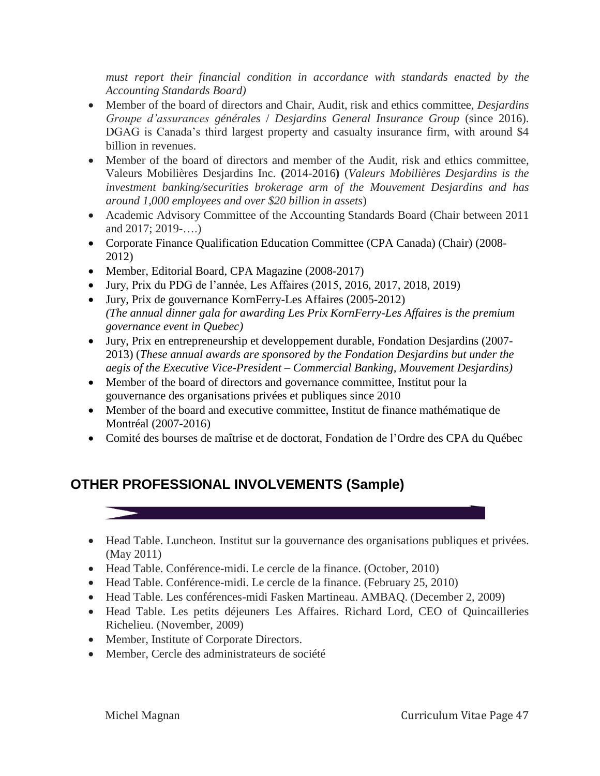*must report their financial condition in accordance with standards enacted by the Accounting Standards Board)*

- Member of the board of directors and Chair, Audit, risk and ethics committee, *Desjardins Groupe d'assurances générales* / *Desjardins General Insurance Group* (since 2016). DGAG is Canada's third largest property and casualty insurance firm, with around \$4 billion in revenues.
- Member of the board of directors and member of the Audit, risk and ethics committee, Valeurs Mobilières Desjardins Inc. **(**2014-2016**)** (*Valeurs Mobilières Desjardins is the investment banking/securities brokerage arm of the Mouvement Desjardins and has around 1,000 employees and over \$20 billion in assets*)
- Academic Advisory Committee of the Accounting Standards Board (Chair between 2011 and 2017; 2019-….)
- Corporate Finance Qualification Education Committee (CPA Canada) (Chair) (2008- 2012)
- Member, Editorial Board, CPA Magazine (2008-2017)
- Jury, Prix du PDG de l'année, Les Affaires (2015, 2016, 2017, 2018, 2019)
- Jury, Prix de gouvernance KornFerry-Les Affaires (2005-2012) *(The annual dinner gala for awarding Les Prix KornFerry-Les Affaires is the premium governance event in Quebec)*
- Jury, Prix en entrepreneurship et developpement durable, Fondation Desjardins (2007- 2013) (*These annual awards are sponsored by the Fondation Desjardins but under the aegis of the Executive Vice-President – Commercial Banking, Mouvement Desjardins)*
- Member of the board of directors and governance committee, Institut pour la gouvernance des organisations privées et publiques since 2010
- Member of the board and executive committee, Institut de finance mathématique de Montréal (2007-2016)
- Comité des bourses de maîtrise et de doctorat, Fondation de l'Ordre des CPA du Québec

# **OTHER PROFESSIONAL INVOLVEMENTS (Sample)**

- Head Table. Luncheon. Institut sur la gouvernance des organisations publiques et privées. (May 2011)
- Head Table. Conférence-midi. Le cercle de la finance. (October, 2010)
- Head Table. Conférence-midi. Le cercle de la finance. (February 25, 2010)
- Head Table. Les conférences-midi Fasken Martineau. AMBAQ. (December 2, 2009)
- Head Table. Les petits déjeuners Les Affaires. Richard Lord, CEO of Quincailleries Richelieu. (November, 2009)
- Member, Institute of Corporate Directors.
- Member, Cercle des administrateurs de société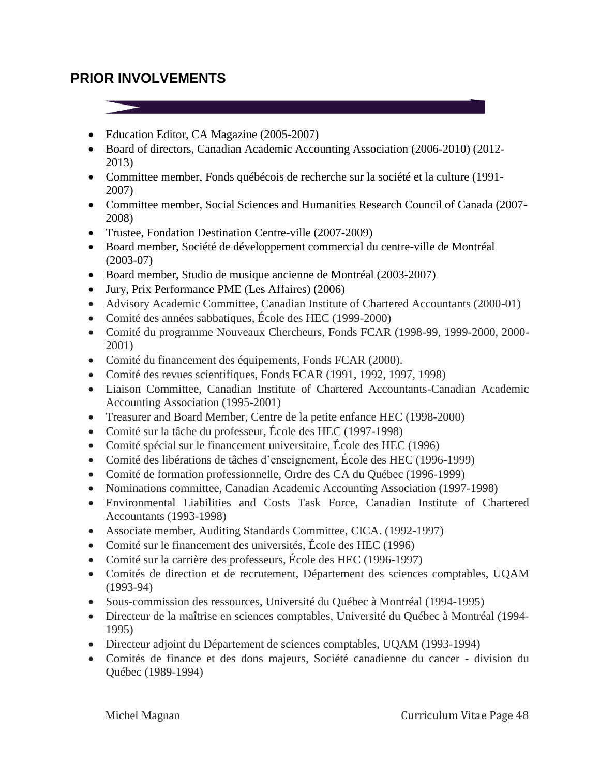## **PRIOR INVOLVEMENTS**

- Education Editor, CA Magazine (2005-2007)
- Board of directors, Canadian Academic Accounting Association (2006-2010) (2012- 2013)
- Committee member, Fonds québécois de recherche sur la société et la culture (1991- 2007)
- Committee member, Social Sciences and Humanities Research Council of Canada (2007- 2008)
- Trustee, Fondation Destination Centre-ville (2007-2009)
- Board member, Société de développement commercial du centre-ville de Montréal (2003-07)
- Board member, Studio de musique ancienne de Montréal (2003-2007)
- Jury, Prix Performance PME (Les Affaires) (2006)
- Advisory Academic Committee, Canadian Institute of Chartered Accountants (2000-01)
- Comité des années sabbatiques, École des HEC (1999-2000)
- Comité du programme Nouveaux Chercheurs, Fonds FCAR (1998-99, 1999-2000, 2000- 2001)
- Comité du financement des équipements, Fonds FCAR (2000).
- Comité des revues scientifiques, Fonds FCAR (1991, 1992, 1997, 1998)
- Liaison Committee, Canadian Institute of Chartered Accountants-Canadian Academic Accounting Association (1995-2001)
- Treasurer and Board Member, Centre de la petite enfance HEC (1998-2000)
- Comité sur la tâche du professeur, École des HEC (1997-1998)
- Comité spécial sur le financement universitaire, École des HEC (1996)
- Comité des libérations de tâches d'enseignement, École des HEC (1996-1999)
- Comité de formation professionnelle, Ordre des CA du Québec (1996-1999)
- Nominations committee, Canadian Academic Accounting Association (1997-1998)
- Environmental Liabilities and Costs Task Force, Canadian Institute of Chartered Accountants (1993-1998)
- Associate member, Auditing Standards Committee, CICA. (1992-1997)
- Comité sur le financement des universités, École des HEC (1996)
- Comité sur la carrière des professeurs, École des HEC (1996-1997)
- Comités de direction et de recrutement, Département des sciences comptables, UQAM (1993-94)
- Sous-commission des ressources, Université du Québec à Montréal (1994-1995)
- Directeur de la maîtrise en sciences comptables, Université du Québec à Montréal (1994- 1995)
- Directeur adjoint du Département de sciences comptables, UQAM (1993-1994)
- Comités de finance et des dons majeurs, Société canadienne du cancer division du Québec (1989-1994)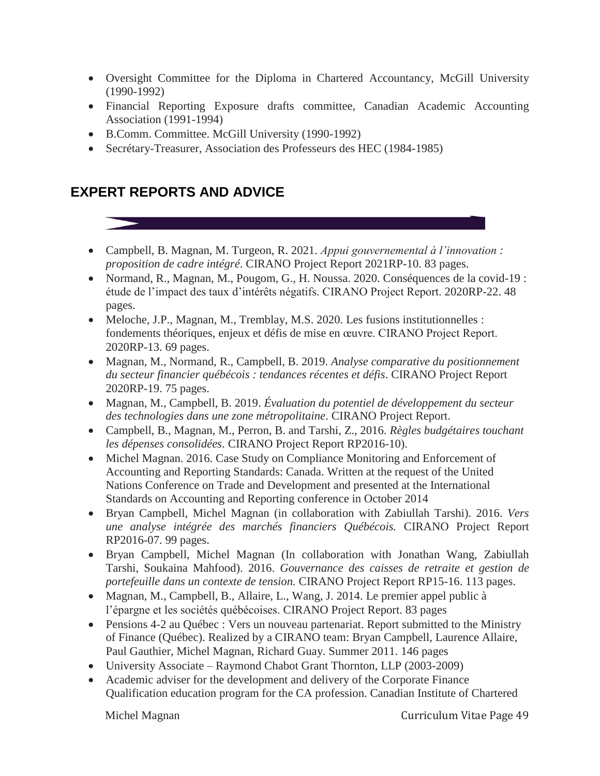- Oversight Committee for the Diploma in Chartered Accountancy, McGill University (1990-1992)
- Financial Reporting Exposure drafts committee, Canadian Academic Accounting Association (1991-1994)
- B.Comm. Committee. McGill University (1990-1992)
- Secrétary-Treasurer, Association des Professeurs des HEC (1984-1985)

## **EXPERT REPORTS AND ADVICE**

- Campbell, B. Magnan, M. Turgeon, R. 2021. *Appui gouvernemental à l'innovation : proposition de cadre intégré*. CIRANO Project Report 2021RP-10. 83 pages.
- Normand, R., Magnan, M., Pougom, G., H. Noussa. 2020. Conséquences de la covid-19 : étude de l'impact des taux d'intérêts négatifs. CIRANO Project Report. 2020RP-22. 48 pages.
- Meloche, J.P., Magnan, M., Tremblay, M.S. 2020. Les fusions institutionnelles : fondements théoriques, enjeux et défis de mise en œuvre. CIRANO Project Report. 2020RP-13. 69 pages.
- Magnan, M., Normand, R., Campbell, B. 2019. *Analyse comparative du positionnement du secteur financier québécois : tendances récentes et défis*. CIRANO Project Report 2020RP-19. 75 pages.
- Magnan, M., Campbell, B. 2019. *Évaluation du potentiel de développement du secteur des technologies dans une zone métropolitaine*. CIRANO Project Report.
- Campbell, B., Magnan, M., Perron, B. and Tarshi, Z., 2016. *Règles budgétaires touchant les dépenses consolidées*. CIRANO Project Report RP2016-10).
- Michel Magnan. 2016. Case Study on Compliance Monitoring and Enforcement of Accounting and Reporting Standards: Canada. Written at the request of the United Nations Conference on Trade and Development and presented at the International Standards on Accounting and Reporting conference in October 2014
- Bryan Campbell, Michel Magnan (in collaboration with Zabiullah Tarshi). 2016. *Vers une analyse intégrée des marchés financiers Québécois.* CIRANO Project Report RP2016-07. 99 pages.
- Bryan Campbell, Michel Magnan (In collaboration with Jonathan Wang, Zabiullah Tarshi, Soukaina Mahfood). 2016. *Gouvernance des caisses de retraite et gestion de portefeuille dans un contexte de tension.* CIRANO Project Report RP15-16. 113 pages.
- Magnan, M., Campbell, B., Allaire, L., Wang, J. 2014. Le premier appel public à l'épargne et les sociétés québécoises. CIRANO Project Report. 83 pages
- Pensions 4-2 au Québec : Vers un nouveau partenariat. Report submitted to the Ministry of Finance (Québec). Realized by a CIRANO team: Bryan Campbell, Laurence Allaire, Paul Gauthier, Michel Magnan, Richard Guay. Summer 2011. 146 pages
- University Associate Raymond Chabot Grant Thornton, LLP (2003-2009)
- Academic adviser for the development and delivery of the Corporate Finance Qualification education program for the CA profession. Canadian Institute of Chartered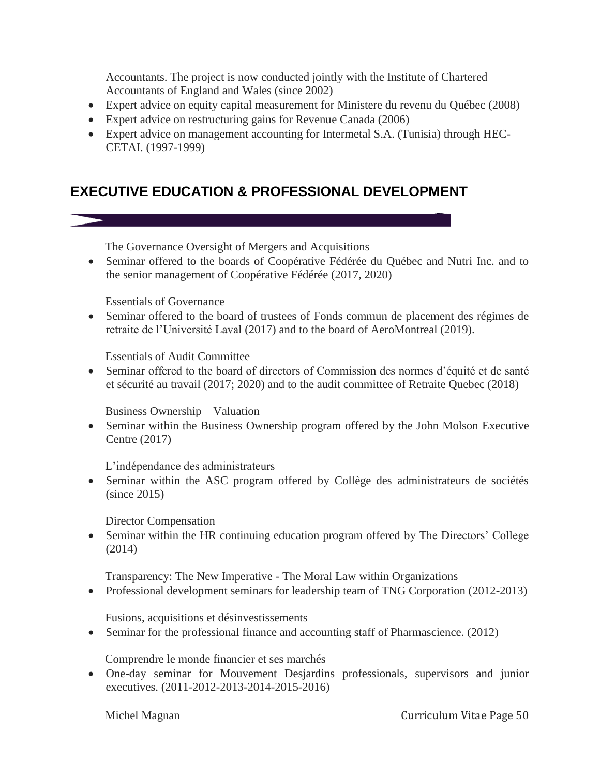Accountants. The project is now conducted jointly with the Institute of Chartered Accountants of England and Wales (since 2002)

- Expert advice on equity capital measurement for Ministere du revenu du Québec (2008)
- Expert advice on restructuring gains for Revenue Canada (2006)
- Expert advice on management accounting for Intermetal S.A. (Tunisia) through HEC-CETAI. (1997-1999)

# **EXECUTIVE EDUCATION & PROFESSIONAL DEVELOPMENT**

The Governance Oversight of Mergers and Acquisitions

 Seminar offered to the boards of Coopérative Fédérée du Québec and Nutri Inc. and to the senior management of Coopérative Fédérée (2017, 2020)

Essentials of Governance

 Seminar offered to the board of trustees of Fonds commun de placement des régimes de retraite de l'Université Laval (2017) and to the board of AeroMontreal (2019).

Essentials of Audit Committee

 Seminar offered to the board of directors of Commission des normes d'équité et de santé et sécurité au travail (2017; 2020) and to the audit committee of Retraite Quebec (2018)

Business Ownership – Valuation

 Seminar within the Business Ownership program offered by the John Molson Executive Centre (2017)

L'indépendance des administrateurs

• Seminar within the ASC program offered by Collège des administrateurs de sociétés (since 2015)

Director Compensation

 Seminar within the HR continuing education program offered by The Directors' College (2014)

Transparency: The New Imperative - The Moral Law within Organizations

• Professional development seminars for leadership team of TNG Corporation (2012-2013)

Fusions, acquisitions et désinvestissements

• Seminar for the professional finance and accounting staff of Pharmascience. (2012)

Comprendre le monde financier et ses marchés

 One-day seminar for Mouvement Desjardins professionals, supervisors and junior executives. (2011-2012-2013-2014-2015-2016)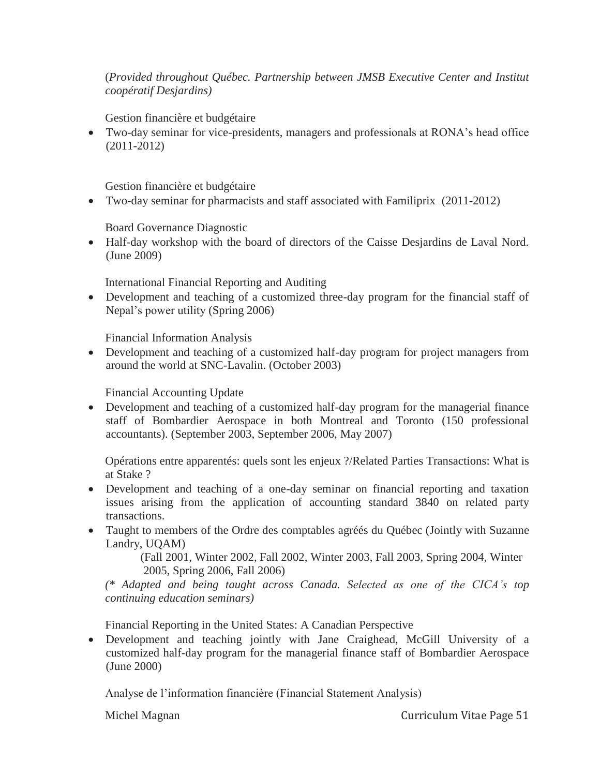#### (*Provided throughout Québec. Partnership between JMSB Executive Center and Institut coopératif Desjardins)*

Gestion financière et budgétaire

 Two-day seminar for vice-presidents, managers and professionals at RONA's head office (2011-2012)

Gestion financière et budgétaire

Two-day seminar for pharmacists and staff associated with Familiprix (2011-2012)

Board Governance Diagnostic

 Half-day workshop with the board of directors of the Caisse Desjardins de Laval Nord. (June 2009)

International Financial Reporting and Auditing

 Development and teaching of a customized three-day program for the financial staff of Nepal's power utility (Spring 2006)

Financial Information Analysis

 Development and teaching of a customized half-day program for project managers from around the world at SNC-Lavalin. (October 2003)

Financial Accounting Update

 Development and teaching of a customized half-day program for the managerial finance staff of Bombardier Aerospace in both Montreal and Toronto (150 professional accountants). (September 2003, September 2006, May 2007)

Opérations entre apparentés: quels sont les enjeux ?/Related Parties Transactions: What is at Stake ?

- Development and teaching of a one-day seminar on financial reporting and taxation issues arising from the application of accounting standard 3840 on related party transactions.
- Taught to members of the Ordre des comptables agrées du Québec (Jointly with Suzanne Landry, UQAM)

 (Fall 2001, Winter 2002, Fall 2002, Winter 2003, Fall 2003, Spring 2004, Winter 2005, Spring 2006, Fall 2006)

*(\* Adapted and being taught across Canada. Selected as one of the CICA's top continuing education seminars)*

Financial Reporting in the United States: A Canadian Perspective

 Development and teaching jointly with Jane Craighead, McGill University of a customized half-day program for the managerial finance staff of Bombardier Aerospace (June 2000)

Analyse de l'information financière (Financial Statement Analysis)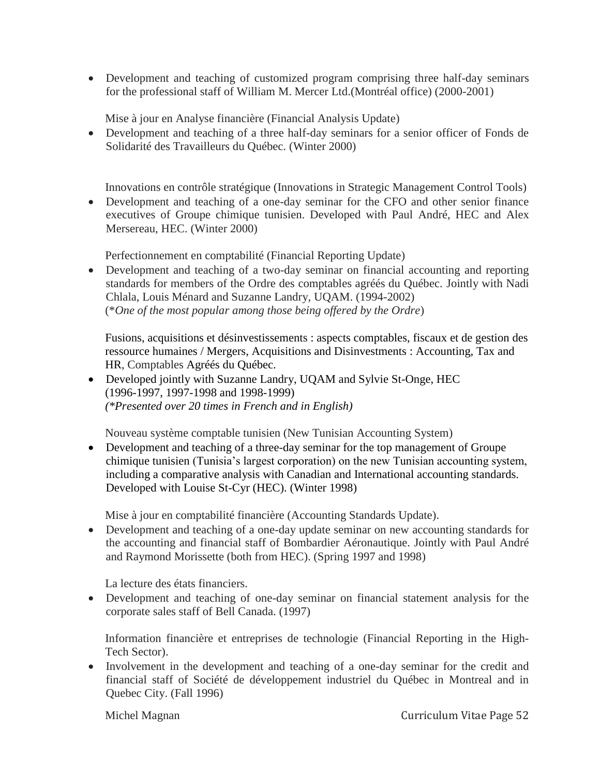Development and teaching of customized program comprising three half-day seminars for the professional staff of William M. Mercer Ltd.(Montréal office) (2000-2001)

Mise à jour en Analyse financière (Financial Analysis Update)

 Development and teaching of a three half-day seminars for a senior officer of Fonds de Solidarité des Travailleurs du Québec. (Winter 2000)

Innovations en contrôle stratégique (Innovations in Strategic Management Control Tools)

 Development and teaching of a one-day seminar for the CFO and other senior finance executives of Groupe chimique tunisien. Developed with Paul André, HEC and Alex Mersereau, HEC. (Winter 2000)

Perfectionnement en comptabilité (Financial Reporting Update)

 Development and teaching of a two-day seminar on financial accounting and reporting standards for members of the Ordre des comptables agréés du Québec. Jointly with Nadi Chlala, Louis Ménard and Suzanne Landry, UQAM. (1994-2002) (\**One of the most popular among those being offered by the Ordre*)

Fusions, acquisitions et désinvestissements : aspects comptables, fiscaux et de gestion des ressource humaines / Mergers, Acquisitions and Disinvestments : Accounting, Tax and HR, Comptables Agréés du Québec.

 Developed jointly with Suzanne Landry, UQAM and Sylvie St-Onge, HEC (1996-1997, 1997-1998 and 1998-1999) *(\*Presented over 20 times in French and in English)*

Nouveau système comptable tunisien (New Tunisian Accounting System)

• Development and teaching of a three-day seminar for the top management of Groupe chimique tunisien (Tunisia's largest corporation) on the new Tunisian accounting system, including a comparative analysis with Canadian and International accounting standards. Developed with Louise St-Cyr (HEC). (Winter 1998)

Mise à jour en comptabilité financière (Accounting Standards Update).

 Development and teaching of a one-day update seminar on new accounting standards for the accounting and financial staff of Bombardier Aéronautique. Jointly with Paul André and Raymond Morissette (both from HEC). (Spring 1997 and 1998)

La lecture des états financiers.

 Development and teaching of one-day seminar on financial statement analysis for the corporate sales staff of Bell Canada. (1997)

Information financière et entreprises de technologie (Financial Reporting in the High-Tech Sector).

 Involvement in the development and teaching of a one-day seminar for the credit and financial staff of Société de développement industriel du Québec in Montreal and in Quebec City. (Fall 1996)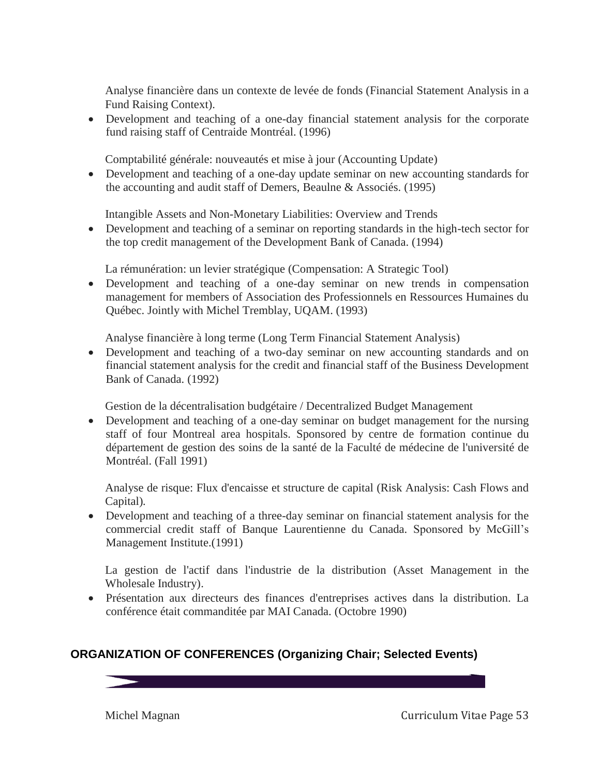Analyse financière dans un contexte de levée de fonds (Financial Statement Analysis in a Fund Raising Context).

 Development and teaching of a one-day financial statement analysis for the corporate fund raising staff of Centraide Montréal. (1996)

Comptabilité générale: nouveautés et mise à jour (Accounting Update)

 Development and teaching of a one-day update seminar on new accounting standards for the accounting and audit staff of Demers, Beaulne & Associés. (1995)

Intangible Assets and Non-Monetary Liabilities: Overview and Trends

 Development and teaching of a seminar on reporting standards in the high-tech sector for the top credit management of the Development Bank of Canada. (1994)

La rémunération: un levier stratégique (Compensation: A Strategic Tool)

 Development and teaching of a one-day seminar on new trends in compensation management for members of Association des Professionnels en Ressources Humaines du Québec. Jointly with Michel Tremblay, UQAM. (1993)

Analyse financière à long terme (Long Term Financial Statement Analysis)

 Development and teaching of a two-day seminar on new accounting standards and on financial statement analysis for the credit and financial staff of the Business Development Bank of Canada. (1992)

Gestion de la décentralisation budgétaire / Decentralized Budget Management

 Development and teaching of a one-day seminar on budget management for the nursing staff of four Montreal area hospitals. Sponsored by centre de formation continue du département de gestion des soins de la santé de la Faculté de médecine de l'université de Montréal. (Fall 1991)

Analyse de risque: Flux d'encaisse et structure de capital (Risk Analysis: Cash Flows and Capital)*.* 

 Development and teaching of a three-day seminar on financial statement analysis for the commercial credit staff of Banque Laurentienne du Canada. Sponsored by McGill's Management Institute.(1991)

La gestion de l'actif dans l'industrie de la distribution (Asset Management in the Wholesale Industry).

 Présentation aux directeurs des finances d'entreprises actives dans la distribution. La conférence était commanditée par MAI Canada. (Octobre 1990)

## **ORGANIZATION OF CONFERENCES (Organizing Chair; Selected Events)**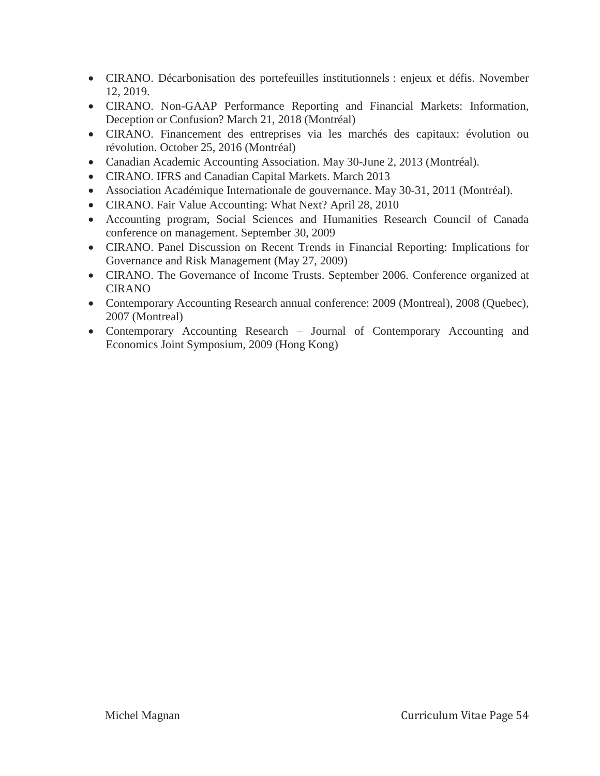- CIRANO. Décarbonisation des portefeuilles institutionnels : enjeux et défis. November 12, 2019.
- CIRANO. Non-GAAP Performance Reporting and Financial Markets: Information, Deception or Confusion? March 21, 2018 (Montréal)
- CIRANO. Financement des entreprises via les marchés des capitaux: évolution ou révolution. October 25, 2016 (Montréal)
- Canadian Academic Accounting Association. May 30-June 2, 2013 (Montréal).
- CIRANO. IFRS and Canadian Capital Markets. March 2013
- Association Académique Internationale de gouvernance. May 30-31, 2011 (Montréal).
- CIRANO. Fair Value Accounting: What Next? April 28, 2010
- Accounting program, Social Sciences and Humanities Research Council of Canada conference on management. September 30, 2009
- CIRANO. Panel Discussion on Recent Trends in Financial Reporting: Implications for Governance and Risk Management (May 27, 2009)
- CIRANO. The Governance of Income Trusts. September 2006. Conference organized at CIRANO
- Contemporary Accounting Research annual conference: 2009 (Montreal), 2008 (Quebec), 2007 (Montreal)
- Contemporary Accounting Research Journal of Contemporary Accounting and Economics Joint Symposium, 2009 (Hong Kong)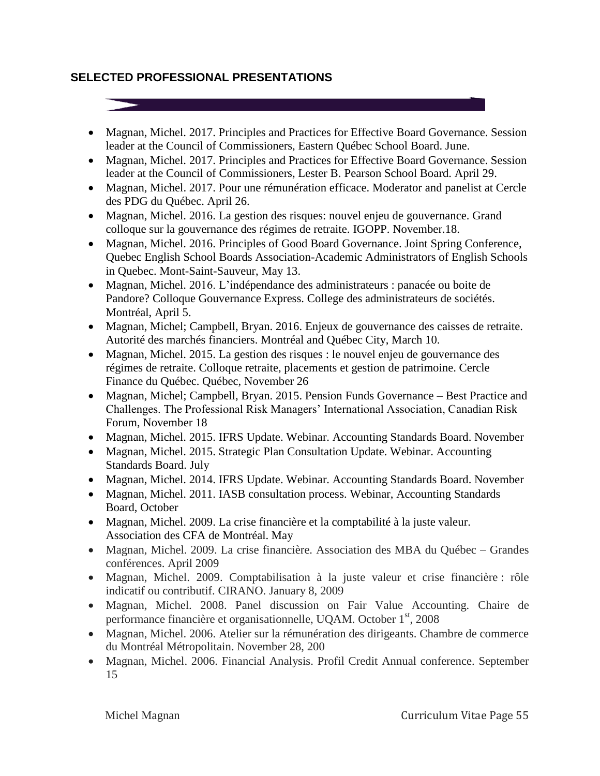## **SELECTED PROFESSIONAL PRESENTATIONS**

• Magnan, Michel. 2017. Principles and Practices for Effective Board Governance. Session leader at the Council of Commissioners, Eastern Québec School Board. June.

- Magnan, Michel. 2017. Principles and Practices for Effective Board Governance. Session leader at the Council of Commissioners, Lester B. Pearson School Board. April 29.
- Magnan, Michel. 2017. Pour une rémunération efficace. Moderator and panelist at Cercle des PDG du Québec. April 26.
- Magnan, Michel. 2016. La gestion des risques: nouvel enjeu de gouvernance. Grand colloque sur la gouvernance des régimes de retraite. IGOPP. November.18.
- Magnan, Michel. 2016. Principles of Good Board Governance. Joint Spring Conference, Quebec English School Boards Association-Academic Administrators of English Schools in Quebec. Mont-Saint-Sauveur, May 13.
- Magnan, Michel. 2016. L'indépendance des administrateurs : panacée ou boite de Pandore? Colloque Gouvernance Express. College des administrateurs de sociétés. Montréal, April 5.
- Magnan, Michel; Campbell, Bryan. 2016. Enjeux de gouvernance des caisses de retraite. Autorité des marchés financiers. Montréal and Québec City, March 10.
- Magnan, Michel. 2015. La gestion des risques : le nouvel enjeu de gouvernance des régimes de retraite. Colloque retraite, placements et gestion de patrimoine. Cercle Finance du Québec. Québec, November 26
- Magnan, Michel; Campbell, Bryan. 2015. Pension Funds Governance Best Practice and Challenges. The Professional Risk Managers' International Association, Canadian Risk Forum, November 18
- Magnan, Michel. 2015. IFRS Update. Webinar. Accounting Standards Board. November
- Magnan, Michel. 2015. Strategic Plan Consultation Update. Webinar. Accounting Standards Board. July
- Magnan, Michel. 2014. IFRS Update. Webinar. Accounting Standards Board. November
- Magnan, Michel. 2011. IASB consultation process. Webinar, Accounting Standards Board, October
- Magnan, Michel. 2009. La crise financière et la comptabilité à la juste valeur. Association des CFA de Montréal. May
- Magnan, Michel. 2009. La crise financière. Association des MBA du Québec Grandes conférences. April 2009
- Magnan, Michel. 2009. Comptabilisation à la juste valeur et crise financière : rôle indicatif ou contributif. CIRANO. January 8, 2009
- Magnan, Michel. 2008. Panel discussion on Fair Value Accounting. Chaire de performance financière et organisationnelle, UQAM. October 1<sup>st</sup>, 2008
- Magnan, Michel. 2006. Atelier sur la rémunération des dirigeants. Chambre de commerce du Montréal Métropolitain. November 28, 200
- Magnan, Michel. 2006. Financial Analysis. Profil Credit Annual conference. September 15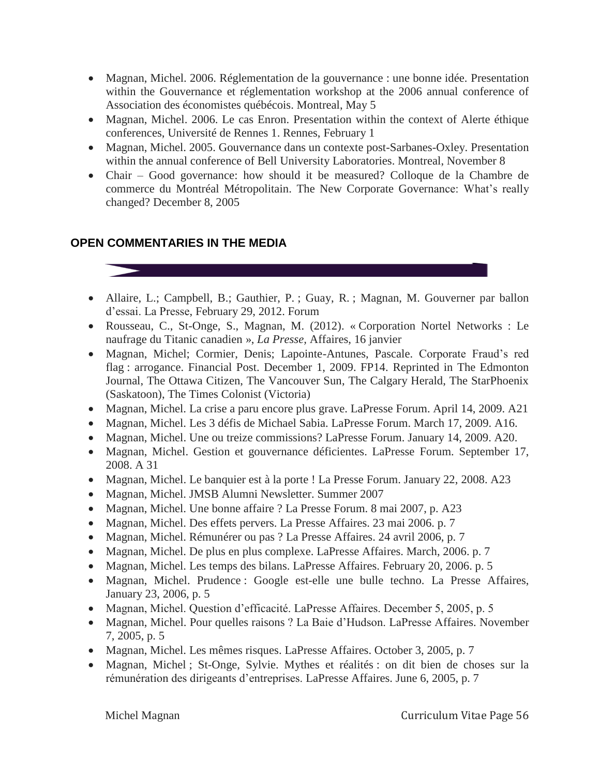- Magnan, Michel. 2006. Réglementation de la gouvernance : une bonne idée. Presentation within the Gouvernance et réglementation workshop at the 2006 annual conference of Association des économistes québécois. Montreal, May 5
- Magnan, Michel. 2006. Le cas Enron. Presentation within the context of Alerte éthique conferences, Université de Rennes 1. Rennes, February 1
- Magnan, Michel. 2005. Gouvernance dans un contexte post-Sarbanes-Oxley. Presentation within the annual conference of Bell University Laboratories. Montreal, November 8
- Chair Good governance: how should it be measured? Colloque de la Chambre de commerce du Montréal Métropolitain. The New Corporate Governance: What's really changed? December 8, 2005

## **OPEN COMMENTARIES IN THE MEDIA**



- Rousseau, C., St-Onge, S., Magnan, M. (2012). « Corporation Nortel Networks : Le naufrage du Titanic canadien », *La Presse,* Affaires, 16 janvier
- Magnan, Michel; Cormier, Denis; Lapointe-Antunes, Pascale. Corporate Fraud's red flag : arrogance. Financial Post. December 1, 2009. FP14. Reprinted in The Edmonton Journal, The Ottawa Citizen, The Vancouver Sun, The Calgary Herald, The StarPhoenix (Saskatoon), The Times Colonist (Victoria)
- Magnan, Michel. La crise a paru encore plus grave. LaPresse Forum. April 14, 2009. A21
- Magnan, Michel. Les 3 défis de Michael Sabia. LaPresse Forum. March 17, 2009. A16.
- Magnan, Michel. Une ou treize commissions? LaPresse Forum. January 14, 2009. A20.
- Magnan, Michel. Gestion et gouvernance déficientes. LaPresse Forum. September 17, 2008. A 31
- Magnan, Michel. Le banquier est à la porte ! La Presse Forum. January 22, 2008. A23
- Magnan, Michel. JMSB Alumni Newsletter. Summer 2007
- Magnan, Michel. Une bonne affaire ? La Presse Forum. 8 mai 2007, p. A23
- Magnan, Michel. Des effets pervers. La Presse Affaires. 23 mai 2006. p. 7
- Magnan, Michel. Rémunérer ou pas ? La Presse Affaires. 24 avril 2006, p. 7
- Magnan, Michel. De plus en plus complexe. LaPresse Affaires. March, 2006. p. 7
- Magnan, Michel. Les temps des bilans. LaPresse Affaires. February 20, 2006. p. 5
- Magnan, Michel. Prudence : Google est-elle une bulle techno. La Presse Affaires, January 23, 2006, p. 5
- Magnan, Michel. Question d'efficacité. LaPresse Affaires. December 5, 2005, p. 5
- Magnan, Michel. Pour quelles raisons ? La Baie d'Hudson. LaPresse Affaires. November 7, 2005, p. 5
- Magnan, Michel. Les mêmes risques. LaPresse Affaires. October 3, 2005, p. 7
- Magnan, Michel ; St-Onge, Sylvie. Mythes et réalités : on dit bien de choses sur la rémunération des dirigeants d'entreprises. LaPresse Affaires. June 6, 2005, p. 7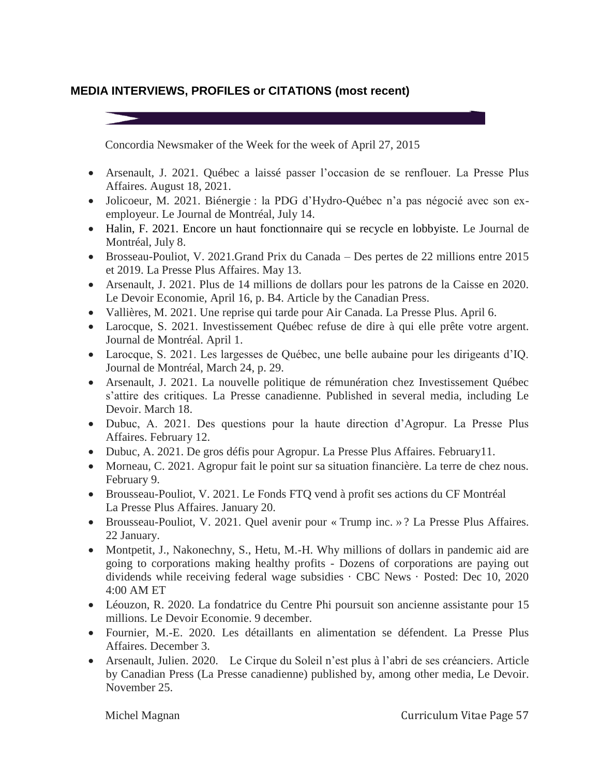## **MEDIA INTERVIEWS, PROFILES or CITATIONS (most recent)**



 Arsenault, Julien. 2020. Le Cirque du Soleil n'est plus à l'abri de ses créanciers. Article by Canadian Press (La Presse canadienne) published by, among other media, Le Devoir. November 25.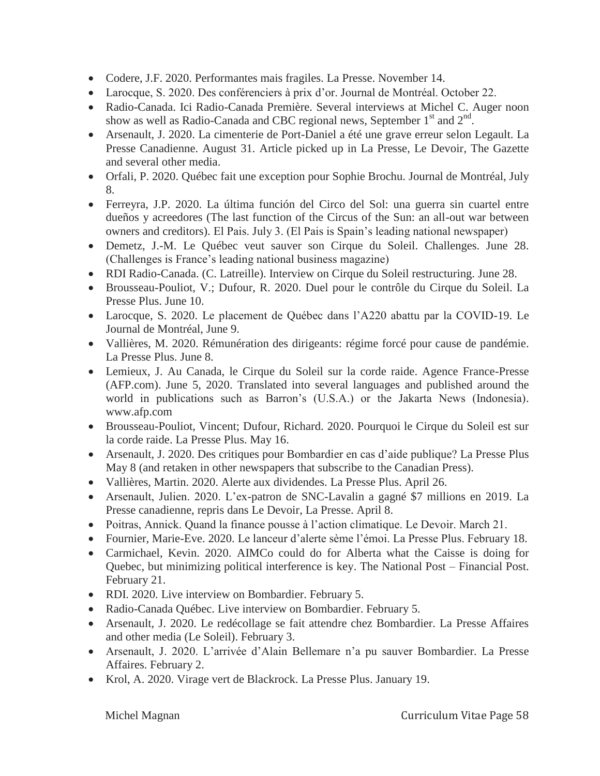- Codere, J.F. 2020. Performantes mais fragiles. La Presse. November 14.
- Larocque, S. 2020. Des conférenciers à prix d'or. Journal de Montréal. October 22.
- Radio-Canada. Ici Radio-Canada Première. Several interviews at Michel C. Auger noon show as well as Radio-Canada and CBC regional news, September  $1<sup>st</sup>$  and  $2<sup>nd</sup>$ .
- Arsenault, J. 2020. La cimenterie de Port-Daniel a été une grave erreur selon Legault. La Presse Canadienne. August 31. Article picked up in La Presse, Le Devoir, The Gazette and several other media.
- Orfali, P. 2020. Québec fait une exception pour Sophie Brochu. Journal de Montréal, July 8.
- Ferreyra, J.P. 2020. La última función del Circo del Sol: una guerra sin cuartel entre dueños y acreedores (The last function of the Circus of the Sun: an all-out war between owners and creditors). El Pais. July 3. (El Pais is Spain's leading national newspaper)
- Demetz, J.-M. Le Québec veut sauver son Cirque du Soleil. Challenges. June 28. (Challenges is France's leading national business magazine)
- RDI Radio-Canada. (C. Latreille). Interview on Cirque du Soleil restructuring. June 28.
- Brousseau-Pouliot, V.; Dufour, R. 2020. Duel pour le contrôle du Cirque du Soleil. La Presse Plus. June 10.
- Larocque, S. 2020. Le placement de Québec dans l'A220 abattu par la COVID-19. Le Journal de Montréal, June 9.
- Vallières, M. 2020. Rémunération des dirigeants: régime forcé pour cause de pandémie. La Presse Plus. June 8.
- Lemieux, J. Au Canada, le Cirque du Soleil sur la corde raide. Agence France-Presse (AFP.com). June 5, 2020. Translated into several languages and published around the world in publications such as Barron's (U.S.A.) or the Jakarta News (Indonesia). www.afp.com
- Brousseau-Pouliot, Vincent; Dufour, Richard. 2020. Pourquoi le Cirque du Soleil est sur la corde raide. La Presse Plus. May 16.
- Arsenault, J. 2020. Des critiques pour Bombardier en cas d'aide publique? La Presse Plus May 8 (and retaken in other newspapers that subscribe to the Canadian Press).
- Vallières, Martin. 2020. Alerte aux dividendes. La Presse Plus. April 26.
- Arsenault, Julien. 2020. L'ex-patron de SNC-Lavalin a gagné \$7 millions en 2019. La Presse canadienne, repris dans Le Devoir, La Presse. April 8.
- Poitras, Annick. Quand la finance pousse à l'action climatique. Le Devoir. March 21.
- Fournier, Marie-Eve. 2020. Le lanceur d'alerte sème l'émoi. La Presse Plus. February 18.
- Carmichael, Kevin. 2020. AIMCo could do for Alberta what the Caisse is doing for Quebec, but minimizing political interference is key. The National Post – Financial Post. February 21.
- RDI. 2020. Live interview on Bombardier. February 5.
- Radio-Canada Québec. Live interview on Bombardier. February 5.
- Arsenault, J. 2020. Le redécollage se fait attendre chez Bombardier. La Presse Affaires and other media (Le Soleil). February 3.
- Arsenault, J. 2020. L'arrivée d'Alain Bellemare n'a pu sauver Bombardier. La Presse Affaires. February 2.
- Krol, A. 2020. Virage vert de Blackrock. La Presse Plus. January 19.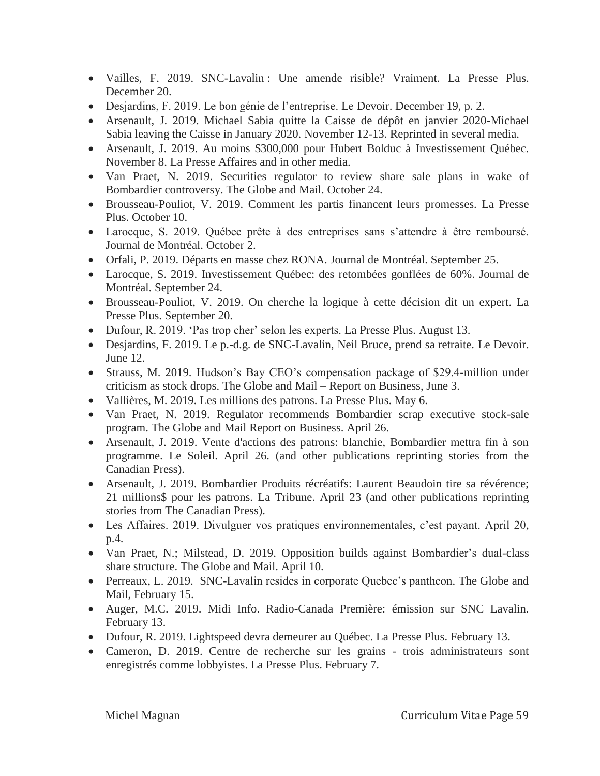- Vailles, F. 2019. SNC-Lavalin : Une amende risible? Vraiment. La Presse Plus. December 20.
- Desjardins, F. 2019. Le bon génie de l'entreprise. Le Devoir. December 19, p. 2.
- Arsenault, J. 2019. Michael Sabia quitte la Caisse de dépôt en janvier 2020-Michael Sabia leaving the Caisse in January 2020. November 12-13. Reprinted in several media.
- Arsenault, J. 2019. Au moins \$300,000 pour Hubert Bolduc à Investissement Québec. November 8. La Presse Affaires and in other media.
- Van Praet, N. 2019. Securities regulator to review share sale plans in wake of Bombardier controversy. The Globe and Mail. October 24.
- Brousseau-Pouliot, V. 2019. Comment les partis financent leurs promesses. La Presse Plus. October 10.
- Larocque, S. 2019. Québec prête à des entreprises sans s'attendre à être remboursé. Journal de Montréal. October 2.
- Orfali, P. 2019. Départs en masse chez RONA. Journal de Montréal. September 25.
- Larocque, S. 2019. Investissement Québec: des retombées gonflées de 60%. Journal de Montréal. September 24.
- Brousseau-Pouliot, V. 2019. On cherche la logique à cette décision dit un expert. La Presse Plus. September 20.
- Dufour, R. 2019. 'Pas trop cher' selon les experts. La Presse Plus. August 13.
- Desjardins, F. 2019. Le p.-d.g. de SNC-Lavalin, Neil Bruce, prend sa retraite. Le Devoir. June 12.
- Strauss, M. 2019. Hudson's Bay CEO's compensation package of \$29.4-million under criticism as stock drops. The Globe and Mail – Report on Business, June 3.
- Vallières, M. 2019. Les millions des patrons. La Presse Plus. May 6.
- Van Praet, N. 2019. Regulator recommends Bombardier scrap executive stock-sale program. The Globe and Mail Report on Business. April 26.
- Arsenault, J. 2019. Vente d'actions des patrons: blanchie, Bombardier mettra fin à son programme. Le Soleil. April 26. (and other publications reprinting stories from the Canadian Press).
- Arsenault, J. 2019. Bombardier Produits récréatifs: Laurent Beaudoin tire sa révérence; 21 millions\$ pour les patrons. La Tribune. April 23 (and other publications reprinting stories from The Canadian Press).
- Les Affaires. 2019. Divulguer vos pratiques environnementales, c'est payant. April 20, p.4.
- Van Praet, N.; Milstead, D. 2019. Opposition builds against Bombardier's dual-class share structure. The Globe and Mail. April 10.
- Perreaux, L. 2019. SNC-Lavalin resides in corporate Quebec's pantheon. The Globe and Mail, February 15.
- Auger, M.C. 2019. Midi Info. Radio-Canada Première: émission sur SNC Lavalin. February 13.
- Dufour, R. 2019. Lightspeed devra demeurer au Québec. La Presse Plus. February 13.
- Cameron, D. 2019. Centre de recherche sur les grains trois administrateurs sont enregistrés comme lobbyistes. La Presse Plus. February 7.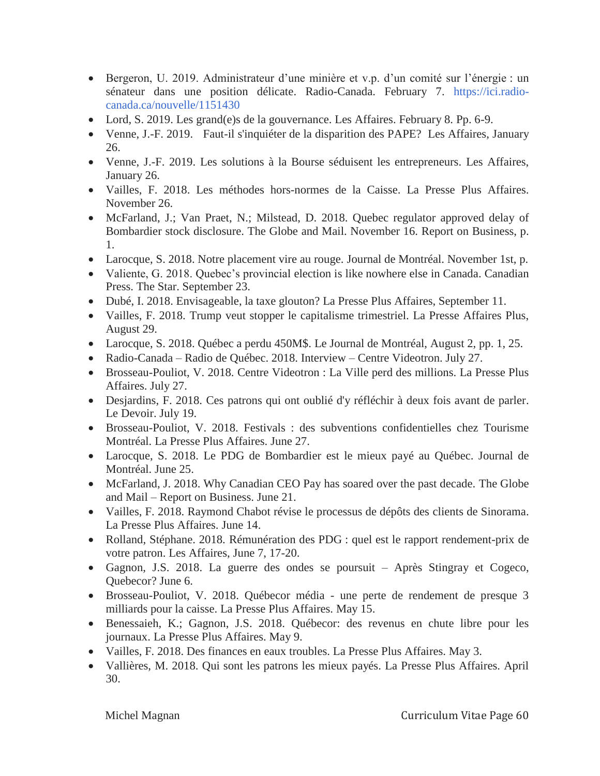- Bergeron, U. 2019. Administrateur d'une minière et v.p. d'un comité sur l'énergie : un sénateur dans une position délicate. Radio-Canada. February 7. [https://ici.radio](https://ici.radio-canada.ca/nouvelle/1151430)[canada.ca/nouvelle/1151430](https://ici.radio-canada.ca/nouvelle/1151430)
- Lord, S. 2019. Les grand(e)s de la gouvernance. Les Affaires. February 8. Pp. 6-9.
- Venne, J.-F. 2019. Faut-il s'inquiéter de la disparition des PAPE? Les Affaires, January 26.
- Venne, J.-F. 2019. Les solutions à la Bourse séduisent les entrepreneurs. Les Affaires, January 26.
- Vailles, F. 2018. Les méthodes hors-normes de la Caisse. La Presse Plus Affaires. November 26.
- McFarland, J.; Van Praet, N.; Milstead, D. 2018. Quebec regulator approved delay of Bombardier stock disclosure. The Globe and Mail. November 16. Report on Business, p. 1.
- Larocque, S. 2018. Notre placement vire au rouge. Journal de Montréal. November 1st, p.
- Valiente, G. 2018. Ouebec's provincial election is like nowhere else in Canada. Canadian Press. The Star. September 23.
- Dubé, I. 2018. Envisageable, la taxe glouton? La Presse Plus Affaires, September 11.
- Vailles, F. 2018. Trump veut stopper le capitalisme trimestriel. La Presse Affaires Plus, August 29.
- Larocque, S. 2018. Québec a perdu 450M\$. Le Journal de Montréal, August 2, pp. 1, 25.
- Radio-Canada Radio de Québec. 2018. Interview Centre Videotron. July 27.
- Brosseau-Pouliot, V. 2018. Centre Videotron : La Ville perd des millions. La Presse Plus Affaires. July 27.
- Desjardins, F. 2018. Ces patrons qui ont oublié d'y réfléchir à deux fois avant de parler. Le Devoir. July 19.
- Brosseau-Pouliot, V. 2018. Festivals : des subventions confidentielles chez Tourisme Montréal. La Presse Plus Affaires. June 27.
- Larocque, S. 2018. Le PDG de Bombardier est le mieux payé au Québec. Journal de Montréal. June 25.
- McFarland, J. 2018. Why Canadian CEO Pay has soared over the past decade. The Globe and Mail – Report on Business. June 21.
- Vailles, F. 2018. Raymond Chabot révise le processus de dépôts des clients de Sinorama. La Presse Plus Affaires. June 14.
- Rolland, Stéphane. 2018. Rémunération des PDG : quel est le rapport rendement-prix de votre patron. Les Affaires, June 7, 17-20.
- Gagnon, J.S. 2018. La guerre des ondes se poursuit Après Stingray et Cogeco, Quebecor? June 6.
- Brosseau-Pouliot, V. 2018. Québecor média une perte de rendement de presque 3 milliards pour la caisse. La Presse Plus Affaires. May 15.
- Benessaieh, K.; Gagnon, J.S. 2018. Québecor: des revenus en chute libre pour les journaux. La Presse Plus Affaires. May 9.
- Vailles, F. 2018. Des finances en eaux troubles. La Presse Plus Affaires. May 3.
- Vallières, M. 2018. Qui sont les patrons les mieux payés. La Presse Plus Affaires. April 30.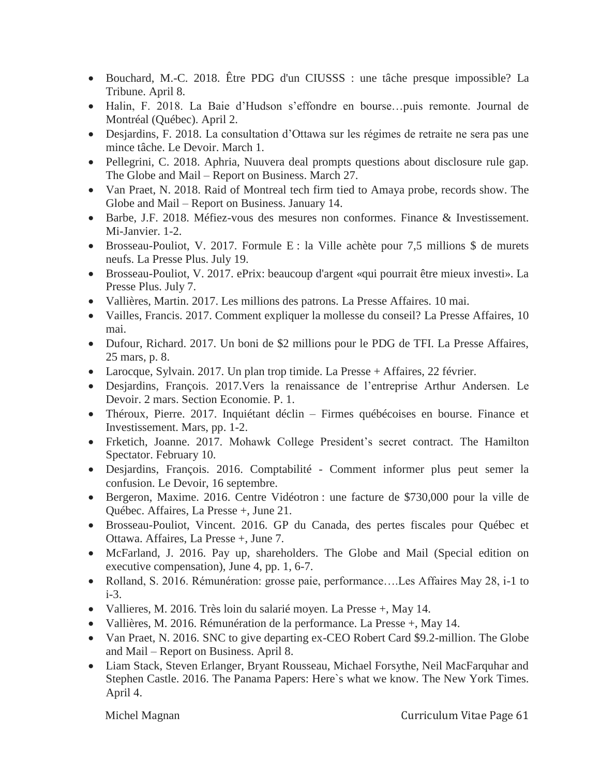- Bouchard, M.-C. 2018. Être PDG d'un CIUSSS : une tâche presque impossible? La Tribune. April 8.
- Halin, F. 2018. La Baie d'Hudson s'effondre en bourse…puis remonte. Journal de Montréal (Québec). April 2.
- Desjardins, F. 2018. La consultation d'Ottawa sur les régimes de retraite ne sera pas une mince tâche. Le Devoir. March 1.
- Pellegrini, C. 2018. Aphria, Nuuvera deal prompts questions about disclosure rule gap. The Globe and Mail – Report on Business. March 27.
- Van Praet, N. 2018. Raid of Montreal tech firm tied to Amaya probe, records show. The Globe and Mail – Report on Business. January 14.
- Barbe, J.F. 2018. Méfiez-vous des mesures non conformes. Finance & Investissement. Mi-Janvier. 1-2.
- Brosseau-Pouliot, V. 2017. Formule E : la Ville achète pour 7,5 millions \$ de murets neufs. La Presse Plus. July 19.
- Brosseau-Pouliot, V. 2017. ePrix: beaucoup d'argent «qui pourrait être mieux investi». La Presse Plus. July 7.
- Vallières, Martin. 2017. Les millions des patrons. La Presse Affaires. 10 mai.
- Vailles, Francis. 2017. Comment expliquer la mollesse du conseil? La Presse Affaires, 10 mai.
- Dufour, Richard. 2017. Un boni de \$2 millions pour le PDG de TFI. La Presse Affaires, 25 mars, p. 8.
- Larocque, Sylvain. 2017. Un plan trop timide. La Presse + Affaires, 22 février.
- Desjardins, François. 2017.Vers la renaissance de l'entreprise Arthur Andersen. Le Devoir. 2 mars. Section Economie. P. 1.
- Théroux, Pierre. 2017. Inquiétant déclin Firmes québécoises en bourse. Finance et Investissement. Mars, pp. 1-2.
- Frketich, Joanne. 2017. Mohawk College President's secret contract. The Hamilton Spectator. February 10.
- Desjardins, François. 2016. Comptabilité Comment informer plus peut semer la confusion. Le Devoir, 16 septembre.
- Bergeron, Maxime. 2016. Centre Vidéotron : une facture de \$730,000 pour la ville de Québec. Affaires, La Presse +, June 21.
- Brosseau-Pouliot, Vincent. 2016. GP du Canada, des pertes fiscales pour Québec et Ottawa. Affaires, La Presse +, June 7.
- McFarland, J. 2016. Pay up, shareholders. The Globe and Mail (Special edition on executive compensation), June 4, pp. 1, 6-7.
- Rolland, S. 2016. Rémunération: grosse paie, performance….Les Affaires May 28, i-1 to i-3.
- Vallieres, M. 2016. Très loin du salarié moyen. La Presse +, May 14.
- Vallières, M. 2016. Rémunération de la performance. La Presse +, May 14.
- Van Praet, N. 2016. SNC to give departing ex-CEO Robert Card \$9.2-million. The Globe and Mail – Report on Business. April 8.
- Liam Stack, Steven Erlanger, Bryant Rousseau, Michael Forsythe, Neil MacFarquhar and Stephen Castle. 2016. The Panama Papers: Here`s what we know. The New York Times. April 4.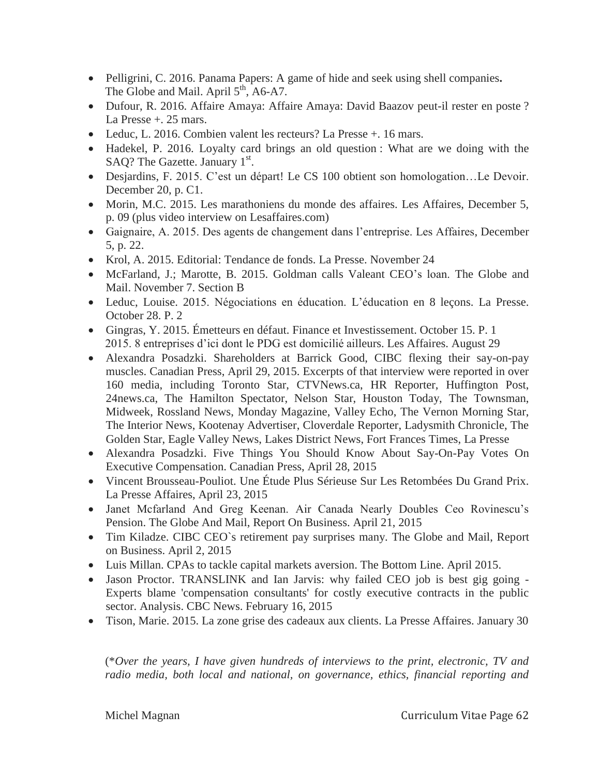- Pelligrini, C. 2016. Panama Papers: A game of hide and seek using shell companies**.** The Globe and Mail. April  $5<sup>th</sup>$ , A6-A7.
- Dufour, R. 2016. Affaire Amaya: Affaire Amaya: David Baazov peut-il rester en poste ? La Presse +. 25 mars.
- Leduc, L. 2016. Combien valent les recteurs? La Presse +. 16 mars.
- Hadekel, P. 2016. Loyalty card brings an old question : What are we doing with the SAQ? The Gazette. January  $1<sup>st</sup>$ .
- Desjardins, F. 2015. C'est un départ! Le CS 100 obtient son homologation…Le Devoir. December 20, p. C1.
- Morin, M.C. 2015. Les marathoniens du monde des affaires. Les Affaires, December 5, p. 09 (plus video interview on Lesaffaires.com)
- Gaignaire, A. 2015. Des agents de changement dans l'entreprise. Les Affaires, December 5, p. 22.
- Krol, A. 2015. Editorial: Tendance de fonds. La Presse. November 24
- McFarland, J.; Marotte, B. 2015. Goldman calls Valeant CEO's loan. The Globe and Mail. November 7. Section B
- Leduc, Louise. 2015. Négociations en éducation. L'éducation en 8 leçons. La Presse. October 28. P. 2
- Gingras, Y. 2015. Émetteurs en défaut. Finance et Investissement. October 15. P. 1 2015. 8 entreprises d'ici dont le PDG est domicilié ailleurs. Les Affaires. August 29
- Alexandra Posadzki. Shareholders at Barrick Good, CIBC flexing their say-on-pay muscles. Canadian Press, April 29, 2015. Excerpts of that interview were reported in over 160 media, including Toronto Star, CTVNews.ca, HR Reporter, Huffington Post, 24news.ca, The Hamilton Spectator, Nelson Star, Houston Today, The Townsman, Midweek, Rossland News, Monday Magazine, Valley Echo, The Vernon Morning Star, The Interior News, Kootenay Advertiser, Cloverdale Reporter, Ladysmith Chronicle, The Golden Star, Eagle Valley News, Lakes District News, Fort Frances Times, La Presse
- Alexandra Posadzki. Five Things You Should Know About Say-On-Pay Votes On Executive Compensation. Canadian Press, April 28, 2015
- Vincent Brousseau-Pouliot. Une Étude Plus Sérieuse Sur Les Retombées Du Grand Prix. La Presse Affaires, April 23, 2015
- Janet Mcfarland And Greg Keenan. Air Canada Nearly Doubles Ceo Rovinescu's Pension. The Globe And Mail, Report On Business. April 21, 2015
- Tim Kiladze. CIBC CEO`s retirement pay surprises many. The Globe and Mail, Report on Business. April 2, 2015
- Luis Millan. CPAs to tackle capital markets aversion. The Bottom Line. April 2015.
- Jason Proctor. TRANSLINK and Ian Jarvis: why failed CEO job is best gig going -Experts blame 'compensation consultants' for costly executive contracts in the public sector. Analysis. CBC News. February 16, 2015
- Tison, Marie. 2015. La zone grise des cadeaux aux clients. La Presse Affaires. January 30

(\**Over the years, I have given hundreds of interviews to the print, electronic, TV and radio media, both local and national, on governance, ethics, financial reporting and*